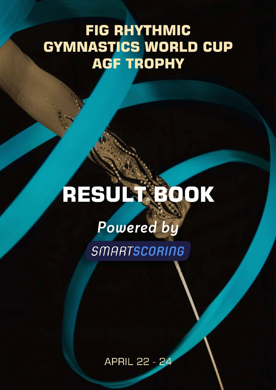# **FIG RHYTHMIC GYMNASTICS WORLD CUP AGF TROPHY**

# RESULTSOOK

# Powered by

SMARTSCORING

**APRIL 22 - 24**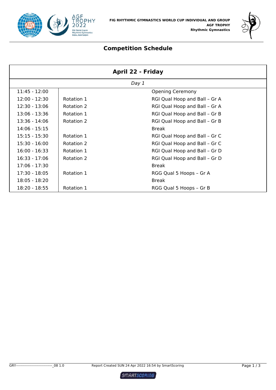



# **Competition Schedule**

| <b>April 22 - Friday</b> |            |                               |  |
|--------------------------|------------|-------------------------------|--|
|                          |            | Day 1                         |  |
| 11:45 - 12:00            |            | <b>Opening Ceremony</b>       |  |
| $12:00 - 12:30$          | Rotation 1 | RGI Qual Hoop and Ball - Gr A |  |
| $12:30 - 13:06$          | Rotation 2 | RGI Qual Hoop and Ball - Gr A |  |
| $13:06 - 13:36$          | Rotation 1 | RGI Qual Hoop and Ball - Gr B |  |
| $13:36 - 14:06$          | Rotation 2 | RGI Qual Hoop and Ball - Gr B |  |
| $14:06 - 15:15$          |            | <b>Break</b>                  |  |
| $15:15 - 15:30$          | Rotation 1 | RGI Qual Hoop and Ball - Gr C |  |
| $15:30 - 16:00$          | Rotation 2 | RGI Qual Hoop and Ball - Gr C |  |
| $16:00 - 16:33$          | Rotation 1 | RGI Qual Hoop and Ball - Gr D |  |
| $16:33 - 17:06$          | Rotation 2 | RGI Qual Hoop and Ball - Gr D |  |
| 17:06 - 17:30            |            | <b>Break</b>                  |  |
| $17:30 - 18:05$          | Rotation 1 | RGG Qual 5 Hoops - Gr A       |  |
| 18:05 - 18:20            |            | <b>Break</b>                  |  |
| 18:20 - 18:55            | Rotation 1 | RGG Qual 5 Hoops - Gr B       |  |

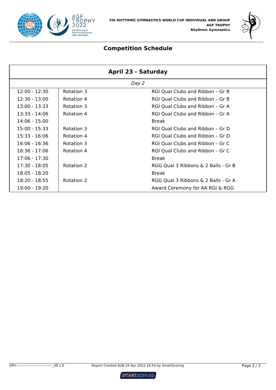



# **Competition Schedule**

| April 23 - Saturday |            |                                     |  |
|---------------------|------------|-------------------------------------|--|
|                     |            | Day 2                               |  |
| $12:00 - 12:30$     | Rotation 3 | RGI Qual Clubs and Ribbon - Gr B    |  |
| $12:30 - 13:00$     | Rotation 4 | RGI Qual Clubs and Ribbon - Gr B    |  |
| $13:00 - 13:33$     | Rotation 3 | RGI Qual Clubs and Ribbon - Gr A    |  |
| 13:33 - 14:06       | Rotation 4 | RGI Qual Clubs and Ribbon - Gr A    |  |
| $14:06 - 15:00$     |            | <b>Break</b>                        |  |
| $15:00 - 15:33$     | Rotation 3 | RGI Qual Clubs and Ribbon - Gr D    |  |
| $15:33 - 16:06$     | Rotation 4 | RGI Qual Clubs and Ribbon - Gr D    |  |
| $16:06 - 16:36$     | Rotation 3 | RGI Qual Clubs and Ribbon - Gr C    |  |
| $16:36 - 17:06$     | Rotation 4 | RGI Qual Clubs and Ribbon - Gr C    |  |
| $17:06 - 17:30$     |            | <b>Break</b>                        |  |
| $17:30 - 18:05$     | Rotation 2 | RGG Qual 3 Ribbons & 2 Balls - Gr B |  |
| $18:05 - 18:20$     |            | <b>Break</b>                        |  |
| $18:20 - 18:55$     | Rotation 2 | RGG Qual 3 Ribbons & 2 Balls - Gr A |  |
| 19:00 - 19:20       |            | Award Ceremony for AA RGI & RGG     |  |

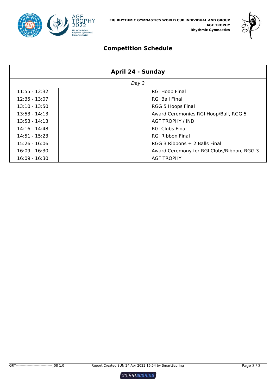



# **Competition Schedule**

| April 24 - Sunday |                                            |  |  |
|-------------------|--------------------------------------------|--|--|
|                   | Day 3                                      |  |  |
| $11:55 - 12:32$   | <b>RGI Hoop Final</b>                      |  |  |
| $12:35 - 13:07$   | <b>RGI Ball Final</b>                      |  |  |
| $13:10 - 13:50$   | <b>RGG 5 Hoops Final</b>                   |  |  |
| $13:53 - 14:13$   | Award Ceremonies RGI Hoop/Ball, RGG 5      |  |  |
| $13:53 - 14:13$   | <b>AGF TROPHY / IND</b>                    |  |  |
| $14:16 - 14:48$   | <b>RGI Clubs Final</b>                     |  |  |
| $14:51 - 15:23$   | <b>RGI Ribbon Final</b>                    |  |  |
| $15:26 - 16:06$   | RGG 3 Ribbons + 2 Balls Final              |  |  |
| $16:09 - 16:30$   | Award Ceremony for RGI Clubs/Ribbon, RGG 3 |  |  |
| $16:09 - 16:30$   | <b>AGF TROPHY</b>                          |  |  |

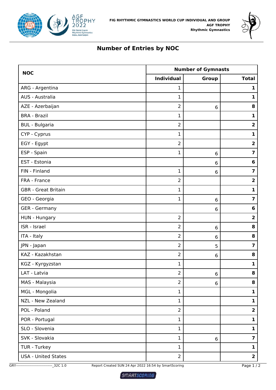



# **Number of Entries by NOC**

| <b>NOC</b>                 | <b>Number of Gymnasts</b> |         |                         |  |
|----------------------------|---------------------------|---------|-------------------------|--|
|                            | <b>Individual</b>         | Group   | <b>Total</b>            |  |
| ARG - Argentina            | 1                         |         | 1                       |  |
| AUS - Australia            | $\mathbf{1}$              |         | $\mathbf{1}$            |  |
| AZE - Azerbaijan           | $\overline{2}$            | 6       | 8                       |  |
| <b>BRA - Brazil</b>        | $\mathbf 1$               |         | $\mathbf{1}$            |  |
| <b>BUL</b> - Bulgaria      | $\overline{2}$            |         | $\overline{\mathbf{2}}$ |  |
| CYP - Cyprus               | $\mathbf 1$               |         | $\mathbf{1}$            |  |
| EGY - Egypt                | $\overline{2}$            |         | $\overline{\mathbf{2}}$ |  |
| ESP - Spain                | $\mathbf{1}$              | 6       | $\overline{\mathbf{z}}$ |  |
| EST - Estonia              |                           | 6       | $6\phantom{1}6$         |  |
| FIN - Finland              | $\mathbf 1$               | 6       | $\overline{\mathbf{z}}$ |  |
| FRA - France               | $\overline{2}$            |         | $\overline{\mathbf{2}}$ |  |
| <b>GBR</b> - Great Britain | $\mathbf{1}$              |         | $\mathbf{1}$            |  |
| GEO - Georgia              | $\mathbf 1$               | 6       | $\overline{\mathbf{z}}$ |  |
| <b>GER</b> - Germany       |                           | 6       | 6                       |  |
| HUN - Hungary              | $\overline{2}$            |         | $\overline{\mathbf{c}}$ |  |
| ISR - Israel               | $\overline{2}$            | 6       | 8                       |  |
| ITA - Italy                | $\overline{2}$            | 6       | 8                       |  |
| JPN - Japan                | $\overline{2}$            | 5       | $\overline{\mathbf{z}}$ |  |
| KAZ - Kazakhstan           | $\overline{2}$            | 6       | 8                       |  |
| KGZ - Kyrgyzstan           | $\mathbf{1}$              |         | $\mathbf{1}$            |  |
| LAT - Latvia               | 2                         | $\,6\,$ | 8                       |  |
| MAS - Malaysia             | $\overline{2}$            | 6       | 8                       |  |
| MGL - Mongolia             | $\mathbf{1}$              |         | $\mathbf{1}$            |  |
| NZL - New Zealand          | $\mathbf{1}$              |         | $\mathbf{1}$            |  |
| POL - Poland               | $\overline{2}$            |         | $\overline{2}$          |  |
| POR - Portugal             | $\mathbf{1}$              |         | $\mathbf{1}$            |  |
| SLO - Slovenia             | $\mathbf{1}$              |         | $\mathbf{1}$            |  |
| SVK - Slovakia             | $\mathbf{1}$              | 6       | $\overline{\mathbf{z}}$ |  |
| TUR - Turkey               | $\mathbf{1}$              |         | $\mathbf{1}$            |  |
| <b>USA - United States</b> | $\overline{2}$            |         | $\overline{\mathbf{2}}$ |  |

GRY-------------------------------\_32C 1.0 Report Created SUN 24 Apr 2022 16:54 by SmartScoring Page 1 / 2

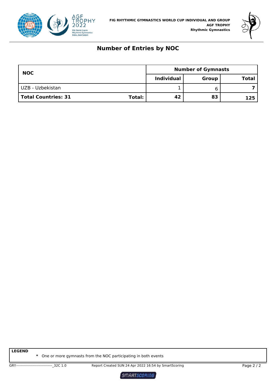



# **Number of Entries by NOC**

| <b>NOC</b>          |               | <b>Number of Gymnasts</b> |       |              |
|---------------------|---------------|---------------------------|-------|--------------|
|                     |               | <b>Individual</b>         | Group | <b>Total</b> |
| UZB - Uzbekistan    |               |                           |       |              |
| Total Countries: 31 | <b>Total:</b> | 42                        | 83    | 125.         |

**LEGEND**

**\*** One or more gymnasts from the NOC participating in both events

SMARTSCORING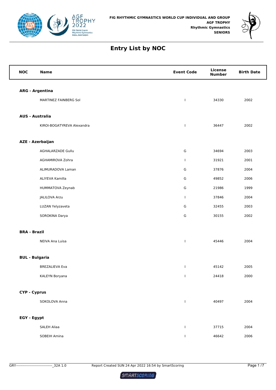



| <b>NOC</b>          | <b>Name</b>                | <b>Event Code</b> | <b>License</b><br><b>Number</b> | <b>Birth Date</b> |
|---------------------|----------------------------|-------------------|---------------------------------|-------------------|
|                     | <b>ARG - Argentina</b>     |                   |                                 |                   |
|                     | MARTINEZ FAINBERG Sol      | $\mathbf{I}$      | 34330                           | 2002              |
|                     |                            |                   |                                 |                   |
|                     | <b>AUS - Australia</b>     |                   |                                 |                   |
|                     | KIROI-BOGATYREVA Alexandra | $\mathbf{I}$      | 36447                           | 2002              |
|                     | <b>AZE - Azerbaijan</b>    |                   |                                 |                   |
|                     | AGHALARZADE Gullu          | G                 | 34694                           | 2003              |
|                     | AGHAMIROVA Zohra           | $\mathbf{I}$      | 31921                           | 2001              |
|                     | ALIMURADOVA Laman          | G                 | 37876                           | 2004              |
|                     | ALIYEVA Kamilla            | G                 | 49852                           | 2006              |
|                     | HUMMATOVA Zeynab           | G                 | 21986                           | 1999              |
|                     | JALILOVA Arzu              | $\mathbf{I}$      | 37846                           | 2004              |
|                     | LUZAN Yelyzaveta           | G                 | 32455                           | 2003              |
|                     | SOROKINA Darya             | G                 | 30155                           | 2002              |
| <b>BRA - Brazil</b> |                            |                   |                                 |                   |
|                     | NEIVA Ana Luisa            | $\mathbf{I}$      | 45446                           | 2004              |
|                     | <b>BUL - Bulgaria</b>      |                   |                                 |                   |
|                     | <b>BREZALIEVA Eva</b>      | $\mathbf{I}$      | 45142                           | 2005              |
|                     | KALEYN Boryana             | $\mathbf{I}$      | 24418                           | 2000              |
|                     | <b>CYP - Cyprus</b>        |                   |                                 |                   |
|                     | SOKOLOVA Anna              | $\mathbf{I}$      | 40497                           | 2004              |
|                     |                            |                   |                                 |                   |
| EGY - Egypt         |                            |                   |                                 |                   |
|                     | <b>SALEH Aliaa</b>         | $\mathbf{I}$      | 37715                           | 2004              |
|                     | SOBEIH Amina               | $\mathbf{I}$      | 46642                           | 2006              |

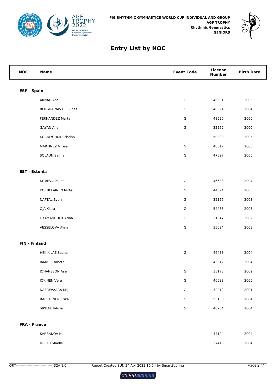



| <b>NOC</b>           | <b>Name</b>               | <b>Event Code</b> | <b>License</b><br><b>Number</b> | <b>Birth Date</b> |
|----------------------|---------------------------|-------------------|---------------------------------|-------------------|
| <b>ESP - Spain</b>   |                           |                   |                                 |                   |
|                      | ARNAU Ana                 | G                 | 46691                           | 2005              |
|                      | BERGUA NAVALES Ines       | G                 | 46694                           | 2004              |
|                      | FERNANDEZ Marta           | G                 | 48520                           | 2006              |
|                      | <b>GAYAN Ana</b>          | G                 | 32272                           | 2000              |
|                      | KORNIYCHUK Cristina       | T                 | 50880                           | 2005              |
|                      | <b>MARTINEZ Mireia</b>    | G                 | 48517                           | 2005              |
|                      | SOLAUN Salma              | G                 | 47597                           | 2005              |
| <b>EST - Estonia</b> |                           |                   |                                 |                   |
|                      | KITAEVA Polina            | G                 | 46688                           | 2004              |
|                      | <b>KORBELAINEN Mirtel</b> | G                 | 44074                           | 2005              |
|                      | <b>NAPTAL Evelin</b>      | G                 | 35176                           | 2003              |
|                      | OJA Kiara                 | G                 | 54465                           | 2005              |
|                      | OKAMANCHUK Arina          | G                 | 31847                           | 2002              |
|                      | VESSELOVA Alina           | G                 | 35024                           | 2003              |
| <b>FIN - Finland</b> |                           |                   |                                 |                   |
|                      | <b>HEIKKILAE Saana</b>    | G                 | 46488                           | 2004              |
|                      | JAMIL Elisabeth           | T                 | 43312                           | 2004              |
|                      | JOHANSSON Assi            | G                 | 35170                           | 2002              |
|                      | <b>JOKINEN Vera</b>       | ${\mathsf G}$     | 46588                           | 2005              |
|                      | NAEREVAARA Milja          | ${\mathsf G}$     | 32212                           | 2001              |
|                      | RAESAENEN Erika           | ${\mathsf G}$     | 55130                           | 2004              |
|                      | SIPILAE Viliina           | ${\mathsf G}$     | 40704                           | 2004              |
| <b>FRA - France</b>  |                           |                   |                                 |                   |
|                      | KARBANOV Helene           | $\mathbf{I}$      | 44124                           | 2004              |
|                      | <b>MILLET Maelle</b>      | $\mathbf{I}$      | 37416                           | 2004              |

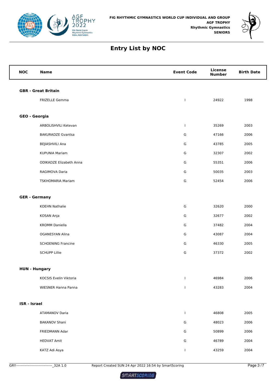



| <b>NOC</b>          | <b>Name</b>                    | <b>Event Code</b> | <b>License</b><br><b>Number</b> | <b>Birth Date</b> |  |  |
|---------------------|--------------------------------|-------------------|---------------------------------|-------------------|--|--|
|                     | <b>GBR</b> - Great Britain     |                   |                                 |                   |  |  |
|                     | <b>FRIZELLE Gemma</b>          | $\mathbf{I}$      | 24922                           | 1998              |  |  |
|                     |                                |                   |                                 |                   |  |  |
|                     | GEO - Georgia                  |                   |                                 |                   |  |  |
|                     | ARBOLISHVILI Ketevan           | $\mathbf{I}$      | 35269                           | 2003              |  |  |
|                     | <b>BAKURADZE Gvantsa</b>       | G                 | 47166                           | 2006              |  |  |
|                     | BEJIASHVILI Ana                | G                 | 43785                           | 2005              |  |  |
|                     | <b>KUPUNIA Mariam</b>          | G                 | 32307                           | 2002              |  |  |
|                     | <b>ODIKADZE Elizabeth Anna</b> | G                 | 55351                           | 2006              |  |  |
|                     | RAGIMOVA Daria                 | G                 | 50035                           | 2003              |  |  |
|                     | <b>TSKHOMARIA Mariam</b>       | G                 | 52454                           | 2006              |  |  |
|                     | <b>GER - Germany</b>           |                   |                                 |                   |  |  |
|                     | <b>KOEHN Nathalie</b>          | G                 | 32620                           | 2000              |  |  |
|                     | KOSAN Anja                     | G                 | 32677                           | 2002              |  |  |
|                     | <b>KROMM Daniella</b>          | G                 | 37482                           | 2004              |  |  |
|                     | <b>OGANESYAN Alina</b>         | G                 | 43087                           | 2004              |  |  |
|                     | <b>SCHOENING Francine</b>      | G                 | 46330                           | 2005              |  |  |
|                     | <b>SCHUPP Lillie</b>           | G                 | 37372                           | 2002              |  |  |
|                     | <b>HUN - Hungary</b>           |                   |                                 |                   |  |  |
|                     | KOCSIS Evelin Viktoria         | $\mathbf{I}$      | 46984                           | 2006              |  |  |
|                     | WIESNER Hanna Panna            | J.                | 43283                           | 2004              |  |  |
| <b>ISR - Israel</b> |                                |                   |                                 |                   |  |  |
|                     | <b>ATAMANOV Daria</b>          | $\mathbf{I}$      | 46808                           | 2005              |  |  |
|                     | <b>BAKANOV Shani</b>           | G                 | 48023                           | 2006              |  |  |
|                     | FRIEDMANN Adar                 | G                 | 50899                           | 2006              |  |  |
|                     | <b>HEDVAT Amit</b>             | G                 | 46789                           | 2004              |  |  |
|                     | KATZ Adi Asya                  | $\mathbf{I}$      | 43259                           | 2004              |  |  |
|                     |                                |                   |                                 |                   |  |  |

GRY-------------------------------\_32A 1.0 Report Created SUN 24 Apr 2022 16:54 by SmartScoring Page 3 /7

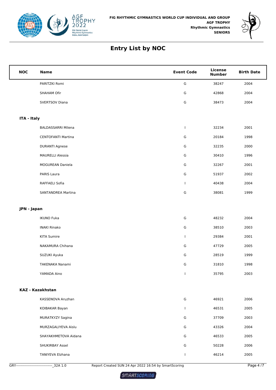



| <b>NOC</b>  | <b>Name</b>               | <b>Event Code</b> | <b>License</b><br><b>Number</b> | <b>Birth Date</b> |
|-------------|---------------------------|-------------------|---------------------------------|-------------------|
|             | PARITZKI Romi             | G                 | 38247                           | 2004              |
|             | SHAHAM Ofir               | G                 | 42868                           | 2004              |
|             | SVERTSOV Diana            | G                 | 38473                           | 2004              |
|             |                           |                   |                                 |                   |
| ITA - Italy |                           |                   |                                 |                   |
|             | <b>BALDASSARRI Milena</b> | T                 | 32234                           | 2001              |
|             | <b>CENTOFANTI Martina</b> | G                 | 20184                           | 1998              |
|             | <b>DURANTI Agnese</b>     | G                 | 32235                           | 2000              |
|             | <b>MAURELLI Alessia</b>   | G                 | 30410                           | 1996              |
|             | MOGUREAN Daniela          | G                 | 32267                           | 2001              |
|             | PARIS Laura               | G                 | 51937                           | 2002              |
|             | RAFFAELI Sofia            | $\mathbf{I}$      | 40438                           | 2004              |
|             | <b>SANTANDREA Martina</b> | ${\mathsf G}$     | 38081                           | 1999              |
| JPN - Japan |                           |                   |                                 |                   |
|             | <b>IKUNO Fuka</b>         | G                 | 48232                           | 2004              |
|             | <b>INAKI Rinako</b>       | G                 | 38510                           | 2003              |
|             | <b>KITA Sumire</b>        | $\mathbf{I}$      | 29384                           | 2001              |
|             | NAKAMURA Chihana          | G                 | 47729                           | 2005              |
|             | SUZUKI Ayuka              | G                 | 28519                           | 1999              |
|             | TAKENAKA Nanami           | G                 | 31810                           | 1998              |
|             | YAMADA Aino               | $\mathbf{L}$      | 35795                           | 2003              |
|             |                           |                   |                                 |                   |
|             | <b>KAZ - Kazakhstan</b>   |                   |                                 |                   |
|             | KASSENOVA Aruzhan         | G                 | 46921                           | 2006              |
|             | KOIBAKAR Bayan            | L                 | 46531                           | 2005              |
|             | MURATKYZY Sagina          | G                 | 37709                           | 2003              |
|             | MURZAGALIYEVA Aislu       | G                 | 43326                           | 2004              |
|             | SHAYAKHMETOVA Aidana      | G                 | 46533                           | 2005              |
|             | SHUKIRBAY Assel           | G                 | 50228                           | 2006              |
|             | TANIYEVA Elzhana          | $\mathbf{I}$      | 46214                           | 2005              |

GRY-------------------------------\_32A 1.0 Report Created SUN 24 Apr 2022 16:54 by SmartScoring Page 4 /7

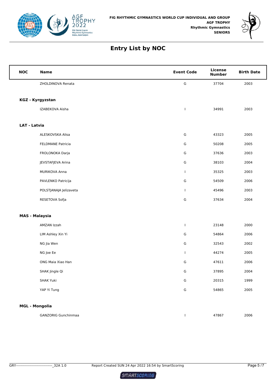



| <b>NOC</b>            | <b>Name</b>            | <b>Event Code</b> | License<br><b>Number</b> | <b>Birth Date</b> |
|-----------------------|------------------------|-------------------|--------------------------|-------------------|
|                       | ZHOLDINOVA Renata      | ${\mathsf G}$     | 37704                    | 2003              |
|                       |                        |                   |                          |                   |
|                       | KGZ - Kyrgyzstan       |                   |                          |                   |
|                       | IZABEKOVA Aisha        | $\mathbf{I}$      | 34991                    | 2003              |
| <b>LAT - Latvia</b>   |                        |                   |                          |                   |
|                       | ALESKOVSKA Alisa       | ${\mathsf G}$     | 43323                    | 2005              |
|                       | FELDMANE Patricia      | G                 | 50208                    | 2005              |
|                       | FROLONOKA Darja        | G                 | 37636                    | 2003              |
|                       | JEVSTAFJEVA Arina      | ${\mathsf G}$     | 38103                    | 2004              |
|                       | MURIKOVA Anna          | $\mathbf{I}$      | 35325                    | 2003              |
|                       | PAVLENKO Patricija     | G                 | 54509                    | 2006              |
|                       | POLSTJANAJA Jelizaveta | $\mathbf{I}$      | 45496                    | 2003              |
|                       | RESETOVA Sofja         | ${\mathsf G}$     | 37634                    | 2004              |
| <b>MAS - Malaysia</b> |                        |                   |                          |                   |
|                       | AMZAN Izzah            | $\mathbf{I}$      | 23148                    | 2000              |
|                       | LIM Ashley Xin Yi      | G                 | 54864                    | 2006              |
|                       | NG Jia Wen             | ${\mathsf G}$     | 32543                    | 2002              |
|                       | NG Joe Ee              | T                 | 44274                    | 2005              |
|                       | ONG Maia Xiao Han      | G                 | 47611                    | 2006              |
|                       | SHAK Jingle Qi         | G                 | 37895                    | 2004              |
|                       | <b>SHAK Yuki</b>       | ${\mathsf G}$     | 20315                    | 1999              |
|                       | YAP Yi Tung            | ${\mathsf G}$     | 54865                    | 2005              |
|                       |                        |                   |                          |                   |
| <b>MGL - Mongolia</b> |                        |                   |                          |                   |

GANZORIG Gunchinmaa I 47867 2006

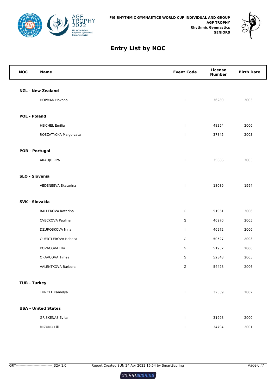



| <b>NOC</b>            | <b>Name</b>                | <b>Event Code</b> | <b>License</b><br><b>Number</b> | <b>Birth Date</b> |
|-----------------------|----------------------------|-------------------|---------------------------------|-------------------|
|                       | <b>NZL - New Zealand</b>   |                   |                                 |                   |
|                       | <b>HOPMAN Havana</b>       | $\mathbf{I}$      | 36289                           | 2003              |
|                       |                            |                   |                                 |                   |
| <b>POL - Poland</b>   |                            |                   |                                 |                   |
|                       | <b>HEICHEL Emilia</b>      | $\mathbf{I}$      | 48254                           | 2006              |
|                       | ROSZATYCKA Malgorzata      | $\mathbf{I}$      | 37845                           | 2003              |
| <b>POR - Portugal</b> |                            |                   |                                 |                   |
|                       | ARAUJO Rita                | $\mathbf{I}$      | 35086                           | 2003              |
| SLO - Slovenia        |                            |                   |                                 |                   |
|                       | VEDENEEVA Ekaterina        | $\mathbf{I}$      | 18089                           | 1994              |
| <b>SVK - Slovakia</b> |                            |                   |                                 |                   |
|                       | <b>BALLEKOVA Katarina</b>  | G                 | 51961                           | 2006              |
|                       | <b>CVECKOVA Paulina</b>    | G                 | 46970                           | 2005              |
|                       | DZUROSKOVA Nina            | $\mathbf{I}$      | 46972                           | 2006              |
|                       | <b>GUERTLEROVA Rebeca</b>  | G                 | 50527                           | 2003              |
|                       | KOVACOVA Ella              | G                 | 51952                           | 2006              |
|                       | ORAVCOVA Timea             | G                 | 52348                           | 2005              |
|                       | VALENTKOVA Barbora         | G                 | 54428                           | 2006              |
| <b>TUR - Turkey</b>   |                            |                   |                                 |                   |
|                       | <b>TUNCEL Kamelya</b>      | $\mathbf{I}$      | 32339                           | 2002              |
|                       | <b>USA - United States</b> |                   |                                 |                   |
|                       | <b>GRISKENAS Evita</b>     | $\mathbf{I}$      | 31998                           | 2000              |
|                       | MIZUNO Lili                | $\mathbf{I}$      | 34794                           | 2001              |

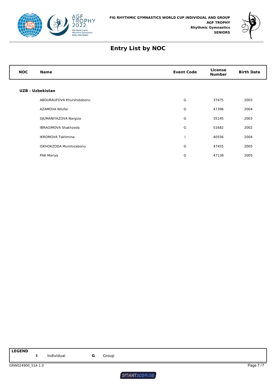



| <b>NOC</b> | <b>Name</b>                 | <b>Event Code</b> | License<br><b>Number</b> | <b>Birth Date</b> |
|------------|-----------------------------|-------------------|--------------------------|-------------------|
|            | UZB - Uzbekistan            |                   |                          |                   |
|            | ABDURAUFOVA Khurshidabonu   | G                 | 37475                    | 2003              |
|            | AZAMOVA Nilufar             | G                 | 47396                    | 2004              |
|            | DJUMANIYAZOVA Nargiza       | G                 | 35145                    | 2003              |
|            | <b>IBRAGIMOVA Shakhzoda</b> | G                 | 51682                    | 2002              |
|            | <b>IKROMOVA Takhmina</b>    |                   | 40556                    | 2004              |
|            | ISKHOKZODA Mumtozabonu      | G                 | 47455                    | 2005              |
|            | PAK Mariya                  | G                 | 47138                    | 2005              |

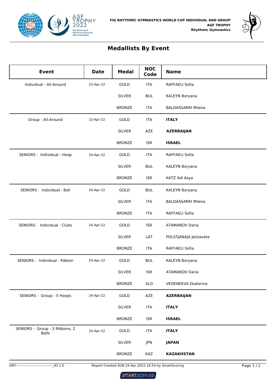



# **Medallists By Event**

| <b>Event</b>                                   | <b>Date</b> | <b>Medal</b>  | <b>NOC</b><br>Code | <b>Name</b>               |
|------------------------------------------------|-------------|---------------|--------------------|---------------------------|
| Individual - All-Around                        | 22-Apr-22   | GOLD          | <b>ITA</b>         | RAFFAELI Sofia            |
|                                                |             | <b>SILVER</b> | <b>BUL</b>         | KALEYN Boryana            |
|                                                |             | <b>BRONZE</b> | <b>ITA</b>         | <b>BALDASSARRI Milena</b> |
| Group - All-Around                             | 22-Apr-22   | GOLD          | ITA                | <b>ITALY</b>              |
|                                                |             | <b>SILVER</b> | AZE                | <b>AZERBAIJAN</b>         |
|                                                |             | <b>BRONZE</b> | <b>ISR</b>         | <b>ISRAEL</b>             |
| SENIORS - Individual - Hoop                    | 24-Apr-22   | GOLD          | <b>ITA</b>         | RAFFAELI Sofia            |
|                                                |             | <b>SILVER</b> | <b>BUL</b>         | KALEYN Boryana            |
|                                                |             | <b>BRONZE</b> | <b>ISR</b>         | KATZ Adi Asya             |
| SENIORS - Individual - Ball                    | 24-Apr-22   | GOLD          | <b>BUL</b>         | KALEYN Boryana            |
|                                                |             | <b>SILVER</b> | <b>ITA</b>         | <b>BALDASSARRI Milena</b> |
|                                                |             | <b>BRONZE</b> | <b>ITA</b>         | RAFFAELI Sofia            |
| SENIORS - Individual - Clubs                   | 24-Apr-22   | GOLD          | <b>ISR</b>         | <b>ATAMANOV Daria</b>     |
|                                                |             | <b>SILVER</b> | LAT                | POLSTJANAJA Jelizaveta    |
|                                                |             | <b>BRONZE</b> | <b>ITA</b>         | RAFFAELI Sofia            |
| SENIORS - Individual - Ribbon                  | 24-Apr-22   | GOLD          | <b>BUL</b>         | KALEYN Boryana            |
|                                                |             | <b>SILVER</b> | <b>ISR</b>         | <b>ATAMANOV Daria</b>     |
|                                                |             | <b>BRONZE</b> | <b>SLO</b>         | VEDENEEVA Ekaterina       |
| SENIORS - Group - 5 Hoops                      | 24-Apr-22   | GOLD          | AZE                | <b>AZERBAIJAN</b>         |
|                                                |             | <b>SILVER</b> | <b>ITA</b>         | <b>ITALY</b>              |
|                                                |             | <b>BRONZE</b> | <b>ISR</b>         | <b>ISRAEL</b>             |
| SENIORS - Group - 3 Ribbons, 2<br><b>Balls</b> | 24-Apr-22   | GOLD          | <b>ITA</b>         | <b>ITALY</b>              |
|                                                |             | <b>SILVER</b> | JPN                | <b>JAPAN</b>              |
|                                                |             | <b>BRONZE</b> | KAZ                | <b>KAZAKHSTAN</b>         |

GRY-------------------------------\_93 1.0 Report Created SUN 24 Apr 2022 16:54 by SmartScoring Page 1 / 1

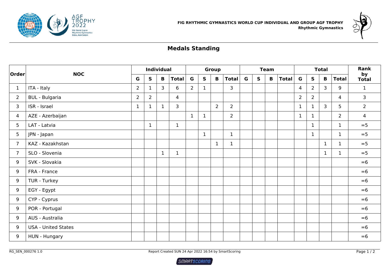



# **Medals Standing**

| Order          | <b>NOC</b>                 |                |                | <b>Individual</b> |                |              |              | <b>Group</b> |                |   |              | <b>Team</b> |              |                | <b>Total</b> |              |                | Rank               |
|----------------|----------------------------|----------------|----------------|-------------------|----------------|--------------|--------------|--------------|----------------|---|--------------|-------------|--------------|----------------|--------------|--------------|----------------|--------------------|
|                |                            | G              | $\mathsf{s}$   | $\mathbf{B}$      | <b>Total</b>   | G            | $\mathsf{s}$ | B            | <b>Total</b>   | G | $\mathsf{S}$ | $\mathbf B$ | <b>Total</b> | $\mathbf G$    | $\mathsf{s}$ | $\mathbf B$  | <b>Total</b>   | by<br><b>Total</b> |
| $\mathbf{1}$   | ITA - Italy                | $\overline{2}$ | $\mathbf{1}$   | $\mathsf{3}$      | 6              | $2^{\circ}$  | $\mathbf{1}$ |              | 3              |   |              |             |              | $\overline{4}$ | $2^{\circ}$  | $\mathbf{3}$ | 9              | $\mathbf{1}$       |
| $\overline{2}$ | <b>BUL</b> - Bulgaria      | $\overline{2}$ | $\overline{2}$ |                   | $\overline{4}$ |              |              |              |                |   |              |             |              | $\overline{2}$ | $2^{\circ}$  |              | $\overline{4}$ | 3                  |
| 3              | ISR - Israel               | $\mathbf{1}$   | $\mathbf{1}$   | $\mathbf{1}$      | 3              |              |              | $2^{\circ}$  | $\overline{2}$ |   |              |             |              | $\mathbf{1}$   | $\mathbf{1}$ | 3            | 5              | $\overline{2}$     |
| $\overline{4}$ | AZE - Azerbaijan           |                |                |                   |                | $\mathbf{1}$ | $\mathbf{1}$ |              | $\overline{2}$ |   |              |             |              | $\mathbf{1}$   | $\mathbf{1}$ |              | $\overline{2}$ | $\overline{4}$     |
| 5              | LAT - Latvia               |                | $\mathbf{1}$   |                   | $\mathbf{1}$   |              |              |              |                |   |              |             |              |                | $\mathbf{1}$ |              | $\mathbf{1}$   | $= 5$              |
| 5 <sub>1</sub> | JPN - Japan                |                |                |                   |                |              | $\mathbf{1}$ |              | $\mathbf{1}$   |   |              |             |              |                | $\mathbf{1}$ |              | $\mathbf{1}$   | $= 5$              |
| $\overline{7}$ | KAZ - Kazakhstan           |                |                |                   |                |              |              | $\mathbf{1}$ | $\mathbf 1$    |   |              |             |              |                |              | $\mathbf{1}$ | $\mathbf{1}$   | $= 5$              |
| $\overline{7}$ | SLO - Slovenia             |                |                | $\mathbf{1}$      | $\mathbf{1}$   |              |              |              |                |   |              |             |              |                |              | $\mathbf{1}$ | $\mathbf{1}$   | $= 5$              |
| 9              | SVK - Slovakia             |                |                |                   |                |              |              |              |                |   |              |             |              |                |              |              |                | $= 6$              |
| 9              | FRA - France               |                |                |                   |                |              |              |              |                |   |              |             |              |                |              |              |                | $= 6$              |
| 9              | TUR - Turkey               |                |                |                   |                |              |              |              |                |   |              |             |              |                |              |              |                | $= 6$              |
| 9              | EGY - Egypt                |                |                |                   |                |              |              |              |                |   |              |             |              |                |              |              |                | $= 6$              |
| 9              | CYP - Cyprus               |                |                |                   |                |              |              |              |                |   |              |             |              |                |              |              |                | $= 6$              |
| 9              | POR - Portugal             |                |                |                   |                |              |              |              |                |   |              |             |              |                |              |              |                | $= 6$              |
| 9              | AUS - Australia            |                |                |                   |                |              |              |              |                |   |              |             |              |                |              |              |                | $= 6$              |
| 9              | <b>USA - United States</b> |                |                |                   |                |              |              |              |                |   |              |             |              |                |              |              |                | $= 6$              |
| 9              | HUN - Hungary              |                |                |                   |                |              |              |              |                |   |              |             |              |                |              |              |                | $= 6$              |

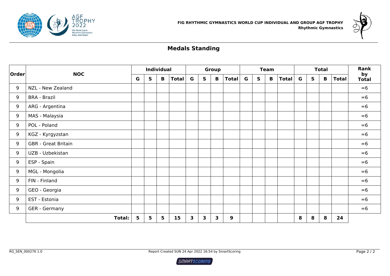



# **Medals Standing**

|       | <b>NOC</b>                 |   |              | <b>Individual</b> |              |   |   | <b>Group</b> |              |   |              | <b>Team</b> |              | <b>Total</b> |   |             |              | Rank               |
|-------|----------------------------|---|--------------|-------------------|--------------|---|---|--------------|--------------|---|--------------|-------------|--------------|--------------|---|-------------|--------------|--------------------|
| Order |                            | G | $\mathsf{s}$ | $\mathbf{B}$      | <b>Total</b> | G | S | B            | <b>Total</b> | G | $\mathsf{s}$ | B           | <b>Total</b> | $\mathbf G$  | S | $\mathbf B$ | <b>Total</b> | by<br><b>Total</b> |
| 9     | NZL - New Zealand          |   |              |                   |              |   |   |              |              |   |              |             |              |              |   |             |              | $= 6$              |
| 9     | <b>BRA - Brazil</b>        |   |              |                   |              |   |   |              |              |   |              |             |              |              |   |             |              | $= 6$              |
| 9     | ARG - Argentina            |   |              |                   |              |   |   |              |              |   |              |             |              |              |   |             |              | $= 6$              |
| 9     | MAS - Malaysia             |   |              |                   |              |   |   |              |              |   |              |             |              |              |   |             |              | $= 6$              |
| 9     | POL - Poland               |   |              |                   |              |   |   |              |              |   |              |             |              |              |   |             |              | $= 6$              |
| 9     | KGZ - Kyrgyzstan           |   |              |                   |              |   |   |              |              |   |              |             |              |              |   |             |              | $= 6$              |
| 9     | <b>GBR</b> - Great Britain |   |              |                   |              |   |   |              |              |   |              |             |              |              |   |             |              | $= 6$              |
| 9     | UZB - Uzbekistan           |   |              |                   |              |   |   |              |              |   |              |             |              |              |   |             |              | $= 6$              |
| 9     | ESP - Spain                |   |              |                   |              |   |   |              |              |   |              |             |              |              |   |             |              | $= 6$              |
| 9     | <b>MGL - Mongolia</b>      |   |              |                   |              |   |   |              |              |   |              |             |              |              |   |             |              | $= 6$              |
| 9     | FIN - Finland              |   |              |                   |              |   |   |              |              |   |              |             |              |              |   |             |              | $= 6$              |
| 9     | GEO - Georgia              |   |              |                   |              |   |   |              |              |   |              |             |              |              |   |             |              | $= 6$              |
| 9     | EST - Estonia              |   |              |                   |              |   |   |              |              |   |              |             |              |              |   |             |              | $= 6$              |
| 9     | GER - Germany              |   |              |                   |              |   |   |              |              |   |              |             |              |              |   |             |              | $= 6$              |
|       | <b>Total:</b>              | 5 | 5            | 5                 | 15           | 3 | 3 | $\mathbf{3}$ | 9            |   |              |             |              | 8            | 8 | 8           | 24           |                    |

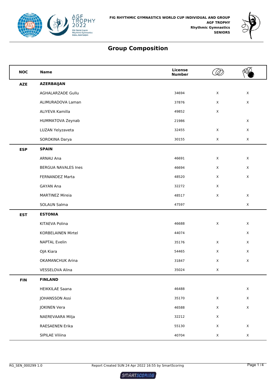



| <b>NOC</b> | <b>Name</b>                | License<br><b>Number</b> |             |             |
|------------|----------------------------|--------------------------|-------------|-------------|
| <b>AZE</b> | <b>AZERBAIJAN</b>          |                          |             |             |
|            | AGHALARZADE Gullu          | 34694                    | $\mathsf X$ | $\mathsf X$ |
|            | ALIMURADOVA Laman          | 37876                    | $\mathsf X$ | $\mathsf X$ |
|            | ALIYEVA Kamilla            | 49852                    | $\mathsf X$ |             |
|            | HUMMATOVA Zeynab           | 21986                    |             | $\mathsf X$ |
|            | LUZAN Yelyzaveta           | 32455                    | X           | $\mathsf X$ |
|            | SOROKINA Darya             | 30155                    | $\mathsf X$ | $\mathsf X$ |
| <b>ESP</b> | <b>SPAIN</b>               |                          |             |             |
|            | ARNAU Ana                  | 46691                    | $\mathsf X$ | $\mathsf X$ |
|            | <b>BERGUA NAVALES Ines</b> | 46694                    | X           | $\mathsf X$ |
|            | FERNANDEZ Marta            | 48520                    | $\mathsf X$ | $\mathsf X$ |
|            | <b>GAYAN Ana</b>           | 32272                    | $\mathsf X$ |             |
|            | <b>MARTINEZ Mireia</b>     | 48517                    | X           | $\mathsf X$ |
|            | SOLAUN Salma               | 47597                    |             | $\mathsf X$ |
| <b>EST</b> | <b>ESTONIA</b>             |                          |             |             |
|            | KITAEVA Polina             | 46688                    | $\mathsf X$ | $\mathsf X$ |
|            | <b>KORBELAINEN Mirtel</b>  | 44074                    |             | $\mathsf X$ |
|            | <b>NAPTAL Evelin</b>       | 35176                    | $\mathsf X$ | $\mathsf X$ |
|            | OJA Kiara                  | 54465                    | $\mathsf X$ | $\mathsf X$ |
|            | <b>OKAMANCHUK Arina</b>    | 31847                    | X           | $\mathsf X$ |
|            | VESSELOVA Alina            | 35024                    | $\mathsf X$ |             |
| <b>FIN</b> | <b>FINLAND</b>             |                          |             |             |
|            | <b>HEIKKILAE Saana</b>     | 46488                    |             | $\mathsf X$ |
|            | JOHANSSON Assi             | 35170                    | $\mathsf X$ | $\mathsf X$ |
|            | <b>JOKINEN Vera</b>        | 46588                    | $\mathsf X$ | $\mathsf X$ |
|            | NAEREVAARA Milja           | 32212                    | $\mathsf X$ |             |
|            | RAESAENEN Erika            | 55130                    | $\mathsf X$ | $\mathsf X$ |
|            | SIPILAE Viliina            | 40704                    | $\mathsf X$ | $\mathsf X$ |

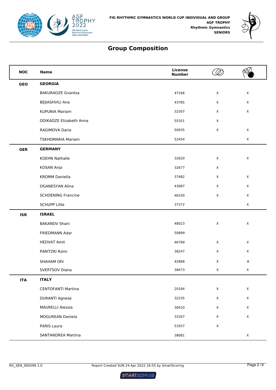



| <b>NOC</b> | <b>Name</b>                    | License<br><b>Number</b> |             |                    |
|------------|--------------------------------|--------------------------|-------------|--------------------|
| <b>GEO</b> | <b>GEORGIA</b>                 |                          |             |                    |
|            | <b>BAKURADZE Gvantsa</b>       | 47166                    | X           | X                  |
|            | <b>BEJIASHVILI Ana</b>         | 43785                    | X           | X                  |
|            | KUPUNIA Mariam                 | 32307                    | $\mathsf X$ | $\mathsf X$        |
|            | <b>ODIKADZE Elizabeth Anna</b> | 55351                    | X           |                    |
|            | RAGIMOVA Daria                 | 50035                    | $\mathsf X$ | X                  |
|            | <b>TSKHOMARIA Mariam</b>       | 52454                    |             | $\mathsf X$        |
| <b>GER</b> | <b>GERMANY</b>                 |                          |             |                    |
|            | <b>KOEHN Nathalie</b>          | 32620                    | X           | $\mathsf X$        |
|            | KOSAN Anja                     | 32677                    | X           |                    |
|            | <b>KROMM Daniella</b>          | 37482                    | X           | X                  |
|            | <b>OGANESYAN Alina</b>         | 43087                    | X           | X                  |
|            | <b>SCHOENING Francine</b>      | 46330                    | $\mathsf X$ | X                  |
|            | <b>SCHUPP Lillie</b>           | 37372                    |             | X                  |
| <b>ISR</b> | <b>ISRAEL</b>                  |                          |             |                    |
|            | <b>BAKANOV Shani</b>           | 48023                    | $\mathsf X$ | X                  |
|            | FRIEDMANN Adar                 | 50899                    |             |                    |
|            | <b>HEDVAT Amit</b>             | 46789                    | X           | X                  |
|            | PARITZKI Romi                  | 38247                    | X           | X                  |
|            | SHAHAM Ofir                    | 42868                    | $\mathsf X$ | $\pmb{\mathsf{X}}$ |
|            | <b>SVERTSOV Diana</b>          | 38473                    | X           | X                  |
| <b>ITA</b> | <b>ITALY</b>                   |                          |             |                    |
|            | <b>CENTOFANTI Martina</b>      | 20184                    | $\mathsf X$ | $\mathsf X$        |
|            | <b>DURANTI Agnese</b>          | 32235                    | $\mathsf X$ | $\mathsf X$        |
|            | <b>MAURELLI Alessia</b>        | 30410                    | $\mathsf X$ | $\mathsf X$        |
|            | MOGUREAN Daniela               | 32267                    | $\mathsf X$ | $\mathsf X$        |
|            | PARIS Laura                    | 51937                    | $\mathsf X$ |                    |
|            | <b>SANTANDREA Martina</b>      | 38081                    |             | X                  |

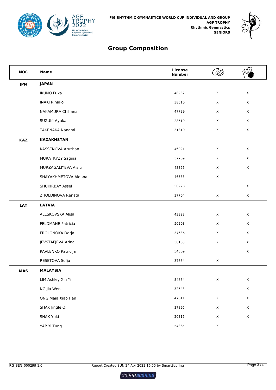



| <b>NOC</b> | <b>Name</b>              | <b>License</b><br><b>Number</b> |              |              |
|------------|--------------------------|---------------------------------|--------------|--------------|
| <b>JPN</b> | <b>JAPAN</b>             |                                 |              |              |
|            | <b>IKUNO Fuka</b>        | 48232                           | $\mathsf X$  | $\mathsf{X}$ |
|            | <b>INAKI Rinako</b>      | 38510                           | $\mathsf X$  | $\mathsf{X}$ |
|            | NAKAMURA Chihana         | 47729                           | X            | $\mathsf{X}$ |
|            | SUZUKI Ayuka             | 28519                           | $\mathsf X$  | $\mathsf{X}$ |
|            | TAKENAKA Nanami          | 31810                           | X            | $\mathsf{X}$ |
| <b>KAZ</b> | <b>KAZAKHSTAN</b>        |                                 |              |              |
|            | KASSENOVA Aruzhan        | 46921                           | X            | X            |
|            | MURATKYZY Sagina         | 37709                           | $\mathsf X$  | $\mathsf{X}$ |
|            | MURZAGALIYEVA Aislu      | 43326                           | $\mathsf X$  | $\mathsf X$  |
|            | SHAYAKHMETOVA Aidana     | 46533                           | $\mathsf X$  |              |
|            | SHUKIRBAY Assel          | 50228                           |              | $\mathsf{X}$ |
|            | ZHOLDINOVA Renata        | 37704                           | $\mathsf X$  | $\mathsf{X}$ |
| <b>LAT</b> | <b>LATVIA</b>            |                                 |              |              |
|            | ALESKOVSKA Alisa         | 43323                           | $\mathsf X$  | $\mathsf{X}$ |
|            | <b>FELDMANE Patricia</b> | 50208                           | $\mathsf X$  | $\mathsf{X}$ |
|            | FROLONOKA Darja          | 37636                           | X            | $\times$     |
|            | JEVSTAFJEVA Arina        | 38103                           | $\mathsf X$  | $\mathsf X$  |
|            | PAVLENKO Patricija       | 54509                           |              | $\mathsf{X}$ |
|            | RESETOVA Sofja           | 37634                           | $\mathsf{X}$ |              |
| <b>MAS</b> | <b>MALAYSIA</b>          |                                 |              |              |
|            | LIM Ashley Xin Yi        | 54864                           | $\mathsf X$  | $\mathsf X$  |
|            | NG Jia Wen               | 32543                           |              | $\mathsf X$  |
|            | ONG Maia Xiao Han        | 47611                           | $\mathsf X$  | $\mathsf X$  |
|            | SHAK Jingle Qi           | 37895                           | $\mathsf X$  | $\mathsf X$  |
|            | <b>SHAK Yuki</b>         | 20315                           | $\mathsf X$  | $\mathsf X$  |
|            | YAP Yi Tung              | 54865                           | $\mathsf X$  |              |

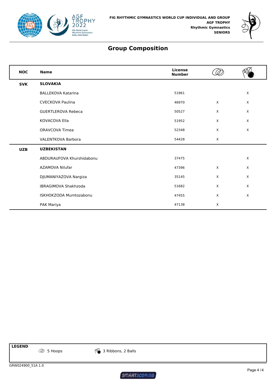



| <b>NOC</b> | <b>Name</b>               | License<br><b>Number</b> |              |              |
|------------|---------------------------|--------------------------|--------------|--------------|
| <b>SVK</b> | <b>SLOVAKIA</b>           |                          |              |              |
|            | <b>BALLEKOVA Katarina</b> | 51961                    |              | X            |
|            | <b>CVECKOVA Paulina</b>   | 46970                    | $\sf X$      | $\mathsf{X}$ |
|            | <b>GUERTLEROVA Rebeca</b> | 50527                    | X            | $\mathsf{X}$ |
|            | KOVACOVA Ella             | 51952                    | X            | $\mathsf{X}$ |
|            | <b>ORAVCOVA Timea</b>     | 52348                    | X            | $\mathsf{X}$ |
|            | <b>VALENTKOVA Barbora</b> | 54428                    | $\mathsf{X}$ |              |
| <b>UZB</b> | <b>UZBEKISTAN</b>         |                          |              |              |
|            | ABDURAUFOVA Khurshidabonu | 37475                    |              | $\mathsf{X}$ |
|            | AZAMOVA Nilufar           | 47396                    | $\mathsf{X}$ | $\mathsf{X}$ |
|            | DJUMANIYAZOVA Nargiza     | 35145                    | X            | $\mathsf{X}$ |
|            | IBRAGIMOVA Shakhzoda      | 51682                    | X            | $\mathsf{X}$ |
|            | ISKHOKZODA Mumtozabonu    | 47455                    | X            | $\mathsf{X}$ |
|            | PAK Mariya                | 47138                    | X            |              |

**LEGEND**

5 Hoops 3 Ribbons, 2 Balls

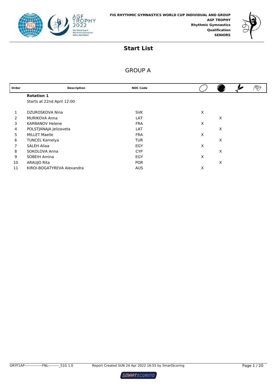



#### GROUP A

| Order | <b>Description</b>         | <b>NOC Code</b> |   |   | ⅋ |
|-------|----------------------------|-----------------|---|---|---|
|       | <b>Rotation 1</b>          |                 |   |   |   |
|       | Starts at 22nd April 12:00 |                 |   |   |   |
|       | DZUROSKOVA Nina            | <b>SVK</b>      | X |   |   |
| 2     | <b>MURIKOVA Anna</b>       | LAT             |   | X |   |
| 3     | <b>KARBANOV Helene</b>     | <b>FRA</b>      | X |   |   |
| 4     | POLSTJANAJA Jelizaveta     | LAT             |   | X |   |
| 5     | <b>MILLET Maelle</b>       | <b>FRA</b>      | X |   |   |
| 6     | <b>TUNCEL Kamelya</b>      | <b>TUR</b>      |   | X |   |
| 7     | SALEH Aliaa                | EGY             | X |   |   |
| 8     | SOKOLOVA Anna              | <b>CYP</b>      |   | X |   |
| 9     | SOBEIH Amina               | EGY             | X |   |   |
| 10    | ARAUJO Rita                | <b>POR</b>      |   | X |   |
| 11    | KIROI-BOGATYREVA Alexandra | <b>AUS</b>      | X |   |   |

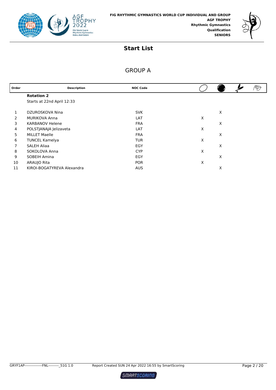



#### GROUP A

| Order | <b>Description</b>         | <b>NOC Code</b> |   | ⅋ |
|-------|----------------------------|-----------------|---|---|
|       | <b>Rotation 2</b>          |                 |   |   |
|       | Starts at 22nd April 12:33 |                 |   |   |
|       | DZUROSKOVA Nina            | <b>SVK</b>      | X |   |
| 2     | <b>MURIKOVA Anna</b>       | LAT             | X |   |
| 3     | <b>KARBANOV Helene</b>     | <b>FRA</b>      | X |   |
| 4     | POLSTJANAJA Jelizaveta     | LAT             | X |   |
| 5     | <b>MILLET Maelle</b>       | <b>FRA</b>      | X |   |
| 6     | <b>TUNCEL Kamelya</b>      | <b>TUR</b>      | X |   |
|       | <b>SALEH Aliaa</b>         | EGY             | X |   |
| 8     | SOKOLOVA Anna              | <b>CYP</b>      | X |   |
| 9     | SOBEIH Amina               | EGY             | X |   |
| 10    | ARAUJO Rita                | <b>POR</b>      | X |   |
| 11    | KIROI-BOGATYREVA Alexandra | <b>AUS</b>      | X |   |

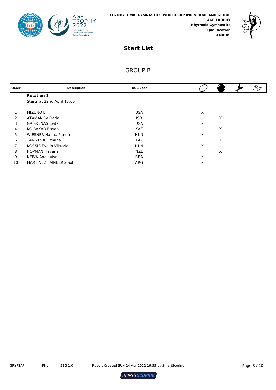



# GROUP B

| Order | <b>Description</b>            | <b>NOC Code</b> |   |   |  |
|-------|-------------------------------|-----------------|---|---|--|
|       | <b>Rotation 1</b>             |                 |   |   |  |
|       | Starts at 22nd April 13:06    |                 |   |   |  |
|       | <b>MIZUNO Lili</b>            | <b>USA</b>      | X |   |  |
| 2     | <b>ATAMANOV Daria</b>         | <b>ISR</b>      |   | X |  |
| 3     | <b>GRISKENAS Evita</b>        | <b>USA</b>      | X |   |  |
| 4     | KOIBAKAR Bayan                | <b>KAZ</b>      |   | X |  |
| 5     | <b>WIESNER Hanna Panna</b>    | <b>HUN</b>      | X |   |  |
| 6     | <b>TANIYEVA Elzhana</b>       | <b>KAZ</b>      |   | X |  |
| 7     | <b>KOCSIS Evelin Viktoria</b> | <b>HUN</b>      | X |   |  |
| 8     | <b>HOPMAN Havana</b>          | <b>NZL</b>      |   | X |  |
| 9     | NEIVA Ana Luisa               | <b>BRA</b>      | X |   |  |
| 10    | MARTINEZ FAINBERG Sol         | ARG             | X |   |  |

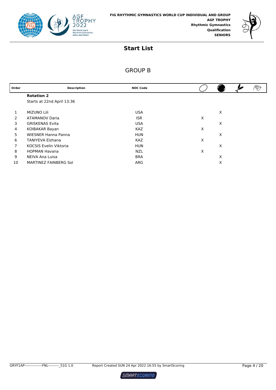



# GROUP B

| Order | <b>Description</b>            | <b>NOC Code</b> |   |   | ষ্চ |
|-------|-------------------------------|-----------------|---|---|-----|
|       | <b>Rotation 2</b>             |                 |   |   |     |
|       | Starts at 22nd April 13:36    |                 |   |   |     |
|       | <b>MIZUNO Lili</b>            | <b>USA</b>      |   | X |     |
| 2     | <b>ATAMANOV Daria</b>         | <b>ISR</b>      | X |   |     |
| 3     | <b>GRISKENAS Evita</b>        | <b>USA</b>      |   | X |     |
| 4     | KOIBAKAR Bayan                | <b>KAZ</b>      | X |   |     |
| 5     | <b>WIESNER Hanna Panna</b>    | <b>HUN</b>      |   | X |     |
| 6     | <b>TANIYEVA Elzhana</b>       | <b>KAZ</b>      | X |   |     |
| 7     | <b>KOCSIS Evelin Viktoria</b> | <b>HUN</b>      |   | X |     |
| 8     | <b>HOPMAN Havana</b>          | <b>NZL</b>      | X |   |     |
| 9     | NEIVA Ana Luisa               | <b>BRA</b>      |   | X |     |
| 10    | MARTINEZ FAINBERG Sol         | ARG             |   | X |     |
|       |                               |                 |   |   |     |

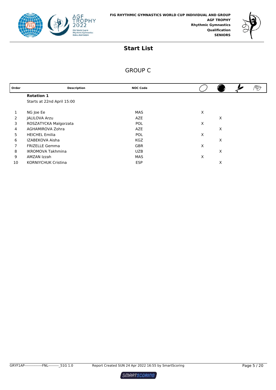



# GROUP C

| Order | <b>Description</b>         | <b>NOC Code</b> |   |   |  |
|-------|----------------------------|-----------------|---|---|--|
|       | <b>Rotation 1</b>          |                 |   |   |  |
|       | Starts at 22nd April 15:00 |                 |   |   |  |
|       |                            |                 |   |   |  |
| 1     | NG Joe Ee                  | MAS             | X |   |  |
| 2     | JALILOVA Arzu              | AZE             |   | X |  |
| 3     | ROSZATYCKA Malgorzata      | <b>POL</b>      | X |   |  |
| 4     | AGHAMIROVA Zohra           | AZE             |   | X |  |
| 5     | <b>HEICHEL Emilia</b>      | <b>POL</b>      | X |   |  |
| 6     | IZABEKOVA Aisha            | <b>KGZ</b>      |   | X |  |
| 7     | <b>FRIZELLE Gemma</b>      | <b>GBR</b>      | X |   |  |
| 8     | <b>IKROMOVA Takhmina</b>   | <b>UZB</b>      |   | X |  |
| 9     | AMZAN Izzah                | MAS             | X |   |  |
| 10    | <b>KORNIYCHUK Cristina</b> | <b>ESP</b>      |   | X |  |
|       |                            |                 |   |   |  |

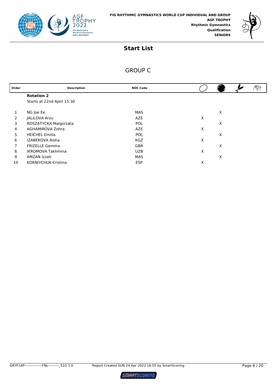



# GROUP C

| Order | <b>Description</b>         | <b>NOC Code</b> |   |  |
|-------|----------------------------|-----------------|---|--|
|       | <b>Rotation 2</b>          |                 |   |  |
|       | Starts at 22nd April 15:30 |                 |   |  |
|       |                            |                 |   |  |
|       | NG Joe Ee                  | MAS             | X |  |
| 2     | JALILOVA Arzu              | <b>AZE</b>      | X |  |
| 3     | ROSZATYCKA Malgorzata      | POL             | X |  |
| 4     | AGHAMIROVA Zohra           | AZE             | X |  |
| 5     | <b>HEICHEL Emilia</b>      | <b>POL</b>      | X |  |
| 6     | IZABEKOVA Aisha            | <b>KGZ</b>      | X |  |
| 7     | <b>FRIZELLE Gemma</b>      | <b>GBR</b>      | X |  |
| 8     | <b>IKROMOVA Takhmina</b>   | <b>UZB</b>      | X |  |
| 9     | AMZAN Izzah                | MAS             | X |  |
| 10    | <b>KORNIYCHUK Cristina</b> | <b>ESP</b>      | X |  |

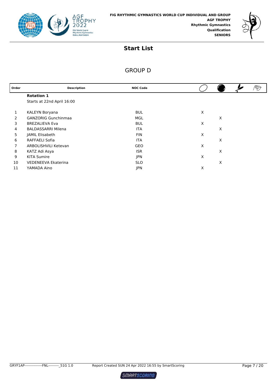



# GROUP D

| Order | <b>Description</b>         | <b>NOC Code</b> |   |   |  |
|-------|----------------------------|-----------------|---|---|--|
|       | <b>Rotation 1</b>          |                 |   |   |  |
|       | Starts at 22nd April 16:00 |                 |   |   |  |
|       | KALEYN Boryana             | <b>BUL</b>      | X |   |  |
| 2     | <b>GANZORIG Gunchinmaa</b> | MGL             |   | X |  |
| 3     | <b>BREZALIEVA Eva</b>      | <b>BUL</b>      | X |   |  |
| 4     | <b>BALDASSARRI Milena</b>  | <b>ITA</b>      |   | X |  |
| 5     | JAMIL Elisabeth            | <b>FIN</b>      | X |   |  |
| 6     | RAFFAELI Sofia             | <b>ITA</b>      |   | X |  |
| 7     | ARBOLISHVILI Ketevan       | <b>GEO</b>      | Χ |   |  |
| 8     | KATZ Adi Asya              | <b>ISR</b>      |   | X |  |
| 9     | <b>KITA Sumire</b>         | <b>JPN</b>      | X |   |  |
| 10    | <b>VEDENEEVA Ekaterina</b> | <b>SLO</b>      |   | X |  |
| 11    | YAMADA Aino                | <b>JPN</b>      | X |   |  |

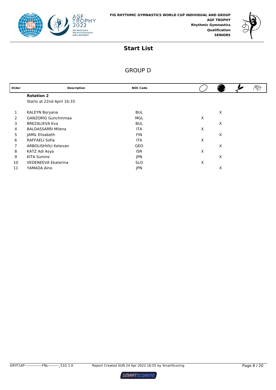



# GROUP D

| Order | <b>Description</b>         | <b>NOC Code</b> |   |   | V |
|-------|----------------------------|-----------------|---|---|---|
|       | <b>Rotation 2</b>          |                 |   |   |   |
|       | Starts at 22nd April 16:33 |                 |   |   |   |
|       | KALEYN Boryana             | <b>BUL</b>      |   | X |   |
| 2     | <b>GANZORIG Gunchinmaa</b> | MGL             | X |   |   |
| 3     | <b>BREZALIEVA Eva</b>      | <b>BUL</b>      |   | X |   |
| 4     | <b>BALDASSARRI Milena</b>  | <b>ITA</b>      | Χ |   |   |
| 5     | JAMIL Elisabeth            | <b>FIN</b>      |   | X |   |
| 6     | RAFFAELI Sofia             | <b>ITA</b>      | X |   |   |
| 7     | ARBOLISHVILI Ketevan       | <b>GEO</b>      |   | X |   |
| 8     | KATZ Adi Asya              | <b>ISR</b>      | X |   |   |
| 9     | <b>KITA Sumire</b>         | <b>JPN</b>      |   | X |   |
| 10    | <b>VEDENEEVA Ekaterina</b> | <b>SLO</b>      | Х |   |   |
| 11    | YAMADA Aino                | <b>JPN</b>      |   | X |   |

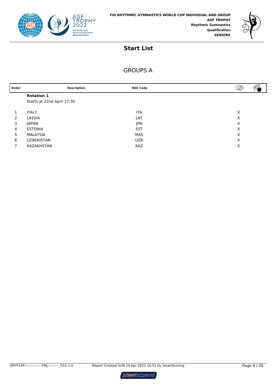



#### GROUPS A

| Order         |                            | <b>Description</b> | <b>NOC Code</b> | D |  |
|---------------|----------------------------|--------------------|-----------------|---|--|
|               | <b>Rotation 1</b>          |                    |                 |   |  |
|               | Starts at 22nd April 17:30 |                    |                 |   |  |
|               |                            |                    |                 |   |  |
|               | <b>ITALY</b>               |                    | <b>ITA</b>      | X |  |
| $\mathcal{P}$ | LATVIA                     |                    | LAT             | X |  |
| 3             | <b>JAPAN</b>               |                    | JPN             | Х |  |
| 4             | <b>ESTONIA</b>             |                    | <b>EST</b>      | X |  |
| 5             | MALAYSIA                   |                    | MAS             | X |  |
| 6             | <b>UZBEKISTAN</b>          |                    | <b>UZB</b>      | X |  |
|               | KAZAKHSTAN                 |                    | <b>KAZ</b>      | Х |  |
|               |                            |                    |                 |   |  |

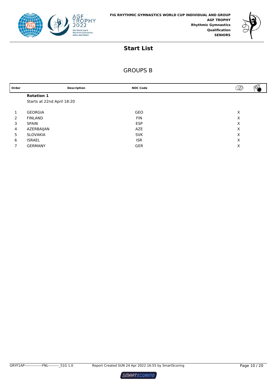



# GROUPS B

| Order         |                            | <b>Description</b> | <b>NOC Code</b> | D | $\sim$ |
|---------------|----------------------------|--------------------|-----------------|---|--------|
|               | <b>Rotation 1</b>          |                    |                 |   |        |
|               | Starts at 22nd April 18:20 |                    |                 |   |        |
|               |                            |                    |                 |   |        |
|               | <b>GEORGIA</b>             |                    | GEO             | X |        |
| $\mathcal{P}$ | <b>FINLAND</b>             |                    | <b>FIN</b>      | X |        |
| 3             | <b>SPAIN</b>               |                    | <b>ESP</b>      | X |        |
| 4             | AZERBAIJAN                 |                    | AZE             | X |        |
| 5             | SLOVAKIA                   |                    | <b>SVK</b>      | X |        |
| 6             | <b>ISRAEL</b>              |                    | <b>ISR</b>      | X |        |
|               | <b>GERMANY</b>             |                    | <b>GER</b>      | X |        |
|               |                            |                    |                 |   |        |

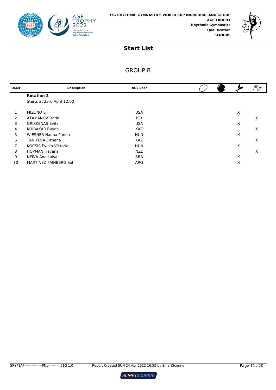



#### GROUP B

| Order | <b>Description</b>            | <b>NOC Code</b> |  |   | $\mathscr{D}$ |
|-------|-------------------------------|-----------------|--|---|---------------|
|       | <b>Rotation 3</b>             |                 |  |   |               |
|       | Starts at 23rd April 12:00    |                 |  |   |               |
|       | <b>MIZUNO Lili</b>            | <b>USA</b>      |  | X |               |
| 2     | <b>ATAMANOV Daria</b>         | <b>ISR</b>      |  |   | X             |
| 3     | <b>GRISKENAS Evita</b>        | <b>USA</b>      |  | X |               |
| 4     | KOIBAKAR Bayan                | <b>KAZ</b>      |  |   | X             |
| 5     | <b>WIESNER Hanna Panna</b>    | <b>HUN</b>      |  | X |               |
| 6     | <b>TANIYEVA Elzhana</b>       | <b>KAZ</b>      |  |   | X             |
| 7     | <b>KOCSIS Evelin Viktoria</b> | <b>HUN</b>      |  | X |               |
| 8     | <b>HOPMAN Havana</b>          | <b>NZL</b>      |  |   | X             |
| 9     | NEIVA Ana Luisa               | <b>BRA</b>      |  | X |               |
| 10    | MARTINEZ FAINBERG Sol         | ARG             |  | Х |               |

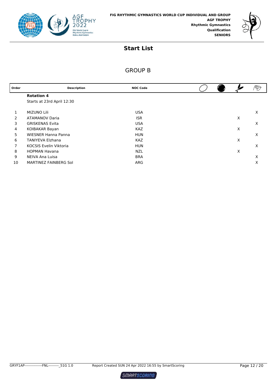



#### GROUP B

| Order | <b>Description</b>            | <b>NOC Code</b> |   |   |
|-------|-------------------------------|-----------------|---|---|
|       | <b>Rotation 4</b>             |                 |   |   |
|       | Starts at 23rd April 12:30    |                 |   |   |
|       |                               |                 |   |   |
| 1     | <b>MIZUNO Lili</b>            | <b>USA</b>      |   | X |
| 2     | <b>ATAMANOV Daria</b>         | <b>ISR</b>      | X |   |
| 3     | <b>GRISKENAS Evita</b>        | <b>USA</b>      |   | X |
| 4     | KOIBAKAR Bayan                | <b>KAZ</b>      | X |   |
| 5     | <b>WIESNER Hanna Panna</b>    | <b>HUN</b>      |   | X |
| 6     | <b>TANIYEVA Elzhana</b>       | <b>KAZ</b>      | X |   |
| 7     | <b>KOCSIS Evelin Viktoria</b> | <b>HUN</b>      |   | X |
| 8     | <b>HOPMAN Havana</b>          | <b>NZL</b>      | X |   |
| 9     | NEIVA Ana Luisa               | <b>BRA</b>      |   | X |
| 10    | MARTINEZ FAINBERG Sol         | ARG             |   | X |

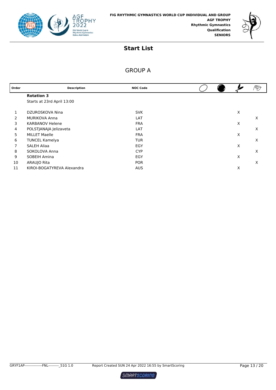



#### GROUP A

| Order | <b>Description</b>         | <b>NOC Code</b> |  |   |   |
|-------|----------------------------|-----------------|--|---|---|
|       | <b>Rotation 3</b>          |                 |  |   |   |
|       | Starts at 23rd April 13:00 |                 |  |   |   |
|       | DZUROSKOVA Nina            | <b>SVK</b>      |  | X |   |
| 2     | <b>MURIKOVA Anna</b>       | LAT             |  |   | X |
| 3     | <b>KARBANOV Helene</b>     | <b>FRA</b>      |  | X |   |
| 4     | POLSTJANAJA Jelizaveta     | LAT             |  |   | X |
| 5     | <b>MILLET Maelle</b>       | <b>FRA</b>      |  | X |   |
| 6     | <b>TUNCEL Kamelya</b>      | <b>TUR</b>      |  |   | X |
|       | SALEH Aliaa                | EGY             |  | X |   |
| 8     | SOKOLOVA Anna              | <b>CYP</b>      |  |   | X |
| 9     | SOBEIH Amina               | EGY             |  | X |   |
| 10    | ARAUJO Rita                | <b>POR</b>      |  |   | X |
| 11    | KIROI-BOGATYREVA Alexandra | <b>AUS</b>      |  | X |   |

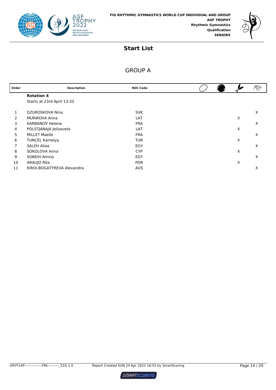



#### GROUP A

| Order | <b>Description</b>         | <b>NOC Code</b> |  |   | V |
|-------|----------------------------|-----------------|--|---|---|
|       | <b>Rotation 4</b>          |                 |  |   |   |
|       | Starts at 23rd April 13:33 |                 |  |   |   |
|       | DZUROSKOVA Nina            | <b>SVK</b>      |  |   | X |
| 2     | <b>MURIKOVA Anna</b>       | LAT             |  | X |   |
| 3     | <b>KARBANOV Helene</b>     | <b>FRA</b>      |  |   | X |
| 4     | POLSTJANAJA Jelizaveta     | LAT             |  | Χ |   |
| 5     | <b>MILLET Maelle</b>       | <b>FRA</b>      |  |   | X |
| 6     | <b>TUNCEL Kamelya</b>      | <b>TUR</b>      |  | X |   |
|       | <b>SALEH Aliaa</b>         | EGY             |  |   | X |
| 8     | SOKOLOVA Anna              | <b>CYP</b>      |  | X |   |
| 9     | SOBEIH Amina               | EGY             |  |   | X |
| 10    | ARAUJO Rita                | <b>POR</b>      |  | Χ |   |
| 11    | KIROI-BOGATYREVA Alexandra | <b>AUS</b>      |  |   | X |

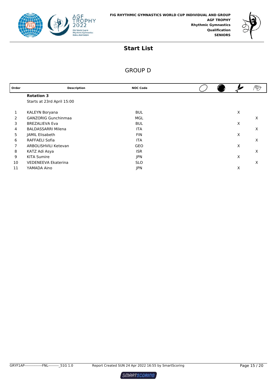



# GROUP D

| Order | <b>Description</b>         | <b>NOC Code</b> |  |   | V |
|-------|----------------------------|-----------------|--|---|---|
|       | <b>Rotation 3</b>          |                 |  |   |   |
|       | Starts at 23rd April 15:00 |                 |  |   |   |
|       | KALEYN Boryana             | <b>BUL</b>      |  | X |   |
| 2     | <b>GANZORIG Gunchinmaa</b> | MGL             |  |   | X |
| 3     | <b>BREZALIEVA Eva</b>      | <b>BUL</b>      |  | X |   |
| 4     | <b>BALDASSARRI Milena</b>  | <b>ITA</b>      |  |   | X |
| 5     | JAMIL Elisabeth            | <b>FIN</b>      |  | X |   |
| 6     | <b>RAFFAELI Sofia</b>      | <b>ITA</b>      |  |   | X |
| 7     | ARBOLISHVILI Ketevan       | GEO             |  | X |   |
| 8     | KATZ Adi Asya              | <b>ISR</b>      |  |   | X |
| 9     | <b>KITA Sumire</b>         | <b>JPN</b>      |  | X |   |
| 10    | <b>VEDENEEVA Ekaterina</b> | <b>SLO</b>      |  |   | X |
| 11    | YAMADA Aino                | <b>JPN</b>      |  | X |   |

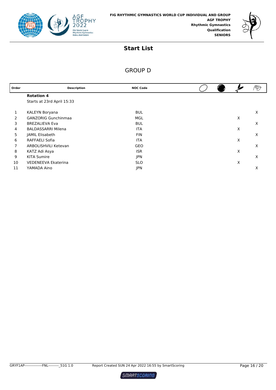



# GROUP D

| Order | <b>Description</b>         | <b>NOC Code</b> |  |   |   |
|-------|----------------------------|-----------------|--|---|---|
|       | <b>Rotation 4</b>          |                 |  |   |   |
|       | Starts at 23rd April 15:33 |                 |  |   |   |
|       | KALEYN Boryana             | <b>BUL</b>      |  |   | X |
| 2     | <b>GANZORIG Gunchinmaa</b> | MGL             |  | Х |   |
| 3     | <b>BREZALIEVA Eva</b>      | <b>BUL</b>      |  |   | X |
| 4     | <b>BALDASSARRI Milena</b>  | <b>ITA</b>      |  | X |   |
| 5     | JAMIL Elisabeth            | <b>FIN</b>      |  |   | X |
| 6     | <b>RAFFAELI Sofia</b>      | <b>ITA</b>      |  | X |   |
| 7     | ARBOLISHVILI Ketevan       | GEO             |  |   | X |
| 8     | KATZ Adi Asya              | <b>ISR</b>      |  | Χ |   |
| 9     | <b>KITA Sumire</b>         | <b>JPN</b>      |  |   | X |
| 10    | <b>VEDENEEVA Ekaterina</b> | <b>SLO</b>      |  | X |   |
| 11    | YAMADA Aino                | <b>JPN</b>      |  |   | X |

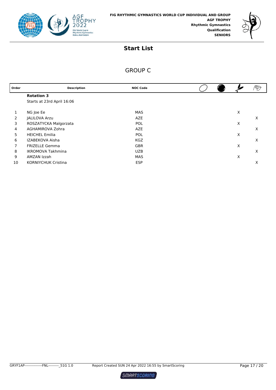



# GROUP C

| Order | <b>Description</b>         | <b>NOC Code</b> |  |   |   |
|-------|----------------------------|-----------------|--|---|---|
|       | <b>Rotation 3</b>          |                 |  |   |   |
|       | Starts at 23rd April 16:06 |                 |  |   |   |
|       |                            |                 |  |   |   |
|       | NG Joe Ee                  | <b>MAS</b>      |  | X |   |
| 2     | <b>JALILOVA Arzu</b>       | <b>AZE</b>      |  |   | X |
| 3     | ROSZATYCKA Malgorzata      | <b>POL</b>      |  | X |   |
| 4     | AGHAMIROVA Zohra           | <b>AZE</b>      |  |   | X |
| 5     | <b>HEICHEL Emilia</b>      | <b>POL</b>      |  | X |   |
| 6     | IZABEKOVA Aisha            | <b>KGZ</b>      |  |   | X |
| 7     | <b>FRIZELLE Gemma</b>      | <b>GBR</b>      |  | X |   |
| 8     | <b>IKROMOVA Takhmina</b>   | <b>UZB</b>      |  |   | X |
| 9     | AMZAN Izzah                | MAS             |  | X |   |
| 10    | <b>KORNIYCHUK Cristina</b> | <b>ESP</b>      |  |   | Х |

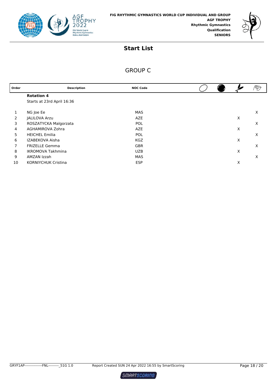



# GROUP C

| <b>Description</b>         | <b>NOC Code</b> |   |   |
|----------------------------|-----------------|---|---|
| <b>Rotation 4</b>          |                 |   |   |
| Starts at 23rd April 16:36 |                 |   |   |
|                            |                 |   |   |
| NG Joe Ee                  | <b>MAS</b>      |   | X |
| <b>JALILOVA Arzu</b>       | <b>AZE</b>      | X |   |
| ROSZATYCKA Malgorzata      | <b>POL</b>      |   | X |
| AGHAMIROVA Zohra           | <b>AZE</b>      | Х |   |
| <b>HEICHEL Emilia</b>      | <b>POL</b>      |   | X |
| IZABEKOVA Aisha            | <b>KGZ</b>      | Х |   |
| <b>FRIZELLE Gemma</b>      | <b>GBR</b>      |   | X |
| <b>IKROMOVA Takhmina</b>   | <b>UZB</b>      | X |   |
| AMZAN Izzah                | <b>MAS</b>      |   | X |
| <b>KORNIYCHUK Cristina</b> | <b>ESP</b>      | Х |   |
|                            |                 |   |   |

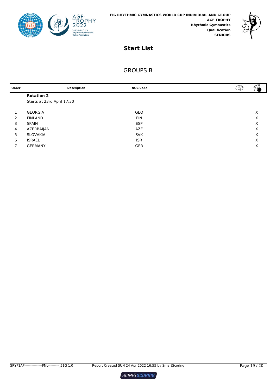



# GROUPS B

| Order         | <b>Description</b>         | <b>NOC Code</b> | D | $\omega_{\rm c}$ |
|---------------|----------------------------|-----------------|---|------------------|
|               | <b>Rotation 2</b>          |                 |   |                  |
|               | Starts at 23rd April 17:30 |                 |   |                  |
|               |                            |                 |   |                  |
|               | <b>GEORGIA</b>             | <b>GEO</b>      |   | X                |
| $\mathcal{P}$ | <b>FINLAND</b>             | <b>FIN</b>      |   | X                |
| 3             | <b>SPAIN</b>               | <b>ESP</b>      |   | X                |
| 4             | AZERBAIJAN                 | <b>AZE</b>      |   | X                |
| 5             | SLOVAKIA                   | <b>SVK</b>      |   | X                |
| 6             | <b>ISRAEL</b>              | <b>ISR</b>      |   | X                |
|               | <b>GERMANY</b>             | <b>GER</b>      |   | X                |

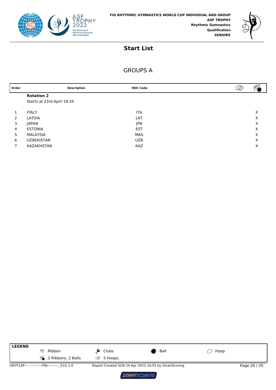



### GROUPS A

| Order         |                            | <b>Description</b> | <b>NOC Code</b> | D<br>$V^{0}V$ |
|---------------|----------------------------|--------------------|-----------------|---------------|
|               | <b>Rotation 2</b>          |                    |                 |               |
|               | Starts at 23rd April 18:20 |                    |                 |               |
|               |                            |                    |                 |               |
|               | <b>ITALY</b>               |                    | <b>ITA</b>      | X             |
| $\mathcal{P}$ | LATVIA                     |                    | LAT             | X             |
| 3             | JAPAN                      |                    | <b>JPN</b>      | Χ             |
| 4             | <b>ESTONIA</b>             |                    | <b>EST</b>      | Χ             |
| 5             | MALAYSIA                   |                    | <b>MAS</b>      | X             |
| 6             | <b>UZBEKISTAN</b>          |                    | <b>UZB</b>      | X             |
|               | KAZAKHSTAN                 |                    | <b>KAZ</b>      | X             |
|               |                            |                    |                 |               |

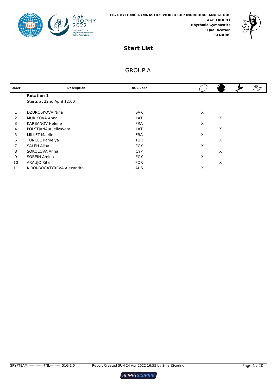



# GROUP A

| Order | <b>Description</b>         | <b>NOC Code</b> |   |   | ⅋ |
|-------|----------------------------|-----------------|---|---|---|
|       | <b>Rotation 1</b>          |                 |   |   |   |
|       | Starts at 22nd April 12:00 |                 |   |   |   |
|       | DZUROSKOVA Nina            | <b>SVK</b>      | X |   |   |
| 2     | <b>MURIKOVA Anna</b>       | LAT             |   | X |   |
| 3     | <b>KARBANOV Helene</b>     | <b>FRA</b>      | X |   |   |
| 4     | POLSTJANAJA Jelizaveta     | LAT             |   | X |   |
| 5     | <b>MILLET Maelle</b>       | <b>FRA</b>      | X |   |   |
| 6     | <b>TUNCEL Kamelya</b>      | <b>TUR</b>      |   | X |   |
| 7     | SALEH Aliaa                | EGY             | X |   |   |
| 8     | SOKOLOVA Anna              | <b>CYP</b>      |   | X |   |
| 9     | SOBEIH Amina               | EGY             | X |   |   |
| 10    | ARAUJO Rita                | <b>POR</b>      |   | X |   |
| 11    | KIROI-BOGATYREVA Alexandra | <b>AUS</b>      | X |   |   |

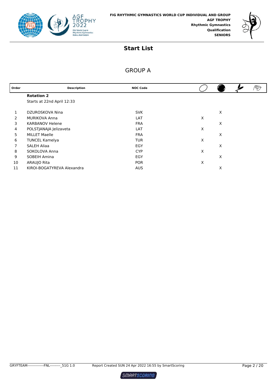



# GROUP A

| Order | <b>Description</b>         | <b>NOC Code</b> |   | ⅋ |
|-------|----------------------------|-----------------|---|---|
|       | <b>Rotation 2</b>          |                 |   |   |
|       | Starts at 22nd April 12:33 |                 |   |   |
|       | DZUROSKOVA Nina            | <b>SVK</b>      | X |   |
| 2     | <b>MURIKOVA Anna</b>       | LAT             | X |   |
| 3     | <b>KARBANOV Helene</b>     | <b>FRA</b>      | X |   |
| 4     | POLSTJANAJA Jelizaveta     | LAT             | X |   |
| 5     | <b>MILLET Maelle</b>       | <b>FRA</b>      | X |   |
| 6     | <b>TUNCEL Kamelya</b>      | <b>TUR</b>      | X |   |
|       | <b>SALEH Aliaa</b>         | EGY             | X |   |
| 8     | SOKOLOVA Anna              | <b>CYP</b>      | X |   |
| 9     | SOBEIH Amina               | EGY             | X |   |
| 10    | ARAUJO Rita                | <b>POR</b>      | X |   |
| 11    | KIROI-BOGATYREVA Alexandra | <b>AUS</b>      | X |   |

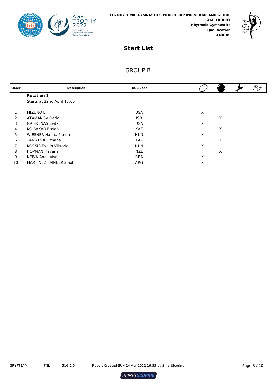



# GROUP B

| Order | <b>Description</b>            | <b>NOC Code</b> |   |   |  |
|-------|-------------------------------|-----------------|---|---|--|
|       | <b>Rotation 1</b>             |                 |   |   |  |
|       | Starts at 22nd April 13:06    |                 |   |   |  |
|       | <b>MIZUNO Lili</b>            | <b>USA</b>      | X |   |  |
| 2     | <b>ATAMANOV Daria</b>         | <b>ISR</b>      |   | X |  |
| 3     | <b>GRISKENAS Evita</b>        | <b>USA</b>      | X |   |  |
| 4     | KOIBAKAR Bayan                | <b>KAZ</b>      |   | X |  |
| 5     | <b>WIESNER Hanna Panna</b>    | <b>HUN</b>      | X |   |  |
| 6     | <b>TANIYEVA Elzhana</b>       | <b>KAZ</b>      |   | X |  |
| 7     | <b>KOCSIS Evelin Viktoria</b> | <b>HUN</b>      | X |   |  |
| 8     | <b>HOPMAN Havana</b>          | <b>NZL</b>      |   | X |  |
| 9     | NEIVA Ana Luisa               | <b>BRA</b>      | X |   |  |
| 10    | MARTINEZ FAINBERG Sol         | ARG             | X |   |  |

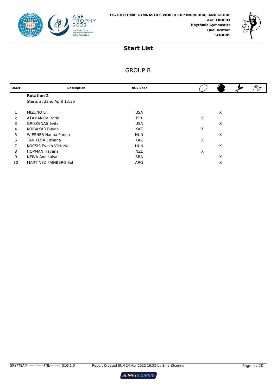



# GROUP B

| Order          | <b>Description</b>            | <b>NOC Code</b> |   |   | ষ্চ |
|----------------|-------------------------------|-----------------|---|---|-----|
|                | <b>Rotation 2</b>             |                 |   |   |     |
|                | Starts at 22nd April 13:36    |                 |   |   |     |
|                | <b>MIZUNO Lili</b>            | <b>USA</b>      |   | X |     |
| 2              | <b>ATAMANOV Daria</b>         | <b>ISR</b>      | X |   |     |
| 3              | <b>GRISKENAS Evita</b>        | <b>USA</b>      |   | X |     |
| 4              | KOIBAKAR Bayan                | <b>KAZ</b>      | X |   |     |
| 5              | <b>WIESNER Hanna Panna</b>    | <b>HUN</b>      |   | X |     |
| 6              | <b>TANIYEVA Elzhana</b>       | <b>KAZ</b>      | X |   |     |
| $\overline{7}$ | <b>KOCSIS Evelin Viktoria</b> | <b>HUN</b>      |   | X |     |
| 8              | <b>HOPMAN Havana</b>          | <b>NZL</b>      | X |   |     |
| 9              | NEIVA Ana Luisa               | <b>BRA</b>      |   | X |     |
| 10             | MARTINEZ FAINBERG Sol         | ARG             |   | X |     |

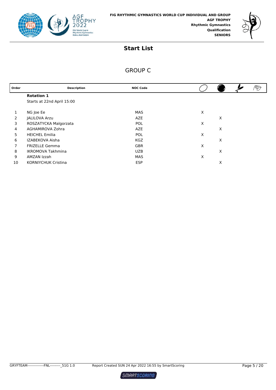



# GROUP C

| Order | <b>Description</b>         | <b>NOC Code</b> |   |   |  |
|-------|----------------------------|-----------------|---|---|--|
|       | <b>Rotation 1</b>          |                 |   |   |  |
|       | Starts at 22nd April 15:00 |                 |   |   |  |
|       |                            |                 |   |   |  |
| 1     | NG Joe Ee                  | MAS             | X |   |  |
| 2     | JALILOVA Arzu              | AZE             |   | X |  |
| 3     | ROSZATYCKA Malgorzata      | <b>POL</b>      | X |   |  |
| 4     | AGHAMIROVA Zohra           | AZE             |   | X |  |
| 5     | <b>HEICHEL Emilia</b>      | <b>POL</b>      | X |   |  |
| 6     | IZABEKOVA Aisha            | <b>KGZ</b>      |   | X |  |
| 7     | <b>FRIZELLE Gemma</b>      | <b>GBR</b>      | X |   |  |
| 8     | <b>IKROMOVA Takhmina</b>   | <b>UZB</b>      |   | X |  |
| 9     | AMZAN Izzah                | MAS             | X |   |  |
| 10    | <b>KORNIYCHUK Cristina</b> | <b>ESP</b>      |   | X |  |
|       |                            |                 |   |   |  |

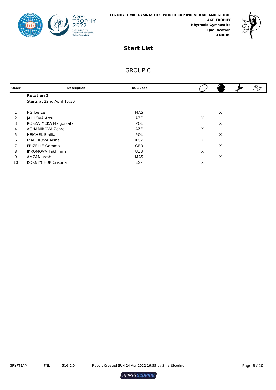



# GROUP C

| Order | <b>Description</b>         | <b>NOC Code</b> |   |  |
|-------|----------------------------|-----------------|---|--|
|       | <b>Rotation 2</b>          |                 |   |  |
|       | Starts at 22nd April 15:30 |                 |   |  |
|       |                            |                 |   |  |
|       | NG Joe Ee                  | MAS             | X |  |
| 2     | JALILOVA Arzu              | <b>AZE</b>      | X |  |
| 3     | ROSZATYCKA Malgorzata      | POL             | X |  |
| 4     | AGHAMIROVA Zohra           | AZE             | X |  |
| 5     | <b>HEICHEL Emilia</b>      | <b>POL</b>      | X |  |
| 6     | IZABEKOVA Aisha            | <b>KGZ</b>      | X |  |
| 7     | <b>FRIZELLE Gemma</b>      | <b>GBR</b>      | X |  |
| 8     | <b>IKROMOVA Takhmina</b>   | <b>UZB</b>      | X |  |
| 9     | AMZAN Izzah                | MAS             | X |  |
| 10    | <b>KORNIYCHUK Cristina</b> | <b>ESP</b>      | X |  |

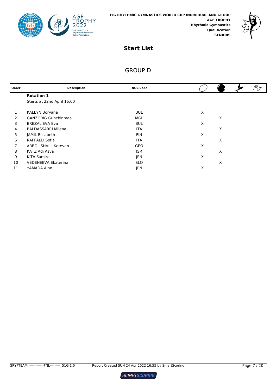



# GROUP D

| Order | <b>Description</b>         | <b>NOC Code</b> |   |   | PD |
|-------|----------------------------|-----------------|---|---|----|
|       | <b>Rotation 1</b>          |                 |   |   |    |
|       | Starts at 22nd April 16:00 |                 |   |   |    |
| 1     | KALEYN Boryana             | <b>BUL</b>      | X |   |    |
| 2     | <b>GANZORIG Gunchinmaa</b> | MGL             |   | X |    |
| 3     | <b>BREZALIEVA Eva</b>      | <b>BUL</b>      | X |   |    |
| 4     | <b>BALDASSARRI Milena</b>  | <b>ITA</b>      |   | X |    |
| 5     | JAMIL Elisabeth            | <b>FIN</b>      | X |   |    |
| 6     | RAFFAELI Sofia             | <b>ITA</b>      |   | X |    |
| 7     | ARBOLISHVILI Ketevan       | <b>GEO</b>      | X |   |    |
| 8     | KATZ Adi Asya              | <b>ISR</b>      |   | X |    |
| 9     | <b>KITA Sumire</b>         | <b>JPN</b>      | X |   |    |
| 10    | VEDENEEVA Ekaterina        | <b>SLO</b>      |   | X |    |
| 11    | YAMADA Aino                | <b>JPN</b>      | Χ |   |    |

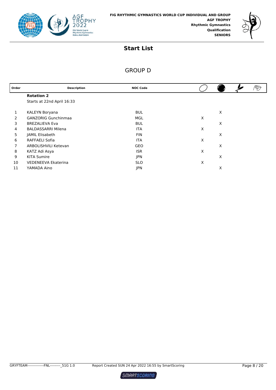



# GROUP D

| Order | <b>Description</b>         | <b>NOC Code</b> |   |   | V |
|-------|----------------------------|-----------------|---|---|---|
|       | <b>Rotation 2</b>          |                 |   |   |   |
|       | Starts at 22nd April 16:33 |                 |   |   |   |
|       | KALEYN Boryana             | <b>BUL</b>      |   | X |   |
| 2     | <b>GANZORIG Gunchinmaa</b> | MGL             | X |   |   |
| 3     | <b>BREZALIEVA Eva</b>      | <b>BUL</b>      |   | X |   |
| 4     | <b>BALDASSARRI Milena</b>  | <b>ITA</b>      | Χ |   |   |
| 5     | JAMIL Elisabeth            | <b>FIN</b>      |   | X |   |
| 6     | RAFFAELI Sofia             | <b>ITA</b>      | X |   |   |
| 7     | ARBOLISHVILI Ketevan       | <b>GEO</b>      |   | X |   |
| 8     | KATZ Adi Asya              | <b>ISR</b>      | X |   |   |
| 9     | <b>KITA Sumire</b>         | <b>JPN</b>      |   | X |   |
| 10    | <b>VEDENEEVA Ekaterina</b> | <b>SLO</b>      | Х |   |   |
| 11    | YAMADA Aino                | <b>JPN</b>      |   | X |   |

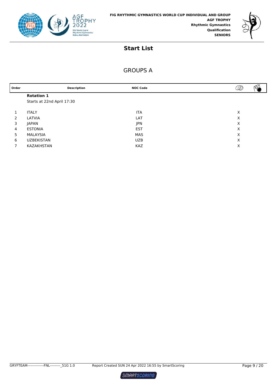



# GROUPS A

| Order |                            | <b>Description</b> | <b>NOC Code</b> | $\mathcal{D}$<br>$\sim$ |
|-------|----------------------------|--------------------|-----------------|-------------------------|
|       | <b>Rotation 1</b>          |                    |                 |                         |
|       | Starts at 22nd April 17:30 |                    |                 |                         |
|       |                            |                    |                 |                         |
|       | <b>ITALY</b>               |                    | <b>ITA</b>      | X                       |
| 2     | LATVIA                     |                    | LAT             | X                       |
| 3     | <b>JAPAN</b>               |                    | <b>JPN</b>      | X                       |
| 4     | <b>ESTONIA</b>             |                    | <b>EST</b>      | X                       |
| 5     | MALAYSIA                   |                    | MAS             | X                       |
| 6     | <b>UZBEKISTAN</b>          |                    | <b>UZB</b>      | X                       |
|       | KAZAKHSTAN                 |                    | <b>KAZ</b>      | Х                       |
|       |                            |                    |                 |                         |

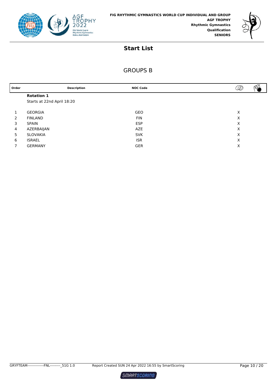



# GROUPS B

| Order         |                            | <b>Description</b> | <b>NOC Code</b> | D | $\sim$ |
|---------------|----------------------------|--------------------|-----------------|---|--------|
|               | <b>Rotation 1</b>          |                    |                 |   |        |
|               | Starts at 22nd April 18:20 |                    |                 |   |        |
|               |                            |                    |                 |   |        |
|               | <b>GEORGIA</b>             |                    | GEO             | X |        |
| $\mathcal{P}$ | <b>FINLAND</b>             |                    | <b>FIN</b>      | X |        |
| 3             | <b>SPAIN</b>               |                    | <b>ESP</b>      | X |        |
| 4             | AZERBAIJAN                 |                    | AZE             | X |        |
| 5             | SLOVAKIA                   |                    | <b>SVK</b>      | X |        |
| 6             | <b>ISRAEL</b>              |                    | <b>ISR</b>      | X |        |
|               | <b>GERMANY</b>             |                    | <b>GER</b>      | X |        |
|               |                            |                    |                 |   |        |

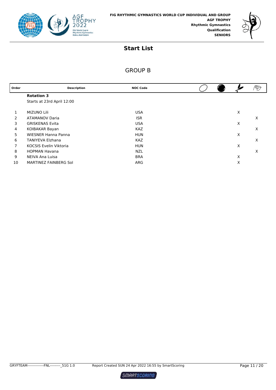



# GROUP B

| Order | <b>Description</b>            | <b>NOC Code</b> |  |   | $\mathscr{D}$ |
|-------|-------------------------------|-----------------|--|---|---------------|
|       | <b>Rotation 3</b>             |                 |  |   |               |
|       | Starts at 23rd April 12:00    |                 |  |   |               |
|       | <b>MIZUNO Lili</b>            | <b>USA</b>      |  | X |               |
| 2     | <b>ATAMANOV Daria</b>         | <b>ISR</b>      |  |   | X             |
| 3     | <b>GRISKENAS Evita</b>        | <b>USA</b>      |  | X |               |
| 4     | KOIBAKAR Bayan                | <b>KAZ</b>      |  |   | X             |
| 5     | <b>WIESNER Hanna Panna</b>    | <b>HUN</b>      |  | X |               |
| 6     | <b>TANIYEVA Elzhana</b>       | <b>KAZ</b>      |  |   | X             |
| 7     | <b>KOCSIS Evelin Viktoria</b> | <b>HUN</b>      |  | X |               |
| 8     | <b>HOPMAN Havana</b>          | <b>NZL</b>      |  |   | X             |
| 9     | NEIVA Ana Luisa               | <b>BRA</b>      |  | X |               |
| 10    | MARTINEZ FAINBERG Sol         | ARG             |  | Х |               |

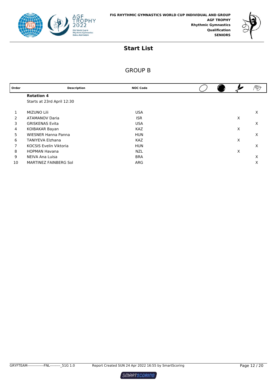



# GROUP B

| Order | <b>Description</b>            | <b>NOC Code</b> |  |   |   |
|-------|-------------------------------|-----------------|--|---|---|
|       | <b>Rotation 4</b>             |                 |  |   |   |
|       | Starts at 23rd April 12:30    |                 |  |   |   |
|       |                               |                 |  |   |   |
| 1     | <b>MIZUNO Lili</b>            | <b>USA</b>      |  |   | X |
| 2     | <b>ATAMANOV Daria</b>         | <b>ISR</b>      |  | X |   |
| 3     | <b>GRISKENAS Evita</b>        | <b>USA</b>      |  |   | X |
| 4     | KOIBAKAR Bayan                | <b>KAZ</b>      |  | X |   |
| 5     | <b>WIESNER Hanna Panna</b>    | <b>HUN</b>      |  |   | X |
| 6     | <b>TANIYEVA Elzhana</b>       | <b>KAZ</b>      |  | X |   |
| 7     | <b>KOCSIS Evelin Viktoria</b> | <b>HUN</b>      |  |   | X |
| 8     | <b>HOPMAN Havana</b>          | <b>NZL</b>      |  | X |   |
| 9     | NEIVA Ana Luisa               | <b>BRA</b>      |  |   | X |
| 10    | MARTINEZ FAINBERG Sol         | ARG             |  |   | X |

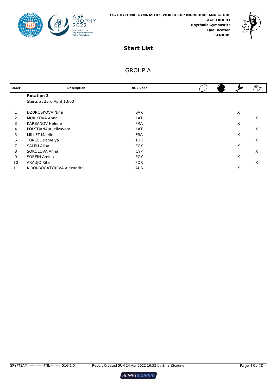



# GROUP A

| Order | <b>Description</b>         | <b>NOC Code</b> |  |   |   |
|-------|----------------------------|-----------------|--|---|---|
|       | <b>Rotation 3</b>          |                 |  |   |   |
|       | Starts at 23rd April 13:00 |                 |  |   |   |
|       | DZUROSKOVA Nina            | <b>SVK</b>      |  | X |   |
| 2     | <b>MURIKOVA Anna</b>       | LAT             |  |   | X |
| 3     | <b>KARBANOV Helene</b>     | <b>FRA</b>      |  | X |   |
| 4     | POLSTJANAJA Jelizaveta     | LAT             |  |   | X |
| 5     | <b>MILLET Maelle</b>       | <b>FRA</b>      |  | X |   |
| 6     | <b>TUNCEL Kamelya</b>      | <b>TUR</b>      |  |   | X |
|       | <b>SALEH Aliaa</b>         | EGY             |  | X |   |
| 8     | SOKOLOVA Anna              | <b>CYP</b>      |  |   | X |
| 9     | SOBEIH Amina               | EGY             |  | X |   |
| 10    | ARAUJO Rita                | <b>POR</b>      |  |   | X |
| 11    | KIROI-BOGATYREVA Alexandra | <b>AUS</b>      |  | X |   |

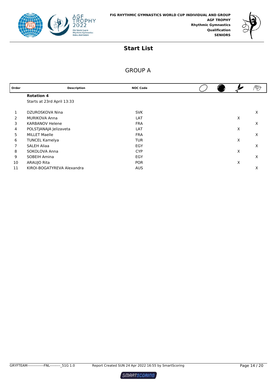



# GROUP A

| Order | <b>Description</b>         | <b>NOC Code</b> |  |   | ⅋ |
|-------|----------------------------|-----------------|--|---|---|
|       | <b>Rotation 4</b>          |                 |  |   |   |
|       | Starts at 23rd April 13:33 |                 |  |   |   |
|       | DZUROSKOVA Nina            | <b>SVK</b>      |  |   | X |
| 2     | <b>MURIKOVA Anna</b>       | LAT             |  | Χ |   |
| 3     | <b>KARBANOV Helene</b>     | <b>FRA</b>      |  |   | X |
| 4     | POLSTJANAJA Jelizaveta     | LAT             |  | Χ |   |
| 5     | <b>MILLET Maelle</b>       | <b>FRA</b>      |  |   | X |
| 6     | <b>TUNCEL Kamelya</b>      | <b>TUR</b>      |  | X |   |
|       | <b>SALEH Aliaa</b>         | EGY             |  |   | X |
| 8     | SOKOLOVA Anna              | <b>CYP</b>      |  | X |   |
| 9     | SOBEIH Amina               | EGY             |  |   | X |
| 10    | ARAUJO Rita                | <b>POR</b>      |  | Χ |   |
| 11    | KIROI-BOGATYREVA Alexandra | <b>AUS</b>      |  |   | X |

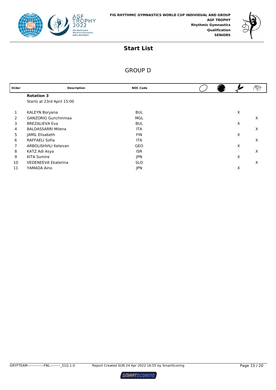



# GROUP D

| Order | <b>Description</b>         | <b>NOC Code</b> |  |   | V |
|-------|----------------------------|-----------------|--|---|---|
|       | <b>Rotation 3</b>          |                 |  |   |   |
|       | Starts at 23rd April 15:00 |                 |  |   |   |
|       | KALEYN Boryana             | <b>BUL</b>      |  | X |   |
| 2     | <b>GANZORIG Gunchinmaa</b> | MGL             |  |   | X |
| 3     | <b>BREZALIEVA Eva</b>      | <b>BUL</b>      |  | X |   |
| 4     | <b>BALDASSARRI Milena</b>  | <b>ITA</b>      |  |   | X |
| 5     | JAMIL Elisabeth            | <b>FIN</b>      |  | X |   |
| 6     | <b>RAFFAELI Sofia</b>      | <b>ITA</b>      |  |   | X |
| 7     | ARBOLISHVILI Ketevan       | GEO             |  | X |   |
| 8     | KATZ Adi Asya              | <b>ISR</b>      |  |   | X |
| 9     | <b>KITA Sumire</b>         | <b>JPN</b>      |  | X |   |
| 10    | <b>VEDENEEVA Ekaterina</b> | <b>SLO</b>      |  |   | X |
| 11    | YAMADA Aino                | <b>JPN</b>      |  | X |   |

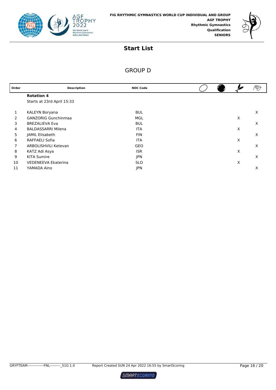



# GROUP D

| Order | <b>Description</b>         | <b>NOC Code</b> |  |   |   |
|-------|----------------------------|-----------------|--|---|---|
|       | <b>Rotation 4</b>          |                 |  |   |   |
|       | Starts at 23rd April 15:33 |                 |  |   |   |
|       | KALEYN Boryana             | <b>BUL</b>      |  |   | X |
| 2     | <b>GANZORIG Gunchinmaa</b> | MGL             |  | X |   |
| 3     | <b>BREZALIEVA Eva</b>      | <b>BUL</b>      |  |   | X |
| 4     | <b>BALDASSARRI Milena</b>  | <b>ITA</b>      |  | X |   |
| 5     | JAMIL Elisabeth            | <b>FIN</b>      |  |   | X |
| 6     | RAFFAELI Sofia             | <b>ITA</b>      |  | X |   |
| 7     | ARBOLISHVILI Ketevan       | GEO             |  |   | X |
| 8     | KATZ Adi Asya              | <b>ISR</b>      |  | X |   |
| 9     | <b>KITA Sumire</b>         | <b>JPN</b>      |  |   | X |
| 10    | <b>VEDENEEVA Ekaterina</b> | <b>SLO</b>      |  | X |   |
| 11    | YAMADA Aino                | <b>JPN</b>      |  |   | X |

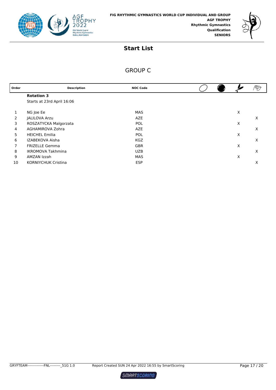



# GROUP C

| Order | <b>Description</b>         | <b>NOC Code</b> |   | $\mathscr{D}$ |
|-------|----------------------------|-----------------|---|---------------|
|       | <b>Rotation 3</b>          |                 |   |               |
|       | Starts at 23rd April 16:06 |                 |   |               |
|       |                            |                 |   |               |
|       | NG Joe Ee                  | MAS             | X |               |
| 2     | <b>JALILOVA Arzu</b>       | AZE             |   | X             |
| 3     | ROSZATYCKA Malgorzata      | <b>POL</b>      | X |               |
| 4     | AGHAMIROVA Zohra           | <b>AZE</b>      |   | X             |
| 5     | <b>HEICHEL Emilia</b>      | <b>POL</b>      | X |               |
| 6     | IZABEKOVA Aisha            | <b>KGZ</b>      |   | X             |
| 7     | <b>FRIZELLE Gemma</b>      | <b>GBR</b>      | X |               |
| 8     | <b>IKROMOVA Takhmina</b>   | <b>UZB</b>      |   | X             |
| 9     | AMZAN Izzah                | MAS             | X |               |
| 10    | <b>KORNIYCHUK Cristina</b> | <b>ESP</b>      |   | х             |
|       |                            |                 |   |               |

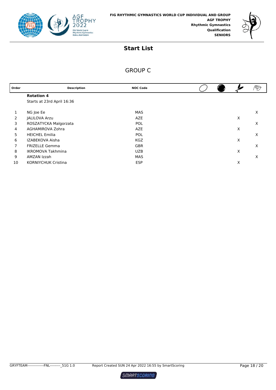



# GROUP C

| Order | <b>Description</b>         | <b>NOC Code</b> |  |   | ⅋ |
|-------|----------------------------|-----------------|--|---|---|
|       | <b>Rotation 4</b>          |                 |  |   |   |
|       | Starts at 23rd April 16:36 |                 |  |   |   |
|       |                            |                 |  |   |   |
|       | NG Joe Ee                  | MAS             |  |   | Х |
| 2     | <b>JALILOVA Arzu</b>       | <b>AZE</b>      |  | Х |   |
| 3     | ROSZATYCKA Malgorzata      | <b>POL</b>      |  |   | X |
| 4     | AGHAMIROVA Zohra           | <b>AZE</b>      |  | X |   |
| 5     | <b>HEICHEL Emilia</b>      | POL             |  |   | X |
| 6     | IZABEKOVA Aisha            | <b>KGZ</b>      |  | Х |   |
| 7     | <b>FRIZELLE Gemma</b>      | <b>GBR</b>      |  |   | X |
| 8     | <b>IKROMOVA Takhmina</b>   | <b>UZB</b>      |  | Х |   |
| 9     | AMZAN Izzah                | <b>MAS</b>      |  |   | X |
| 10    | <b>KORNIYCHUK Cristina</b> | <b>ESP</b>      |  | Χ |   |

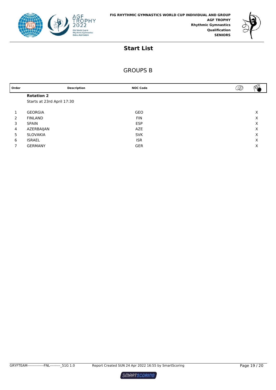



# GROUPS B

| Order          | <b>Description</b>         | <b>NOC Code</b> | ళ∕<br>Ø |
|----------------|----------------------------|-----------------|---------|
|                | <b>Rotation 2</b>          |                 |         |
|                | Starts at 23rd April 17:30 |                 |         |
|                | <b>GEORGIA</b>             | <b>GEO</b>      | Х       |
| $\mathcal{P}$  | <b>FINLAND</b>             | <b>FIN</b>      | Х       |
| 3              | <b>SPAIN</b>               | <b>ESP</b>      | X       |
| $\overline{4}$ | AZERBAIJAN                 | AZE             | X       |
| 5              | SLOVAKIA                   | <b>SVK</b>      | X       |
| 6              | <b>ISRAEL</b>              | <b>ISR</b>      | X       |
|                | <b>GERMANY</b>             | <b>GER</b>      | Χ       |

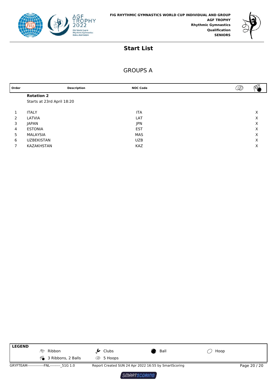



### GROUPS A

| Order         |                            | <b>Description</b> | <b>NOC Code</b> | D<br>$V^{0}V$ |
|---------------|----------------------------|--------------------|-----------------|---------------|
|               | <b>Rotation 2</b>          |                    |                 |               |
|               | Starts at 23rd April 18:20 |                    |                 |               |
|               |                            |                    |                 |               |
|               | <b>ITALY</b>               |                    | <b>ITA</b>      | Х             |
| $\mathcal{P}$ | LATVIA                     |                    | LAT             | Х             |
| 3             | JAPAN                      |                    | <b>JPN</b>      | Χ             |
| 4             | <b>ESTONIA</b>             |                    | <b>EST</b>      | Χ             |
| 5             | MALAYSIA                   |                    | <b>MAS</b>      | X             |
| 6             | <b>UZBEKISTAN</b>          |                    | <b>UZB</b>      | X             |
|               | KAZAKHSTAN                 |                    | <b>KAZ</b>      | Х             |
|               |                            |                    |                 |               |



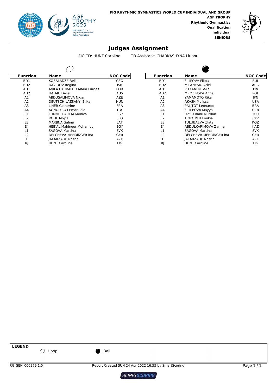



FIG TD: HUNT Caroline TD Assistant: CHARKASHYNA Liubou

| <b>Function</b>             | Name                               | <b>NOC Code</b> |  |  |
|-----------------------------|------------------------------------|-----------------|--|--|
| BD1                         | KOBALADZE Bella                    | GEO             |  |  |
| B <sub>D</sub> <sub>2</sub> | DAVIDOV Regina                     | <b>ISR</b>      |  |  |
| AD1                         | <b>AVILA CARVALHO Maria Lurdes</b> | <b>POR</b>      |  |  |
| AD <sub>2</sub>             | <b>HALMU Delia</b>                 | <b>AUS</b>      |  |  |
| A1                          | ABDUSALIMOVA Nigar                 | AZE             |  |  |
| A2                          | DEUTSCH-LAZSANYI Erika             | <b>HUN</b>      |  |  |
| A <sub>3</sub>              | L'HER Catherine                    | <b>FRA</b>      |  |  |
| A4                          | <b>AGNOLUCCI Emanuela</b>          | <b>ITA</b>      |  |  |
| F1                          | <b>FORNIE GARCIA Monica</b>        | <b>ESP</b>      |  |  |
| E <sub>2</sub>              | <b>RODE Mojca</b>                  | <b>SLO</b>      |  |  |
| E <sub>3</sub>              | MARJINA Galina                     | LAT             |  |  |
| E4                          | <b>HEIKAL Mahinour Mohamed</b>     | EGY             |  |  |
| $\overline{1}$              | SAGOVA Martina                     | <b>SVK</b>      |  |  |
| L <sub>2</sub>              | DELCHEVA-MEHRINGER Ina             | GER             |  |  |
| т                           | <b>JAFARZADE Nazrin</b>            | AZE             |  |  |
| RI                          | <b>HUNT Caroline</b>               | FIG             |  |  |

| Function         | Name                               | <b>NOC Code</b> | <b>Function</b>  | <b>Name</b>             | <b>NOC Codel</b> |
|------------------|------------------------------------|-----------------|------------------|-------------------------|------------------|
| BD1              | <b>KOBALADZE Bella</b>             | <b>GEO</b>      | B <sub>D</sub> 1 | <b>FILIPOVA Filipa</b>  | <b>BUL</b>       |
| B <sub>D</sub> 2 | DAVIDOV Regina                     | <b>ISR</b>      | B <sub>D</sub> 2 | <b>MILANESIO Ariel</b>  | ARG              |
| AD1              | <b>AVILA CARVALHO Maria Lurdes</b> | <b>POR</b>      | AD1              | PITKANEN Saila          | <b>FIN</b>       |
| AD <sub>2</sub>  | <b>HALMU Delia</b>                 | <b>AUS</b>      | AD <sub>2</sub>  | <b>MROZINSKA Anna</b>   | <b>POL</b>       |
| A <sub>1</sub>   | ABDUSALIMOVA Nigar                 | <b>AZE</b>      | A1               | YAMAMOTO Rika           | <b>JPN</b>       |
| A2               | DEUTSCH-LAZSANYI Erika             | <b>HUN</b>      | A2               | <b>AKASH Melissa</b>    | <b>USA</b>       |
| A <sub>3</sub>   | L'HER Catherine                    | <b>FRA</b>      | A <sub>3</sub>   | PALITOT Leonardo        | <b>BRA</b>       |
| A <sub>4</sub>   | <b>AGNOLUCCI Emanuela</b>          | <b>ITA</b>      | A <sub>4</sub>   | FILIPPOVA Mayya         | <b>UZB</b>       |
| E <sub>1</sub>   | <b>FORNIE GARCIA Monica</b>        | <b>ESP</b>      | E <sub>1</sub>   | OZSU Banu Nurdan        | <b>TUR</b>       |
| E <sub>2</sub>   | <b>RODE Mojca</b>                  | <b>SLO</b>      | E <sub>2</sub>   | TRIKOMITI Loukia        | <b>CYP</b>       |
| E <sub>3</sub>   | MARJINA Galina                     | LAT             | E <sub>3</sub>   | <b>TULUBAEVA Zlata</b>  | <b>KGZ</b>       |
| E <sub>4</sub>   | <b>HEIKAL Mahinour Mohamed</b>     | EGY             | E4               | ABDULKARIMOVA Zarina    | <b>KAZ</b>       |
| L1               | SAGOVA Martina                     | <b>SVK</b>      | L1               | SAGOVA Martina          | <b>SVK</b>       |
| L2               | DELCHEVA-MEHRINGER Ina             | <b>GER</b>      | L2               | DELCHEVA-MEHRINGER Ina  | <b>GER</b>       |
|                  | <b>JAFARZADE Nazrin</b>            | <b>AZE</b>      |                  | <b>JAFARZADE Nazrin</b> | <b>AZE</b>       |
| <b>RJ</b>        | <b>HUNT Caroline</b>               | <b>FIG</b>      | RJ               | <b>HUNT Caroline</b>    | <b>FIG</b>       |

 $\triangleright$ 

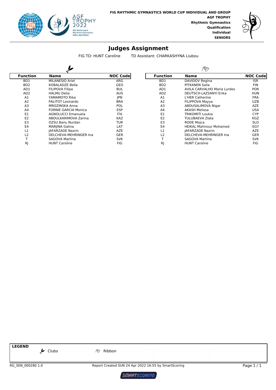



FIG TD: HUNT Caroline TD Assistant: CHARKASHYNA Liubou

| <b>Function</b>  | Name                        | <b>NOC Codel</b> | <b>Function</b>  | Name                           | <b>NOC Code</b> |
|------------------|-----------------------------|------------------|------------------|--------------------------------|-----------------|
| B <sub>D</sub> 1 | MILANESIO Ariel             | ARG              | BD1              | DAVIDOV Regina                 | <b>ISR</b>      |
| B <sub>D</sub> 2 | KOBALADZE Bella             | <b>GEO</b>       | B <sub>D</sub> 2 | PITKANEN Saila                 | <b>FIN</b>      |
| AD1              | <b>FILIPOVA Filipa</b>      | <b>BUL</b>       | AD1              | AVILA CARVALHO Maria Lurdes    | <b>POR</b>      |
| AD <sub>2</sub>  | <b>HALMU Delia</b>          | <b>AUS</b>       | AD <sub>2</sub>  | DEUTSCH-LAZSANYI Erika         | <b>HUN</b>      |
| A <sub>1</sub>   | YAMAMOTO Rika               | <b>IPN</b>       | A1               | L'HER Catherine                | <b>FRA</b>      |
| A2               | PALITOT Leonardo            | <b>BRA</b>       | A <sub>2</sub>   | FILIPPOVA Mayya                | <b>UZB</b>      |
| A <sub>3</sub>   | <b>MROZINSKA Anna</b>       | <b>POL</b>       | A <sub>3</sub>   | ABDUSALIMOVA Nigar             | <b>AZE</b>      |
| A <sub>4</sub>   | <b>FORNIE GARCIA Monica</b> | <b>ESP</b>       | A <sub>4</sub>   | <b>AKASH Melissa</b>           | <b>USA</b>      |
| E1               | <b>AGNOLUCCI Emanuela</b>   | <b>ITA</b>       | E1               | <b>TRIKOMITI Loukia</b>        | <b>CYP</b>      |
| E <sub>2</sub>   | ABDULKARIMOVA Zarina        | <b>KAZ</b>       | E <sub>2</sub>   | <b>TULUBAEVA Zlata</b>         | <b>KGZ</b>      |
| E <sub>3</sub>   | OZSU Banu Nurdan            | <b>TUR</b>       | E <sub>3</sub>   | <b>RODE Mojca</b>              | <b>SLO</b>      |
| E4               | MARJINA Galina              | LAT              | E4               | <b>HEIKAL Mahinour Mohamed</b> | EGY             |
| L1               | <b>JAFARZADE Nazrin</b>     | <b>AZE</b>       | L1               | <b>JAFARZADE Nazrin</b>        | <b>AZE</b>      |
| L <sub>2</sub>   | DELCHEVA-MEHRINGER Ina      | <b>GER</b>       | L2               | DELCHEVA-MEHRINGER Ina         | <b>GER</b>      |
|                  | <b>SAGOVA Martina</b>       | <b>SVK</b>       |                  | <b>SAGOVA Martina</b>          | <b>SVK</b>      |
| RJ               | <b>HUNT Caroline</b>        | FIG              | <sub>R</sub>     | <b>HUNT Caroline</b>           | <b>FIG</b>      |

**LEGEND**

 $\overline{\mathscr{P}}$  Clubs  $\overline{\mathscr{P}}$  Ribbon

RG\_SEN\_000280 1.0 Report Created SUN 24 Apr 2022 16:55 by SmartScoring Page 1 / 1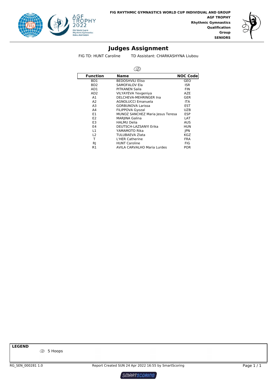



FIG TD: HUNT Caroline TD Assistant: CHARKASHYNA Liubou

| <b>Function</b>             | <b>Name</b>                        | <b>NOC Code</b> |
|-----------------------------|------------------------------------|-----------------|
| BD1                         | <b>BEDOSHVILI Eliso</b>            | GEO             |
| B <sub>D</sub> <sub>2</sub> | SAMOFALOV Ela                      | <b>ISR</b>      |
| AD1                         | PITKANEN Saila                     | <b>FIN</b>      |
| AD <sub>2</sub>             | VILYAYEVA Yevgeniya                | AZE             |
| A1                          | DELCHEVA-MEHRINGER Ina             | <b>GER</b>      |
| A2                          | <b>AGNOLUCCI Emanuela</b>          | ITA.            |
| A3                          | <b>GORBUNOVA Larissa</b>           | <b>EST</b>      |
| A4                          | FILIPPOVA Gyozal                   | <b>UZB</b>      |
| E1                          | MUNOZ SANCHEZ Maria Jesus Teresa   | <b>ESP</b>      |
| E <sub>2</sub>              | <b>MARJINA Galina</b>              | LAT             |
| E <sub>3</sub>              | <b>HALMU Delia</b>                 | AUS             |
| E4                          | DEUTSCH-LAZSANYI Erika             | HUN             |
| L1                          | YAMAMOTO Rika                      | <b>IPN</b>      |
| L <sub>2</sub>              | TULUBAEVA Zlata                    | KGZ             |
| т                           | L'HER Catherine                    | <b>FRA</b>      |
| RJ                          | <b>HUNT Caroline</b>               | <b>FIG</b>      |
| R1                          | <b>AVILA CARVALHO Maria Lurdes</b> | <b>POR</b>      |

**LEGEND**

5 Hoops

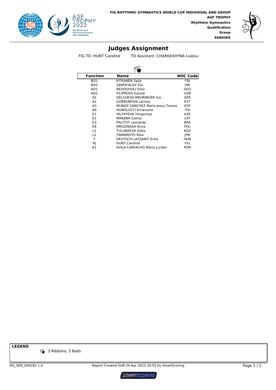



FIG TD: HUNT Caroline TD Assistant: CHARKASHYNA Liubou

| <b>Function</b>             | Name                               | <b>NOC Code</b> |  |  |
|-----------------------------|------------------------------------|-----------------|--|--|
| BD1                         | PITKANEN Saila                     | <b>FIN</b>      |  |  |
| B <sub>D</sub> <sub>2</sub> | SAMOFALOV Ela                      | ISR             |  |  |
| AD1                         | <b>BEDOSHVILI Eliso</b>            | GEO             |  |  |
| AD <sub>2</sub>             | FILIPPOVA Gyozal                   | UZB             |  |  |
| A1                          | DELCHEVA-MEHRINGER Ina             | GER             |  |  |
| A2                          | <b>GORBUNOVA Larissa</b>           | <b>EST</b>      |  |  |
| A <sub>3</sub>              | MUNOZ SANCHEZ Maria Jesus Teresa   | <b>ESP</b>      |  |  |
| A4                          | <b>AGNOLUCCI Emanuela</b>          | ITA.            |  |  |
| E1                          | VILYAYEVA Yevgeniya                | AZE             |  |  |
| E <sub>2</sub>              | <b>MARJINA Galina</b>              | LAT             |  |  |
| E <sub>3</sub>              | PALITOT Leonardo                   | <b>BRA</b>      |  |  |
| E4                          | MROZINSKA Anna                     | POL             |  |  |
| L1                          | TULUBAEVA Zlata                    | KGZ             |  |  |
| L2                          | YAMAMOTO Rika                      | <b>IPN</b>      |  |  |
| т                           | DEUTSCH-LAZSANYI Erika             | <b>HUN</b>      |  |  |
| RJ                          | <b>HUNT Caroline</b>               | <b>FIG</b>      |  |  |
| R1                          | <b>AVILA CARVALHO Maria Lurdes</b> | <b>POR</b>      |  |  |

**LEGEND**

<sup>16</sup> 3 Ribbons, 2 Balls

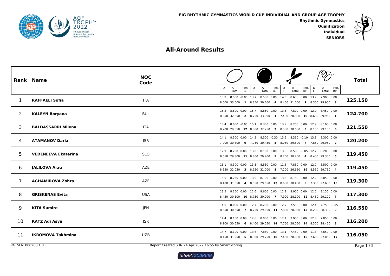



# **All-Around Results**

|                   | Rank Name                  | <b>NOC</b><br>Code                                   | D<br>E<br>Pen.<br>Pen.<br>Pen.<br>$\frac{D}{E}$<br>Pen.<br>$\frac{D}{E}$<br>A<br>$\frac{D}{E}$<br>Rk.<br>Total<br>Rk.<br>Total<br>Total<br>Rk.<br>Total Rk. | <b>Total</b> |
|-------------------|----------------------------|------------------------------------------------------|-------------------------------------------------------------------------------------------------------------------------------------------------------------|--------------|
|                   | <b>RAFFAELI Sofia</b>      | <b>ITA</b>                                           | 8.550 -0.05 13.7 8.550 0.00 14.6 8.650 0.00 13.7 7.900 0.00<br>15.9<br>8.600 33.000 1 8.350 30.600 4 8.400 31.650 1 8.300 29.900 3                          | 125.150      |
| $\overline{2}$    | <b>KALEYN Boryana</b>      | <b>BUL</b>                                           | 15.2 8.600 0.00 15.7 8.850 0.00 13.6 7.800 0.00 12.9 8.450 0.00<br>8.850 32.650 2 8.750 33.300 1 7.400 28.800 10 8.600 29.950 1                             | 124.700      |
| 3                 | <b>BALDASSARRI Milena</b>  | <b>ITA</b>                                           | 13.4 8.000 -0.05 15.1 8.350 0.00 13.9 8.200 0.00 12.9 8.100 0.00<br>8.200 29.550 12 8.800 32.250 2 8.500 30.600 3 8.150 29.150 6                            | 121.550      |
| 4                 | <b>ATAMANOV Daria</b>      | <b>ISR</b>                                           | 14.1 8.300 0.00 14.5 8.300 -0.30 13.2 8.350 -0.10 13.8 8.300 0.00<br>7.900 30.300 9 7.950 30.450 5 8.050 29.500 7 7.850 29.950 2                            | 120.200      |
| 5                 | <b>VEDENEEVA Ekaterina</b> | <b>SLO</b>                                           | 12.9 8.250 0.00 13.0 8.100 0.00 13.3 8.500 -0.05 12.7 8.200 0.00<br>8.650 29.800 11 8.800 29.900 9 8.700 30.450 4 8.400 29.300 5                            | 119.450      |
| 6                 | <b>JALILOVA Arzu</b>       | AZE                                                  | 15.1 8.300 0.00 13.5 8.550 0.00 11.6 7.850 0.00 12.7 8.500 0.00<br>8.650 32.050 3 8.950 31.000 3 7.200 26.650 19 8.550 29.750 4                             | 119.450      |
| 7                 | <b>AGHAMIROVA Zohra</b>    | AZE                                                  | 15.0 8.250 0.00 13.0 8.100 0.00 13.6 8.150 0.00 12.2 8.050 0.00<br>8.400 31.650 4 8.550 29.650 12 8.650 30.400 5 7.350 27.600 13                            | 119.300      |
| 8                 | <b>GRISKENAS Evita</b>     | <b>USA</b>                                           | 13.5 8.150 0.00 12.6 8.650 0.00 12.2 8.000 0.00 12.5 8.150 0.00<br>8.450 30.100 10 8.750 30.000 7 7.900 28.100 12 8.450 29.100 7                            | 117.300      |
| 9                 | <b>KITA Sumire</b>         | JPN                                                  | 14.0 8.000 0.00 12.7 8.200 0.00 12.7 7.550 0.00 12.4 7.750 -0.05<br>8.550 30.550 7 8.750 29.650 11 7.800 28.050 13 8.200 28.300 9                           | 116.550      |
| 10                | KATZ Adi Asya              | <b>ISR</b>                                           | 14.4 8.150 0.00 12.6 8.050 0.00 12.4 7.900 0.00 12.3 7.850 0.00<br>8.100 30.650 6 8.400 29.050 14 7.750 28.050 14 8.300 28.450 8                            | 116.200      |
| 11                | <b>IKROMOVA Takhmina</b>   | <b>UZB</b>                                           | 14.7 8.100 0.00 13.6 7.850 0.00 13.1 7.450 0.00 11.8 7.650 0.00<br>8.450 31.250 5 8.300 29.750 10 7.450 28.000 15 7.600 27.050 17                           | 116.050      |
| RG SEN 000288 1.0 |                            | Report Created SUN 24 Apr 2022 16:55 by SmartScoring |                                                                                                                                                             | Page $1/5$   |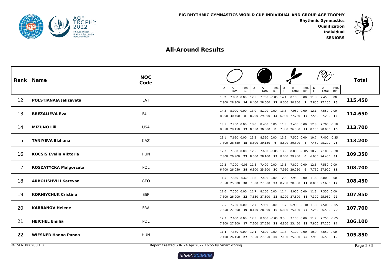



|                   | Rank Name                     | <b>NOC</b><br>Code | Pen.<br>Pen.<br>$\frac{D}{E}$<br>Pen.<br>Pen.<br>D<br>$\frac{D}{E}$<br>$\bar{E}$<br>E<br>Rk.<br>Rk.<br>Total<br>Rk.<br>Total<br>Total<br>Total Rk. | <b>Total</b> |
|-------------------|-------------------------------|--------------------|----------------------------------------------------------------------------------------------------------------------------------------------------|--------------|
| 12                | POLSTJANAJA Jelizaveta        | LAT                | 13.2 7.800 0.00 12.5 7.750 -0.05 14.1 8.100 0.00 11.8 7.450 0.00<br>7.900 28.900 14 8.400 28.600 17 8.650 30.850 2 7.850 27.100 16                 | 115.450      |
| 13                | <b>BREZALIEVA Eva</b>         | <b>BUL</b>         | 14.2 8.000 0.00 13.0 8.100 0.00 13.8 7.050 0.00 12.1 7.550 0.00<br>8.200 30.400 8 8.200 29.300 13 6.900 27.750 17 7.550 27.200 15                  | 114.650      |
| 14                | <b>MIZUNO Lili</b>            | <b>USA</b>         | 13.1 7.700 0.00 13.0 8.450 0.00 11.8 7.400 0.00 12.3 7.700 -0.10<br>8.350 29.150 13 8.550 30.000 8 7.300 26.500 21 8.150 28.050 10                 | 113.700      |
| 15                | <b>TANIYEVA Elzhana</b>       | KAZ                | 13.1 7.650 0.00 13.2 8.350 0.00 13.2 7.500 0.00 10.7 7.400 -0.35<br>7.800 28.550 15 8.600 30.150 6 8.600 29.300 8 7.450 25.200 25                  | 113.200      |
| 16                | <b>KOCSIS Evelin Viktoria</b> | HUN                | 12.3 7.300 0.00 12.5 7.650 -0.05 13.9 8.000 -0.05 10.7 7.100 -0.30<br>7.300 26.900 23 8.000 28.100 19 8.050 29.900 6 6.950 24.450 31               | 109.350      |
| 17                | <b>ROSZATYCKA Malgorzata</b>  | POL                | 12.2 7.200 -0.05 11.3 7.400 0.00 13.5 7.800 0.00 12.6 7.550 0.00<br>6.700 26.050 28 6.800 25.500 30 7.950 29.250 9 7.750 27.900 11                 | 108.700      |
| 18                | <b>ARBOLISHVILI Ketevan</b>   | GEO                | 11.5 7.350 -0.60 11.8 7.400 0.00 12.3 7.950 0.00 11.6 8.000 0.00<br>7.050 25.300 30 7.800 27.000 23 8.250 28.500 11 8.050 27.650 12                | 108.450      |
| 19                | <b>KORNIYCHUK Cristina</b>    | <b>ESP</b>         | 11.6 7.500 0.00 11.7 8.150 0.00 11.4 8.000 0.00 11.3 7.350 0.00<br>7.800 26.900 22 7.650 27.500 22 8.200 27.600 18 7.300 25.950 22                 | 107.950      |
| 20                | <b>KARBANOV Helene</b>        | <b>FRA</b>         | 12.5 7.250 0.00 12.7 7.950 0.00 11.7 6.900 -0.30 11.8 7.500 -0.05<br>7.550 27.300 19 8.150 28.800 16 6.800 25.100 27 7.250 26.500 20               | 107.700      |
| 21                | <b>HEICHEL Emilia</b>         | POL                | 12.3 7.600 0.00 12.5 8.000 -0.05 9.5 7.100 0.00 11.7 7.750 -0.05<br>7.900 27.800 17 7.200 27.650 21 6.850 23.450 32 7.800 27.200 14                | 106.100      |
| 22                | <b>WIESNER Hanna Panna</b>    | HUN                | 11.4 7.350 0.00 12.1 7.600 0.00 11.3 7.100 0.00 10.9 7.650 0.00<br>7.400 26.150 27 7.950 27.650 20 7.150 25.550 25 7.950 26.500 19                 | 105.850      |
| RG SEN 000288 1.0 |                               |                    | Report Created SUN 24 Apr 2022 16:55 by SmartScoring                                                                                               | Page 2 / 5   |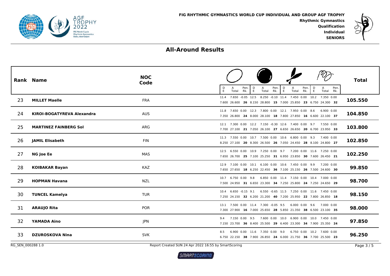



|                   | <b>Rank Name</b>             | <b>NOC</b><br>Code | Pen.<br>$\frac{D}{E}$<br>Pen.<br>Pen.<br>Pen.<br>D<br>D<br>E<br>E<br>Rk.<br>Rk.<br>E<br>Total<br>Total<br>Total<br>Rk.<br>Total Rk.    | <b>Total</b> |
|-------------------|------------------------------|--------------------|----------------------------------------------------------------------------------------------------------------------------------------|--------------|
| 23                | <b>MILLET Maelle</b>         | <b>FRA</b>         | 11.4 7.650 -0.05 12.5 8.250 -0.10 11.4 7.450 0.00 10.2 7.350 0.00<br>7.600 26.600 26 8.150 28.800 15 7.000 25.850 23 6.750 24.300 32   | 105.550      |
| 24                | KIROI-BOGATYREVA Alexandra   | <b>AUS</b>         | 11.8 7.650 0.00 12.3 7.800 0.00 12.1 7.950 0.00 8.6<br>6.900 0.00<br>7.350 26.800 24 8.000 28.100 18 7.800 27.850 16 6.600 22.100 37   | 104.850      |
| 25                | <b>MARTINEZ FAINBERG Sol</b> | ARG                | 12.1 7.300 0.00 12.2 7.150 -0.30 12.6 7.400 0.00 9.7 7.550 0.00<br>7.700 27.100 21 7.050 26.100 27 6.650 26.650 20 6.700 23.950 33     | 103.800      |
| 26                | <b>JAMIL Elisabeth</b>       | <b>FIN</b>         | 11.3 7.550 0.00 10.7 7.500 0.00 10.6 6.800 0.00 9.3 7.400 0.00<br>8.250 27.100 20 8.300 26.500 26 7.050 24.450 28 8.100 24.800 27      | 102.850      |
| 27                | <b>NG Joe Ee</b>             | MAS                | 12.5 6.550 0.00 10.9 7.250 0.00 9.7 7.200 0.00 11.6 7.250 0.00<br>7.650 26.700 25 7.100 25.250 31 6.950 23.850 30 7.600 26.450 21      | 102.250      |
| 28                | <b>KOIBAKAR Bayan</b>        | <b>KAZ</b>         | 12.9 7.100 0.00 10.1 6.100 0.00 10.6 7.450 0.00 9.9<br>7.200 0.00<br>7.650 27.650 18 6.250 22.450 36 7.100 25.150 26 7.500 24.600 30   | 99.850       |
| 29                | <b>HOPMAN Havana</b>         | <b>NZL</b>         | 10.7 6.750 0.00 9.8<br>6.850 0.00 11.4 7.150 0.00 10.4 7.000 0.00<br>7.500 24.950 31 6.650 23.300 34 7.250 25.800 24 7.250 24.650 29   | 98.700       |
| 30                | <b>TUNCEL Kamelya</b>        | <b>TUR</b>         | 6.550 -0.65 11.5 7.250 0.00 11.6 7.450 0.00<br>10.4 6.650 -0.15 9.1<br>7.250 24.150 32 6.200 21.200 40 7.200 25.950 22 7.800 26.850 18 | 98.150       |
| 31                | <b>ARAUJO Rita</b>           | <b>POR</b>         | 13.1 7.500 0.00 11.4 7.300 -0.05 9.5<br>6.000 0.00 9.6 7.000 0.00<br>7.300 27.900 16 7.000 25.650 28 5.850 21.350 38 6.500 23.100 35   | 98.000       |
| 32                | <b>YAMADA Aino</b>           | JPN                | 9.4 7.150 0.00 9.5 7.600 0.00 10.0 6.900 0.00 10.0 7.450 0.00<br>7.150 23.700 36 8.400 25.500 29 6.400 23.300 34 7.900 25.350 24       | 97.850       |
| 33                | <b>DZUROSKOVA Nina</b>       | <b>SVK</b>         | 6.900 0.00 11.6 7.350 0.00 9.0<br>6.750 0.00 10.2 7.600 0.00<br>8.5<br>6.750 22.150 38 7.900 26.850 24 6.000 21.750 36 7.700 25.500 23 | 96.250       |
| RG SEN 000288 1.0 |                              |                    | Report Created SUN 24 Apr 2022 16:55 by SmartScoring                                                                                   | Page 3/5     |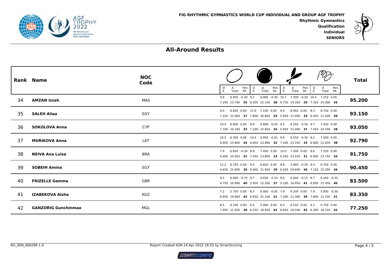



|     | Rank Name                  | <b>NOC</b><br>Code | Pen.<br>Pen.<br>D<br>Pen.<br>D<br>D<br>Pen.<br>E<br>Total<br>Rk.<br>E<br>Total<br>Rk.<br>E<br>Total<br>Rk.<br>E<br>Total<br>Rk.                       | <b>Total</b> |
|-----|----------------------------|--------------------|-------------------------------------------------------------------------------------------------------------------------------------------------------|--------------|
| 34  | <b>AMZAN Izzah</b>         | MAS                | 6.900 -0.30 10.7 7.200 -0.30 10.4 7.250 0.00<br>$6.950 -0.30$ 9.2<br>9.8<br>7.250 23.700 35 6.350 22.150 38 6.750 24.350 29 7.350 25.000 26           | 95.200       |
| 35. | <b>SALEH Aliaa</b>         | EGY                | 6.650 0.00 11.9 7.150 0.00 9.0<br>6.950 0.00 8.3<br>6.750 0.00<br>9.0<br>7.250 22.900 37 7.800 26.850 25 5.950 21.900 35 6.450 21.500 39              | 93.150       |
| 36  | <b>SOKOLOVA Anna</b>       | <b>CYP</b>         | 6.600 0.00 8.9<br>$6.800 - 0.05$ 9.2<br>6.550 -0.30 9.7 7.450 0.00<br>104<br>7.100 24.100 33 7.200 22.850 35 5.950 21.400 37 7.550 24.700 28          | 93.050       |
| 37  | <b>MURIKOVA Anna</b>       | LAT                | 10.5 6.350 0.00 10.4 6.950 -0.01 9.9<br>6.550 -0.30 8.2 7.050 0.00<br>6.950 23.800 34 6.650 23.990 32 7.200 23.350 33 6.400 21.650 38                 | 92.790       |
| 38  | <b>NEIVA Ana Luisa</b>     | <b>BRA</b>         | $6.650 -0.30 8.9$<br>7.450 0.00 10.0 7.200 0.00 9.6 7.250 0.00<br>7.9<br>6.400 20.650 41 7.450 23.800 33 6.350 23.550 31 6.900 23.750 34              | 91.750       |
| 39  | <b>SOBEIH Amina</b>        | EGY                | 12.2 6.750 0.00 8.4<br>6.650 0.00 8.8<br>5.900 -0.30 8.4 6.750 0.00<br>6.650 25.600 29 6.900 21.950 39 6.200 20.600 40 7.150 22.300 36                | 90.450       |
| 40  | <b>FRIZELLE Gemma</b>      | <b>GBR</b>         | $6.400 -0.75$ 9.7<br>$6.650 -0.10$ 8.0<br>$6.000 - 0.15$ 8.7<br>8.5<br>6.450 -0.55<br>6.750 20.900 40 5.950 22.200 37 5.100 18.950 41 6.850 21.450 40 | 83.500       |
| 41  | <b>IZABEKOVA Aisha</b>     | <b>KGZ</b>         | 6.000 -0.05 7.9<br>6.100 0.00 7.9 5.950 -0.30<br>5.750 0.00 8.5<br>7.2<br>6.850 19.800 42 6.650 21.100 41 7.300 21.300 39 7.600 21.150 41             | 83.350       |
| 42  | <b>GANZORIG Gunchinmaa</b> | MGL                | $5.900$ $0.00$ 6.3<br>6.150 0.00 6.1 5.750 0.00<br>$6.100$ $0.00$ $6.5$<br>8.5<br>7.050 21.650 39 6.550 18.950 42 6.050 18.500 42 6.300 18.150 42     | 77.250       |

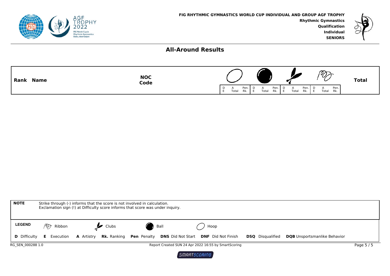



| Rank        | <b>NOC</b> | $\sim$                                                                                                                    | <b>Total</b> |
|-------------|------------|---------------------------------------------------------------------------------------------------------------------------|--------------|
| <b>Name</b> | Code       | $^{\prime\prime\prime}$                                                                                                   |              |
|             |            | Pen.<br>Pen<br>Pen.<br>Pen.<br>D<br>$\overline{A}$<br>Total<br>Total<br>Rk.<br>Rk.<br>Total<br>Total<br>Rk.<br>Rk.<br>- F |              |

| <b>NOTE</b>         |              | Strike through (-) informs that the score is not involved in calculation. | Exclamation sign (!) at Difficulty score informs that score was under inquiry.                                                |                                                      |                         |                                     |          |
|---------------------|--------------|---------------------------------------------------------------------------|-------------------------------------------------------------------------------------------------------------------------------|------------------------------------------------------|-------------------------|-------------------------------------|----------|
| <b>LEGEND</b>       | ∕∞<br>Ribbon | Clubs                                                                     | Ball                                                                                                                          | Hoop                                                 |                         |                                     |          |
| <b>D</b> Difficulty |              |                                                                           | <b>E</b> Execution <b>A</b> Artistry <b>Rk.</b> Ranking <b>Pen</b> Penalty <b>DNS</b> Did Not Start <b>DNF</b> Did Not Finish |                                                      | <b>DSQ</b> Disqualified | <b>DQB</b> Unsportsmanlike Behavior |          |
| RG SEN 000288 1.0   |              |                                                                           |                                                                                                                               | Report Created SUN 24 Apr 2022 16:55 by SmartScoring |                         |                                     | Page 5/5 |

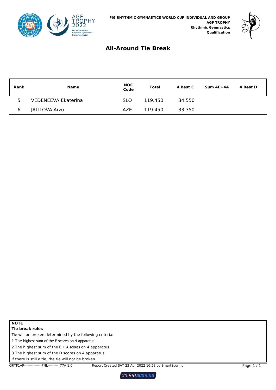



### **All-Around Tie Break**

| <b>Rank</b> | <b>Name</b>          | <b>NOC</b><br>Code | <b>Total</b> | 4 Best E | $Sum 4E+4A$ | 4 Best D |
|-------------|----------------------|--------------------|--------------|----------|-------------|----------|
| 5           | VEDENEEVA Ekaterina  | <b>SLO</b>         | 119.450      | 34.550   |             |          |
| 6           | <b>JALILOVA Arzu</b> | <b>AZE</b>         | 119.450      | 33.350   |             |          |

| w<br>۰. |  |
|---------|--|
|         |  |

**Tie break rules**

Tie will be broken determined by the following criteria:

1.The highest sum of the E scores on 4 apparatus

2. The highest sum of the  $E + A$  scores on 4 apparatus

3.The highest sum of the D scores on 4 apparatus

If there is still a tie, the tie will not be broken.

GRYF1AP----------------FNL----------- 77A 1.0 Report Created SAT 23 Apr 2022 16:58 by SmartScoring Page 1 / 1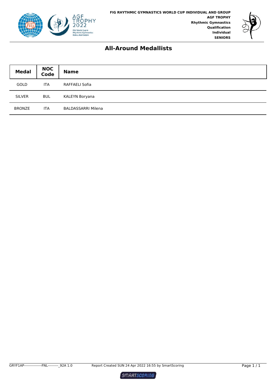



### **All-Around Medallists**

| <b>Medal</b>  | <b>NOC</b><br>Code | <b>Name</b>               |
|---------------|--------------------|---------------------------|
| GOLD          | <b>ITA</b>         | RAFFAELI Sofia            |
| <b>SILVER</b> | <b>BUL</b>         | KALEYN Boryana            |
| <b>BRONZE</b> | <b>ITA</b>         | <b>BALDASSARRI Milena</b> |

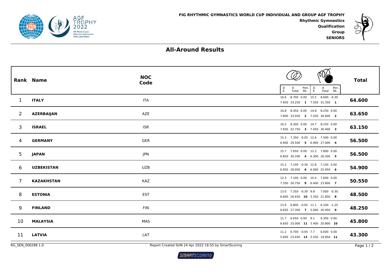



# **All-Around Results**

|                     | Rank Name         | <b>NOC</b><br>Code                                            | Pen.<br>$\mathsf{D}_{\mathsf{E}}$<br>Pen.<br>D<br>A<br>Α<br>E<br>Rk.<br>Total<br>Total Rk. | <b>Total</b>         |
|---------------------|-------------------|---------------------------------------------------------------|--------------------------------------------------------------------------------------------|----------------------|
| $\mathbf{1}$        | <b>ITALY</b>      | <b>ITA</b>                                                    | 16.6 8.700 0.00 15.5 8.600 -0.30<br>7.950 33.250 1 7.550 31.350 1                          | 64.600               |
| 2                   | <b>AZERBAIJAN</b> | <b>AZE</b>                                                    | 16.8 8.450 0.00 14.8 8.250 0.00<br>7.800 33.050 2 7.550 30.600 2                           | 63.650               |
| 3                   | <b>ISRAEL</b>     | <b>ISR</b>                                                    | 16.5 8.300 0.00 14.7 8.250 0.00<br>7.950 32.750 3 7.450 30.400 3                           | 63.150               |
| 4                   | <b>GERMANY</b>    | <b>GER</b>                                                    | 15.3 7.350 -0.05 12.6 7.500 0.00<br>6.900 29.500 5 6.900 27.000 4                          | 56.500               |
| 5                   | <b>JAPAN</b>      | JPN                                                           | 15.7 7.650 0.00 12.2 7.800 0.00<br>6.850 30.200 4 6.300 26.300 5                           | 56.500               |
| 6                   | <b>UZBEKISTAN</b> | <b>UZB</b>                                                    | 15.2 7.100 -0.30 12.8 7.150 0.00<br>6.950 28.950 6 6.000 25.950 6                          | 54.900               |
| $\overline{7}$      | <b>KAZAKHSTAN</b> | <b>KAZ</b>                                                    | 12.3 7.100 0.00 10.4 7.000 0.00<br>7.350 26.750 9 6.400 23.800 7                           | 50.550               |
| 8                   | <b>ESTONIA</b>    | <b>EST</b>                                                    | 13.0 7.350 -0.30 9.8 7.000 -0.30<br>6.600 26.650 10 5.350 21.850 8                         | 48.500               |
| 9                   | <b>FINLAND</b>    | <b>FIN</b>                                                    | 13.9 6.800 -0.05 11.1 6.100 -1.25<br>6.650 27.300 7 5.000 20.950 9                         | 48.250               |
| 10                  | <b>MALAYSIA</b>   | MAS                                                           | 11.7 6.650 0.00 9.1 6.300 0.00<br>6.650 25.000 11 5.400 20.800 10                          | 45.800               |
| 11                  | <b>LATVIA</b>     | LAT                                                           | 11.2 6.700 -0.05 7.7 6.600 0.00<br>5.600 23.450 13 5.550 19.850 11                         | 43.300               |
| $DC$ CEN 000300.1.0 |                   | Brook Constraint CUN 34 Apr 2022 16 FE by Consul Construction |                                                                                            | $\sim$ $\sim$ $\sim$ |

RG\_SEN\_000288 1.0

Report Created SUN 24 Apr 2022 16:55 by SmartScoring Page 1 / 2

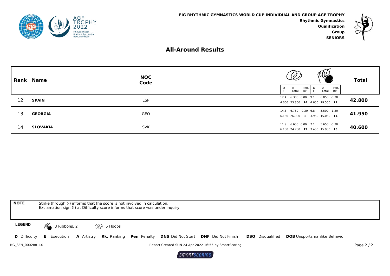



**SENIORS**

# **All-Around Results**

|    | Rank Name       | <b>NOC</b><br>Code | $\omega$<br>Pen.  <br>A<br>E<br>Total<br>Rk. I | V<br>Pen.<br>D<br>A<br>Total Rk.<br>E | <b>Total</b> |
|----|-----------------|--------------------|------------------------------------------------|---------------------------------------|--------------|
| 12 | <b>SPAIN</b>    | <b>ESP</b>         | 4.600 23.300 14 4.650 19.500 12                | 12.4 6.300 0.00 9.1 6.050 -0.30       | 42.800       |
| 13 | <b>GEORGIA</b>  | GEO                | 6.150 26.900 8 3.950 15.050 14                 | 14.3 6.750 -0.30 6.8 5.500 -1.20      | 41.950       |
| 14 | <b>SLOVAKIA</b> | <b>SVK</b>         | 6.150 24.700 12 3.450 15.900 13                | 11.9 6.650 0.00 7.1 5.650 -0.30       | 40.600       |

| <b>NOTE</b>                                                                             | Strike through (-) informs that the score is not involved in calculation.                                                                                                                                              |  |  |  |  |  |  |  |  |  |  |  |
|-----------------------------------------------------------------------------------------|------------------------------------------------------------------------------------------------------------------------------------------------------------------------------------------------------------------------|--|--|--|--|--|--|--|--|--|--|--|
| Exclamation sign (!) at Difficulty score informs that score was under inquiry.          |                                                                                                                                                                                                                        |  |  |  |  |  |  |  |  |  |  |  |
|                                                                                         |                                                                                                                                                                                                                        |  |  |  |  |  |  |  |  |  |  |  |
| <b>LEGEND</b>                                                                           | <b>MA</b><br>3 Ribbons, 2<br><b><i>C</i></b> 5 Hoops                                                                                                                                                                   |  |  |  |  |  |  |  |  |  |  |  |
|                                                                                         | <b>A</b> Artistry <b>Rk.</b> Ranking <b>Pen</b> Penalty <b>DNS</b> Did Not Start <b>DNF</b> Did Not Finish<br><b>D</b> Difficulty <b>E</b> Execution<br><b>DQB</b> Unsportsmanlike Behavior<br><b>DSQ</b> Disqualified |  |  |  |  |  |  |  |  |  |  |  |
| RG SEN 000288 1.0<br>Report Created SUN 24 Apr 2022 16:55 by SmartScoring<br>Page $2/2$ |                                                                                                                                                                                                                        |  |  |  |  |  |  |  |  |  |  |  |

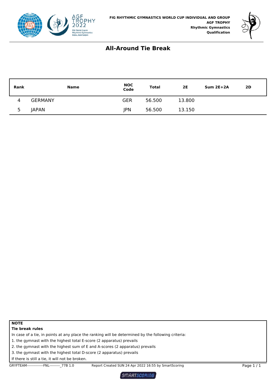



## **All-Around Tie Break**

| <b>Rank</b>              | <b>Name</b>    | NOC<br>Code | <b>Total</b> | 2E     | $Sum 2E+2A$ | 2D |
|--------------------------|----------------|-------------|--------------|--------|-------------|----|
| 4                        | <b>GERMANY</b> | GER         | 56.500       | 13.800 |             |    |
| $\overline{\phantom{a}}$ | <b>JAPAN</b>   | JPN         | 56.500       | 13.150 |             |    |

#### **NOTE Tie break rules**

In case of a tie, in points at any place the ranking will be determined by the following criteria:

1. the gymnast with the highest total E-score (2 apparatus) prevails

2. the gymnast with the highest sum of E and A-scores (2 apparatus) prevails

3. the gymnast with the highest total D-score (2 apparatus) prevails

If there is still a tie, it will not be broken.

GRYFTEAM--------------FNL----------\_77B 1.0 Report Created SUN 24 Apr 2022 16:55 by SmartScoring Page 1 / 1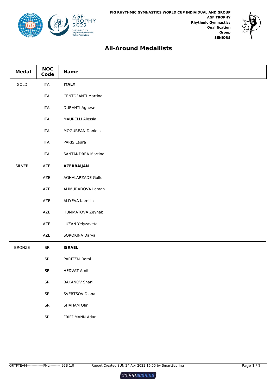



# **All-Around Medallists**

| <b>Medal</b>                 | <b>NOC</b><br>Code          | <b>Name</b>               |
|------------------------------|-----------------------------|---------------------------|
| $\ensuremath{\mathsf{GOLD}}$ | <b>ITA</b>                  | <b>ITALY</b>              |
|                              | <b>ITA</b>                  | <b>CENTOFANTI Martina</b> |
|                              | <b>ITA</b>                  | <b>DURANTI Agnese</b>     |
|                              | <b>ITA</b>                  | <b>MAURELLI Alessia</b>   |
|                              | <b>ITA</b>                  | MOGUREAN Daniela          |
|                              | <b>ITA</b>                  | PARIS Laura               |
|                              | <b>ITA</b>                  | <b>SANTANDREA Martina</b> |
| <b>SILVER</b>                | AZE                         | <b>AZERBAIJAN</b>         |
|                              | AZE                         | AGHALARZADE Gullu         |
|                              | AZE                         | ALIMURADOVA Laman         |
|                              | AZE                         | ALIYEVA Kamilla           |
|                              | AZE                         | HUMMATOVA Zeynab          |
|                              | AZE                         | LUZAN Yelyzaveta          |
|                              | AZE                         | SOROKINA Darya            |
| <b>BRONZE</b>                | $\ensuremath{\mathsf{ISR}}$ | <b>ISRAEL</b>             |
|                              | $\ensuremath{\mathsf{ISR}}$ | PARITZKI Romi             |
|                              | <b>ISR</b>                  | <b>HEDVAT Amit</b>        |
|                              | $\ensuremath{\mathsf{ISR}}$ | <b>BAKANOV Shani</b>      |
|                              | $\ensuremath{\mathsf{ISR}}$ | SVERTSOV Diana            |
|                              | <b>ISR</b>                  | SHAHAM Ofir               |
|                              | $\ensuremath{\mathsf{ISR}}$ | FRIEDMANN Adar            |

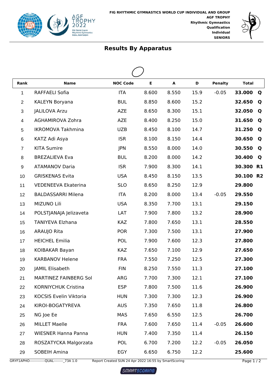



| Rank           | <b>Name</b>                | <b>NOC Code</b> | E     | A     | D    | <b>Penalty</b> | <b>Total</b> |  |  |  |  |  |  |
|----------------|----------------------------|-----------------|-------|-------|------|----------------|--------------|--|--|--|--|--|--|
| 1              | RAFFAELI Sofia             | <b>ITA</b>      | 8.600 | 8.550 | 15.9 | $-0.05$        | 33.000<br>Q  |  |  |  |  |  |  |
| $\overline{2}$ | KALEYN Boryana             | <b>BUL</b>      | 8.850 | 8.600 | 15.2 |                | 32.650<br>Q  |  |  |  |  |  |  |
| 3              | <b>JALILOVA Arzu</b>       | <b>AZE</b>      | 8.650 | 8.300 | 15.1 |                | 32.050<br>Q  |  |  |  |  |  |  |
| 4              | AGHAMIROVA Zohra           | <b>AZE</b>      | 8.400 | 8.250 | 15.0 |                | 31.650<br>Q  |  |  |  |  |  |  |
| 5              | <b>IKROMOVA Takhmina</b>   | <b>UZB</b>      | 8.450 | 8.100 | 14.7 |                | 31.250<br>Q  |  |  |  |  |  |  |
| 6              | KATZ Adi Asya              | <b>ISR</b>      | 8.100 | 8.150 | 14.4 |                | 30.650<br>Q  |  |  |  |  |  |  |
| $\overline{7}$ | <b>KITA Sumire</b>         | <b>JPN</b>      | 8.550 | 8.000 | 14.0 |                | 30.550<br>Q  |  |  |  |  |  |  |
| 8              | <b>BREZALIEVA Eva</b>      | <b>BUL</b>      | 8.200 | 8.000 | 14.2 |                | 30.400<br>Q  |  |  |  |  |  |  |
| 9              | <b>ATAMANOV Daria</b>      | <b>ISR</b>      | 7.900 | 8.300 | 14.1 |                | 30.300 R1    |  |  |  |  |  |  |
| 10             | <b>GRISKENAS Evita</b>     | <b>USA</b>      | 8.450 | 8.150 | 13.5 |                | 30.100 R2    |  |  |  |  |  |  |
| 11             | VEDENEEVA Ekaterina        | <b>SLO</b>      | 8.650 | 8.250 | 12.9 |                | 29.800       |  |  |  |  |  |  |
| 12             | <b>BALDASSARRI Milena</b>  | <b>ITA</b>      | 8.200 | 8.000 | 13.4 | $-0.05$        | 29.550       |  |  |  |  |  |  |
| 13             | MIZUNO Lili                | <b>USA</b>      | 8.350 | 7.700 | 13.1 |                | 29.150       |  |  |  |  |  |  |
| 14             | POLSTJANAJA Jelizaveta     | LAT             | 7.900 | 7.800 | 13.2 |                | 28.900       |  |  |  |  |  |  |
| 15             | <b>TANIYEVA Elzhana</b>    | <b>KAZ</b>      | 7.800 | 7.650 | 13.1 |                | 28.550       |  |  |  |  |  |  |
| 16             | ARAUJO Rita                | <b>POR</b>      | 7.300 | 7.500 | 13.1 |                | 27.900       |  |  |  |  |  |  |
| 17             | <b>HEICHEL Emilia</b>      | <b>POL</b>      | 7.900 | 7.600 | 12.3 |                | 27.800       |  |  |  |  |  |  |
| 18             | KOIBAKAR Bayan             | <b>KAZ</b>      | 7.650 | 7.100 | 12.9 |                | 27.650       |  |  |  |  |  |  |
| 19             | <b>KARBANOV Helene</b>     | <b>FRA</b>      | 7.550 | 7.250 | 12.5 |                | 27.300       |  |  |  |  |  |  |
| 20             | JAMIL Elisabeth            | <b>FIN</b>      | 8.250 | 7.550 | 11.3 |                | 27.100       |  |  |  |  |  |  |
| 21             | MARTINEZ FAINBERG Sol      | ARG             | 7.700 | 7.300 | 12.1 |                | 27.100       |  |  |  |  |  |  |
| 22             | KORNIYCHUK Cristina        | <b>ESP</b>      | 7.800 | 7.500 | 11.6 |                | 26.900       |  |  |  |  |  |  |
| 23             | KOCSIS Evelin Viktoria     | <b>HUN</b>      | 7.300 | 7.300 | 12.3 |                | 26.900       |  |  |  |  |  |  |
| 24             | KIROI-BOGATYREVA           | <b>AUS</b>      | 7.350 | 7.650 | 11.8 |                | 26.800       |  |  |  |  |  |  |
| 25             | NG Joe Ee                  | <b>MAS</b>      | 7.650 | 6.550 | 12.5 |                | 26.700       |  |  |  |  |  |  |
| 26             | <b>MILLET Maelle</b>       | <b>FRA</b>      | 7.600 | 7.650 | 11.4 | $-0.05$        | 26.600       |  |  |  |  |  |  |
| 27             | <b>WIESNER Hanna Panna</b> | <b>HUN</b>      | 7.400 | 7.350 | 11.4 |                | 26.150       |  |  |  |  |  |  |
| 28             | ROSZATYCKA Malgorzata      | <b>POL</b>      | 6.700 | 7.200 | 12.2 | $-0.05$        | 26.050       |  |  |  |  |  |  |
| 29             | SOBEIH Amina               | EGY             | 6.650 | 6.750 | 12.2 |                | 25.600       |  |  |  |  |  |  |

GRYF1APHO--------------QUAL---------\_73A 1.0 Report Created SUN 24 Apr 2022 16:55 by SmartScoring Page 1 / 2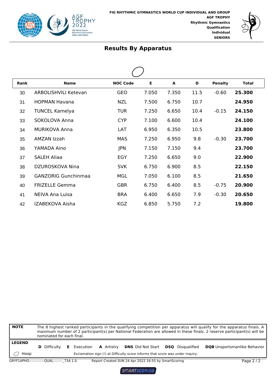



| Rank | <b>Name</b>                 | <b>NOC Code</b> | Е     | A     | D    | <b>Penalty</b> | <b>Total</b> |  |
|------|-----------------------------|-----------------|-------|-------|------|----------------|--------------|--|
| 30   | <b>ARBOLISHVILI Ketevan</b> | <b>GEO</b>      | 7.050 | 7.350 | 11.5 | $-0.60$        | 25.300       |  |
| 31   | <b>HOPMAN Havana</b>        | <b>NZL</b>      | 7.500 | 6.750 | 10.7 |                | 24.950       |  |
| 32   | <b>TUNCEL Kamelya</b>       | <b>TUR</b>      | 7.250 | 6.650 | 10.4 | $-0.15$        | 24.150       |  |
| 33   | SOKOLOVA Anna               | <b>CYP</b>      | 7.100 | 6.600 | 10.4 |                | 24.100       |  |
| 34   | <b>MURIKOVA Anna</b>        | LAT             | 6.950 | 6.350 | 10.5 |                | 23.800       |  |
| 35   | AMZAN Izzah                 | <b>MAS</b>      | 7.250 | 6.950 | 9.8  | $-0.30$        | 23.700       |  |
| 36   | YAMADA Aino                 | <b>JPN</b>      | 7.150 | 7.150 | 9.4  |                | 23.700       |  |
| 37   | <b>SALEH Aliaa</b>          | EGY             | 7.250 | 6.650 | 9.0  |                | 22.900       |  |
| 38   | DZUROSKOVA Nina             | <b>SVK</b>      | 6.750 | 6.900 | 8.5  |                | 22.150       |  |
| 39   | <b>GANZORIG Gunchinmaa</b>  | <b>MGL</b>      | 7.050 | 6.100 | 8.5  |                | 21.650       |  |
| 40   | <b>FRIZELLE Gemma</b>       | <b>GBR</b>      | 6.750 | 6.400 | 8.5  | $-0.75$        | 20.900       |  |
| 41   | NEIVA Ana Luisa             | <b>BRA</b>      | 6.400 | 6.650 | 7.9  | $-0.30$        | 20.650       |  |
| 42   | IZABEKOVA Aisha             | <b>KGZ</b>      | 6.850 | 5.750 | 7.2  |                | 19.800       |  |

| <b>NOTE</b>           | The 8 highest ranked participants in the qualifying competition per apparatus will qualify for the apparatus finals. A<br>maximum number of 2 participant(s) per National Federation are allowed in these finals. 2 reserve participant(s) will be<br>nominated for each final. |  |                    |  |                   |  |                                                                                                            |  |                         |                                     |
|-----------------------|---------------------------------------------------------------------------------------------------------------------------------------------------------------------------------------------------------------------------------------------------------------------------------|--|--------------------|--|-------------------|--|------------------------------------------------------------------------------------------------------------|--|-------------------------|-------------------------------------|
| <b>LEGEND</b><br>Hoop | <b>D</b> Difficulty                                                                                                                                                                                                                                                             |  | <b>E</b> Execution |  | <b>A</b> Artistry |  | <b>DNS</b> Did Not Start<br>Exclamation sign (!) at Difficulty score informs that score was under inquiry. |  | <b>DSO</b> Disqualified | <b>DQB</b> Unsportsmanlike Behavior |
|                       | GRYF1APHO--------------QUAL-------- 73A 1.0                                                                                                                                                                                                                                     |  |                    |  |                   |  | Report Created SUN 24 Apr 2022 16:55 by SmartScoring                                                       |  |                         | Page 2/2                            |

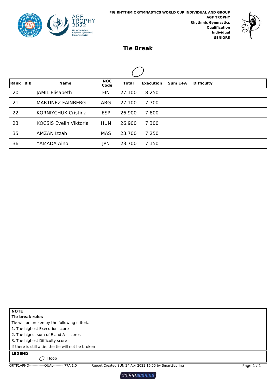



#### **Tie Break**

| <b>Rank BIB</b> |  | <b>Name</b>                   | <b>NOC</b><br>Code | <b>Total</b> | <b>Execution</b> | $Sum E+A$ | <b>Difficulty</b> |  |  |  |  |  |  |
|-----------------|--|-------------------------------|--------------------|--------------|------------------|-----------|-------------------|--|--|--|--|--|--|
| 20              |  | JAMIL Elisabeth               | <b>FIN</b>         | 27.100       | 8.250            |           |                   |  |  |  |  |  |  |
| 21              |  | MARTINEZ FAINBERG             | <b>ARG</b>         | 27.100       | 7.700            |           |                   |  |  |  |  |  |  |
| 22              |  | <b>KORNIYCHUK Cristina</b>    | <b>ESP</b>         | 26,900       | 7.800            |           |                   |  |  |  |  |  |  |
| 23              |  | <b>KOCSIS Evelin Viktoria</b> | <b>HUN</b>         | 26.900       | 7.300            |           |                   |  |  |  |  |  |  |
| 35              |  | AMZAN Izzah                   | <b>MAS</b>         | 23.700       | 7.250            |           |                   |  |  |  |  |  |  |
| 36              |  | YAMADA Aino                   | <b>JPN</b>         | 23.700       | 7.150            |           |                   |  |  |  |  |  |  |

**NOTE Tie break rules**

Tie will be broken by the following criteria:

1. The highest Execution score

2. The higest sum of E and A - scores

3. The highest Difficulty score

If there is still a tie, the tie will not be broken

**LEGEND**

 $\bigcirc$  Hoop

GRYF1APHO-------------QUAL--------\_77A 1.0 Report Created SUN 24 Apr 2022 16:55 by SmartScoring Page 1 / 1

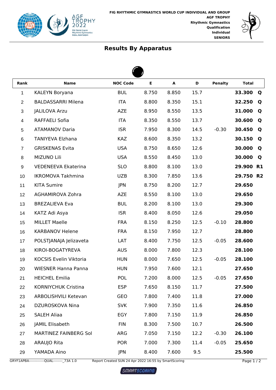



 $\blacktriangle$ 

| Rank                    | <b>Name</b>                  | <b>NOC Code</b> | E     | $\blacktriangle$ | D    | <b>Penalty</b> | <b>Total</b>        |  |  |  |  |  |  |
|-------------------------|------------------------------|-----------------|-------|------------------|------|----------------|---------------------|--|--|--|--|--|--|
| 1                       | KALEYN Boryana               | <b>BUL</b>      | 8.750 | 8.850            | 15.7 |                | 33.300<br>Q         |  |  |  |  |  |  |
| $\overline{2}$          | <b>BALDASSARRI Milena</b>    | <b>ITA</b>      | 8.800 | 8.350            | 15.1 |                | 32.250<br>Q         |  |  |  |  |  |  |
| 3                       | <b>JALILOVA Arzu</b>         | <b>AZE</b>      | 8.950 | 8.550            | 13.5 |                | 31.000<br>Q         |  |  |  |  |  |  |
| $\overline{\mathbf{4}}$ | <b>RAFFAELI Sofia</b>        | <b>ITA</b>      | 8.350 | 8.550            | 13.7 |                | 30.600<br>Q         |  |  |  |  |  |  |
| 5                       | <b>ATAMANOV Daria</b>        | <b>ISR</b>      | 7.950 | 8.300            | 14.5 | $-0.30$        | 30.450<br>Q         |  |  |  |  |  |  |
| 6                       | <b>TANIYEVA Elzhana</b>      | <b>KAZ</b>      | 8.600 | 8.350            | 13.2 |                | 30.150<br>Q         |  |  |  |  |  |  |
| $\overline{7}$          | <b>GRISKENAS Evita</b>       | <b>USA</b>      | 8.750 | 8.650            | 12.6 |                | 30.000<br>Q         |  |  |  |  |  |  |
| 8                       | MIZUNO Lili                  | <b>USA</b>      | 8.550 | 8.450            | 13.0 |                | 30.000<br>Q         |  |  |  |  |  |  |
| 9                       | <b>VEDENEEVA Ekaterina</b>   | <b>SLO</b>      | 8.800 | 8.100            | 13.0 |                | 29.900<br><b>R1</b> |  |  |  |  |  |  |
| 10                      | <b>IKROMOVA Takhmina</b>     | <b>UZB</b>      | 8.300 | 7.850            | 13.6 |                | 29.750 R2           |  |  |  |  |  |  |
| 11                      | <b>KITA Sumire</b>           | <b>JPN</b>      | 8.750 | 8.200            | 12.7 |                | 29.650              |  |  |  |  |  |  |
| 12                      | <b>AGHAMIROVA Zohra</b>      | <b>AZE</b>      | 8.550 | 8.100            | 13.0 |                | 29.650              |  |  |  |  |  |  |
| 13                      | <b>BREZALIEVA Eva</b>        | <b>BUL</b>      | 8.200 | 8.100            | 13.0 |                | 29.300              |  |  |  |  |  |  |
| 14                      | KATZ Adi Asya                | <b>ISR</b>      | 8.400 | 8.050            | 12.6 |                | 29.050              |  |  |  |  |  |  |
| 15                      | <b>MILLET Maelle</b>         | <b>FRA</b>      | 8.150 | 8.250            | 12.5 | $-0.10$        | 28.800              |  |  |  |  |  |  |
| 16                      | <b>KARBANOV Helene</b>       | <b>FRA</b>      | 8.150 | 7.950            | 12.7 |                | 28.800              |  |  |  |  |  |  |
| 17                      | POLSTJANAJA Jelizaveta       | LAT             | 8.400 | 7.750            | 12.5 | $-0.05$        | 28.600              |  |  |  |  |  |  |
| 18                      | KIROI-BOGATYREVA             | <b>AUS</b>      | 8.000 | 7.800            | 12.3 |                | 28.100              |  |  |  |  |  |  |
| 19                      | KOCSIS Evelin Viktoria       | <b>HUN</b>      | 8.000 | 7.650            | 12.5 | $-0.05$        | 28.100              |  |  |  |  |  |  |
| 20                      | <b>WIESNER Hanna Panna</b>   | <b>HUN</b>      | 7.950 | 7.600            | 12.1 |                | 27.650              |  |  |  |  |  |  |
| 21                      | <b>HEICHEL Emilia</b>        | POL             | 7.200 | 8.000            | 12.5 | $-0.05$        | 27.650              |  |  |  |  |  |  |
| 22                      | KORNIYCHUK Cristina          | <b>ESP</b>      | 7.650 | 8.150            | 11.7 |                | 27.500              |  |  |  |  |  |  |
| 23                      | <b>ARBOLISHVILI Ketevan</b>  | GEO             | 7.800 | 7.400            | 11.8 |                | 27.000              |  |  |  |  |  |  |
| 24                      | DZUROSKOVA Nina              | <b>SVK</b>      | 7.900 | 7.350            | 11.6 |                | 26.850              |  |  |  |  |  |  |
| 25                      | <b>SALEH Aliaa</b>           | EGY             | 7.800 | 7.150            | 11.9 |                | 26.850              |  |  |  |  |  |  |
| 26                      | JAMIL Elisabeth              | <b>FIN</b>      | 8.300 | 7.500            | 10.7 |                | 26.500              |  |  |  |  |  |  |
| 27                      | <b>MARTINEZ FAINBERG Sol</b> | ARG             | 7.050 | 7.150            | 12.2 | $-0.30$        | 26.100              |  |  |  |  |  |  |
| 28                      | ARAUJO Rita                  | <b>POR</b>      | 7.000 | 7.300            | 11.4 | $-0.05$        | 25.650              |  |  |  |  |  |  |
| 29                      | YAMADA Aino                  | JPN             | 8.400 | 7.600            | 9.5  |                | 25.500              |  |  |  |  |  |  |

GRYF1APBA--------------QUAL---------\_73A 1.0 Report Created SUN 24 Apr 2022 16:55 by SmartScoring Page 1 / 2

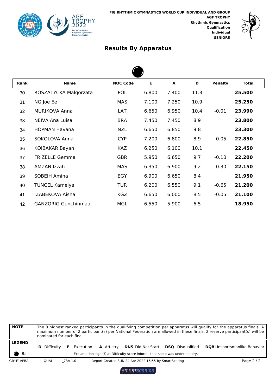



| <b>Rank</b> | <b>Name</b>                | <b>NOC Code</b> | Е     | A     | D    | <b>Penalty</b> | <b>Total</b> |  |  |  |
|-------------|----------------------------|-----------------|-------|-------|------|----------------|--------------|--|--|--|
| 30          | ROSZATYCKA Malgorzata      | <b>POL</b>      | 6.800 | 7.400 | 11.3 |                | 25.500       |  |  |  |
| 31          | NG Joe Ee                  | <b>MAS</b>      | 7.100 | 7.250 | 10.9 |                | 25.250       |  |  |  |
| 32          | <b>MURIKOVA Anna</b>       | LAT             | 6.650 | 6.950 | 10.4 | $-0.01$        | 23.990       |  |  |  |
| 33          | NEIVA Ana Luisa            | <b>BRA</b>      | 7.450 | 7.450 | 8.9  |                | 23.800       |  |  |  |
| 34          | <b>HOPMAN Havana</b>       | <b>NZL</b>      | 6.650 | 6.850 | 9.8  |                | 23.300       |  |  |  |
| 35          | SOKOLOVA Anna              | <b>CYP</b>      | 7.200 | 6.800 | 8.9  | $-0.05$        | 22.850       |  |  |  |
| 36          | KOIBAKAR Bayan             | <b>KAZ</b>      | 6.250 | 6.100 | 10.1 |                | 22.450       |  |  |  |
| 37          | <b>FRIZELLE Gemma</b>      | <b>GBR</b>      | 5.950 | 6.650 | 9.7  | $-0.10$        | 22.200       |  |  |  |
| 38          | AMZAN Izzah                | <b>MAS</b>      | 6.350 | 6.900 | 9.2  | $-0.30$        | 22.150       |  |  |  |
| 39          | <b>SOBEIH Amina</b>        | EGY             | 6.900 | 6.650 | 8.4  |                | 21.950       |  |  |  |
| 40          | <b>TUNCEL Kamelya</b>      | <b>TUR</b>      | 6.200 | 6.550 | 9.1  | $-0.65$        | 21.200       |  |  |  |
| 41          | IZABEKOVA Aisha            | <b>KGZ</b>      | 6.650 | 6.000 | 8.5  | $-0.05$        | 21.100       |  |  |  |
| 42          | <b>GANZORIG Gunchinmaa</b> | <b>MGL</b>      | 6.550 | 5.900 | 6.5  |                | 18.950       |  |  |  |

| <b>NOTE</b>           | The 8 highest ranked participants in the qualifying competition per apparatus will qualify for the apparatus finals. A<br>maximum number of 2 participant(s) per National Federation are allowed in these finals. 2 reserve participant(s) will be<br>nominated for each final. |  |                    |  |                   |  |                                                                                                                                    |  |                                     |
|-----------------------|---------------------------------------------------------------------------------------------------------------------------------------------------------------------------------------------------------------------------------------------------------------------------------|--|--------------------|--|-------------------|--|------------------------------------------------------------------------------------------------------------------------------------|--|-------------------------------------|
| <b>LEGEND</b><br>Ball | <b>D</b> Difficulty                                                                                                                                                                                                                                                             |  | <b>E</b> Execution |  | <b>A</b> Artistry |  | <b>DNS</b> Did Not Start <b>DSQ</b> Disqualified<br>Exclamation sign (!) at Difficulty score informs that score was under inguiry. |  | <b>DQB</b> Unsportsmanlike Behavior |
|                       | GRYF1APBA---------------QUAL-------- 73A 1.0                                                                                                                                                                                                                                    |  |                    |  |                   |  | Report Created SUN 24 Apr 2022 16:55 by SmartScoring                                                                               |  | Page $2/2$                          |

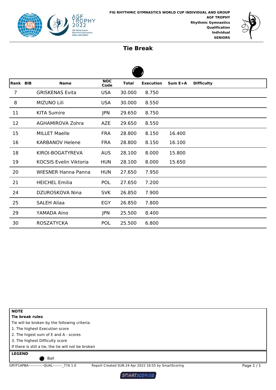



#### **Tie Break**

| Rank BIB |  | <b>Name</b>                | <b>NOC</b><br>Code | Total  | <b>Execution</b> | Sum E+A | <b>Difficulty</b> |  |  |  |  |  |
|----------|--|----------------------------|--------------------|--------|------------------|---------|-------------------|--|--|--|--|--|
| 7        |  | <b>GRISKENAS Evita</b>     | <b>USA</b>         | 30.000 | 8.750            |         |                   |  |  |  |  |  |
| 8        |  | MIZUNO Lili                | <b>USA</b>         | 30.000 | 8.550            |         |                   |  |  |  |  |  |
| 11       |  | <b>KITA Sumire</b>         | JPN                | 29.650 | 8.750            |         |                   |  |  |  |  |  |
| 12       |  | <b>AGHAMIROVA Zohra</b>    | <b>AZE</b>         | 29.650 | 8.550            |         |                   |  |  |  |  |  |
| 15       |  | <b>MILLET Maelle</b>       | <b>FRA</b>         | 28.800 | 8.150            | 16.400  |                   |  |  |  |  |  |
| 16       |  | <b>KARBANOV Helene</b>     | <b>FRA</b>         | 28.800 | 8.150            | 16.100  |                   |  |  |  |  |  |
| 18       |  | KIROI-BOGATYREVA           | <b>AUS</b>         | 28.100 | 8.000            | 15.800  |                   |  |  |  |  |  |
| 19       |  | KOCSIS Evelin Viktoria     | <b>HUN</b>         | 28.100 | 8.000            | 15.650  |                   |  |  |  |  |  |
| 20       |  | <b>WIESNER Hanna Panna</b> | <b>HUN</b>         | 27.650 | 7.950            |         |                   |  |  |  |  |  |
| 21       |  | <b>HEICHEL Emilia</b>      | <b>POL</b>         | 27.650 | 7.200            |         |                   |  |  |  |  |  |
| 24       |  | DZUROSKOVA Nina            | <b>SVK</b>         | 26.850 | 7.900            |         |                   |  |  |  |  |  |
| 25       |  | <b>SALEH Aliaa</b>         | EGY                | 26.850 | 7.800            |         |                   |  |  |  |  |  |
| 29       |  | YAMADA Aino                | <b>JPN</b>         | 25.500 | 8.400            |         |                   |  |  |  |  |  |
| 30       |  | <b>ROSZATYCKA</b>          | <b>POL</b>         | 25.500 | 6.800            |         |                   |  |  |  |  |  |



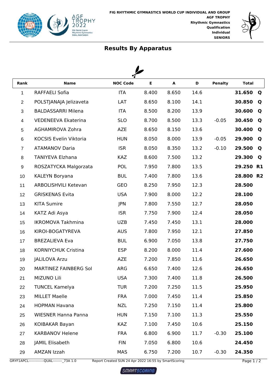



| Rank           | <b>Name</b>                 | <b>NOC Code</b> | Е     | A     | D    | <b>Penalty</b> | <b>Total</b>        |
|----------------|-----------------------------|-----------------|-------|-------|------|----------------|---------------------|
| 1              | RAFFAELI Sofia              | <b>ITA</b>      | 8.400 | 8.650 | 14.6 |                | 31.650<br>Q         |
| $\overline{2}$ | POLSTJANAJA Jelizaveta      | LAT             | 8.650 | 8.100 | 14.1 |                | 30.850<br>Q         |
| 3              | <b>BALDASSARRI Milena</b>   | <b>ITA</b>      | 8.500 | 8.200 | 13.9 |                | 30.600<br>Q         |
| 4              | <b>VEDENEEVA Ekaterina</b>  | <b>SLO</b>      | 8.700 | 8.500 | 13.3 | $-0.05$        | 30.450<br>Q         |
| 5              | AGHAMIROVA Zohra            | <b>AZE</b>      | 8.650 | 8.150 | 13.6 |                | 30.400<br>Q         |
| 6              | KOCSIS Evelin Viktoria      | <b>HUN</b>      | 8.050 | 8.000 | 13.9 | $-0.05$        | 29.900<br>Q         |
| $\overline{7}$ | <b>ATAMANOV Daria</b>       | <b>ISR</b>      | 8.050 | 8.350 | 13.2 | $-0.10$        | 29.500<br>Q         |
| 8              | TANIYEVA Elzhana            | <b>KAZ</b>      | 8.600 | 7.500 | 13.2 |                | 29.300<br>Q         |
| 9              | ROSZATYCKA Malgorzata       | POL             | 7.950 | 7.800 | 13.5 |                | 29.250<br><b>R1</b> |
| 10             | KALEYN Boryana              | <b>BUL</b>      | 7.400 | 7.800 | 13.6 |                | 28.800 R2           |
| 11             | <b>ARBOLISHVILI Ketevan</b> | <b>GEO</b>      | 8.250 | 7.950 | 12.3 |                | 28.500              |
| 12             | <b>GRISKENAS Evita</b>      | <b>USA</b>      | 7.900 | 8.000 | 12.2 |                | 28.100              |
| 13             | <b>KITA Sumire</b>          | JPN             | 7.800 | 7.550 | 12.7 |                | 28.050              |
| 14             | KATZ Adi Asya               | <b>ISR</b>      | 7.750 | 7.900 | 12.4 |                | 28.050              |
| 15             | <b>IKROMOVA Takhmina</b>    | <b>UZB</b>      | 7.450 | 7.450 | 13.1 |                | 28.000              |
| 16             | KIROI-BOGATYREVA            | <b>AUS</b>      | 7.800 | 7.950 | 12.1 |                | 27.850              |
| 17             | <b>BREZALIEVA Eva</b>       | <b>BUL</b>      | 6.900 | 7.050 | 13.8 |                | 27.750              |
| 18             | <b>KORNIYCHUK Cristina</b>  | <b>ESP</b>      | 8.200 | 8.000 | 11.4 |                | 27.600              |
| 19             | <b>JALILOVA Arzu</b>        | <b>AZE</b>      | 7.200 | 7.850 | 11.6 |                | 26.650              |
| 20             | MARTINEZ FAINBERG Sol       | <b>ARG</b>      | 6.650 | 7.400 | 12.6 |                | 26.650              |
| 21             | MIZUNO Lili                 | <b>USA</b>      | 7.300 | 7.400 | 11.8 |                | 26.500              |
| 22             | <b>TUNCEL Kamelya</b>       | <b>TUR</b>      | 7.200 | 7.250 | 11.5 |                | 25.950              |
| 23             | <b>MILLET Maelle</b>        | <b>FRA</b>      | 7.000 | 7.450 | 11.4 |                | 25.850              |
| 24             | <b>HOPMAN Havana</b>        | <b>NZL</b>      | 7.250 | 7.150 | 11.4 |                | 25.800              |
| 25             | <b>WIESNER Hanna Panna</b>  | <b>HUN</b>      | 7.150 | 7.100 | 11.3 |                | 25.550              |
| 26             | KOIBAKAR Bayan              | <b>KAZ</b>      | 7.100 | 7.450 | 10.6 |                | 25.150              |
| 27             | <b>KARBANOV Helene</b>      | <b>FRA</b>      | 6.800 | 6.900 | 11.7 | $-0.30$        | 25.100              |
| 28             | JAMIL Elisabeth             | <b>FIN</b>      | 7.050 | 6.800 | 10.6 |                | 24.450              |
| 29             | AMZAN Izzah                 | <b>MAS</b>      | 6.750 | 7.200 | 10.7 | $-0.30$        | 24.350              |

GRYF1APCL--------------QUAL---------\_73A 1.0 Report Created SUN 24 Apr 2022 16:55 by SmartScoring Page 1 / 2

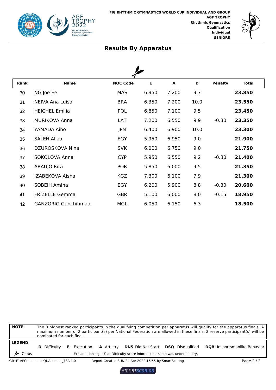



| Rank | <b>Name</b>                | <b>NOC Code</b> | Е     | A     | D    | <b>Penalty</b> | <b>Total</b> |  |
|------|----------------------------|-----------------|-------|-------|------|----------------|--------------|--|
| 30   | NG Joe Ee                  | <b>MAS</b>      | 6.950 | 7.200 | 9.7  |                | 23.850       |  |
| 31   | NEIVA Ana Luisa            | <b>BRA</b>      | 6.350 | 7.200 | 10.0 |                | 23.550       |  |
| 32   | <b>HEICHEL Emilia</b>      | <b>POL</b>      | 6.850 | 7.100 | 9.5  |                | 23.450       |  |
| 33   | <b>MURIKOVA Anna</b>       | LAT             | 7.200 | 6.550 | 9.9  | $-0.30$        | 23.350       |  |
| 34   | YAMADA Aino                | <b>JPN</b>      | 6.400 | 6.900 | 10.0 |                | 23.300       |  |
| 35   | <b>SALEH Aliaa</b>         | EGY             | 5.950 | 6.950 | 9.0  |                | 21.900       |  |
| 36   | DZUROSKOVA Nina            | <b>SVK</b>      | 6.000 | 6.750 | 9.0  |                | 21.750       |  |
| 37   | SOKOLOVA Anna              | <b>CYP</b>      | 5.950 | 6.550 | 9.2  | $-0.30$        | 21.400       |  |
| 38   | ARAUJO Rita                | <b>POR</b>      | 5.850 | 6.000 | 9.5  |                | 21.350       |  |
| 39   | IZABEKOVA Aisha            | <b>KGZ</b>      | 7.300 | 6.100 | 7.9  |                | 21.300       |  |
| 40   | <b>SOBEIH Amina</b>        | EGY             | 6.200 | 5.900 | 8.8  | $-0.30$        | 20.600       |  |
| 41   | <b>FRIZELLE Gemma</b>      | <b>GBR</b>      | 5.100 | 6.000 | 8.0  | $-0.15$        | 18.950       |  |
| 42   | <b>GANZORIG Gunchinmaa</b> | <b>MGL</b>      | 6.050 | 6.150 | 6.3  |                | 18.500       |  |

| <b>NOTE</b>                          | The 8 highest ranked participants in the qualifying competition per apparatus will qualify for the apparatus finals. A<br>maximum number of 2 participant(s) per National Federation are allowed in these finals. 2 reserve participant(s) will be<br>nominated for each final. |  |                    |  |                   |  |                                                                                                            |  |                         |                                     |
|--------------------------------------|---------------------------------------------------------------------------------------------------------------------------------------------------------------------------------------------------------------------------------------------------------------------------------|--|--------------------|--|-------------------|--|------------------------------------------------------------------------------------------------------------|--|-------------------------|-------------------------------------|
| <b>LEGEND</b><br>$\frac{1}{2}$ Clubs | <b>D</b> Difficulty                                                                                                                                                                                                                                                             |  | <b>E</b> Execution |  | <b>A</b> Artistry |  | <b>DNS</b> Did Not Start<br>Exclamation sign (!) at Difficulty score informs that score was under inquiry. |  | <b>DSO</b> Disqualified | <b>DQB</b> Unsportsmanlike Behavior |
|                                      | GRYF1APCL-------------QUAL-------- 73A 1.0                                                                                                                                                                                                                                      |  |                    |  |                   |  | Report Created SUN 24 Apr 2022 16:55 by SmartScoring                                                       |  |                         | Page $2/2$                          |

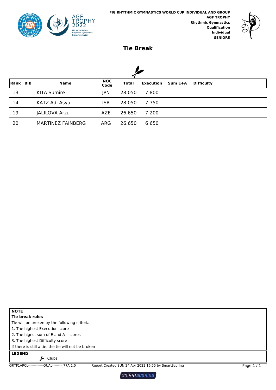



#### **Tie Break**

| Rank BIB | <b>Name</b>              | <b>NOC</b><br>Code | <b>Total</b> | <b>Execution</b> | Sum E+A | <b>Difficulty</b> |
|----------|--------------------------|--------------------|--------------|------------------|---------|-------------------|
| 13       | <b>KITA Sumire</b>       | <b>JPN</b>         | 28.050       | 7.800            |         |                   |
| 14       | KATZ Adi Asya            | <b>ISR</b>         | 28.050       | 7.750            |         |                   |
| 19       | <b>JALILOVA Arzu</b>     | <b>AZE</b>         | 26.650       | 7.200            |         |                   |
| 20       | <b>MARTINEZ FAINBERG</b> | <b>ARG</b>         | 26.650       | 6.650            |         |                   |

**NOTE**

**Tie break rules**

Tie will be broken by the following criteria:

1. The highest Execution score

2. The higest sum of E and A - scores

3. The highest Difficulty score

If there is still a tie, the tie will not be broken

**LEGEND**

 $\frac{1}{2}$  Clubs

GRYF1APCL-------------QUAL--------\_77A 1.0 Report Created SUN 24 Apr 2022 16:55 by SmartScoring Page 1 / 1

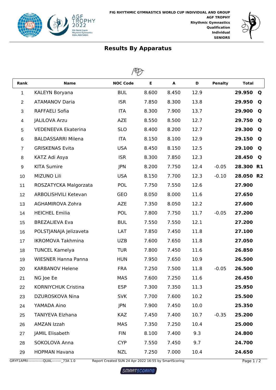



| Rank           | <b>Name</b>                | <b>NOC Code</b> | Е     | A     | D    | <b>Penalty</b> | <b>Total</b> |           |  |  |  |
|----------------|----------------------------|-----------------|-------|-------|------|----------------|--------------|-----------|--|--|--|
| 1              | KALEYN Boryana             | <b>BUL</b>      | 8.600 | 8.450 | 12.9 |                | 29.950       | Q         |  |  |  |
| $\overline{2}$ | <b>ATAMANOV Daria</b>      | <b>ISR</b>      | 7.850 | 8.300 | 13.8 |                | 29.950       | Q         |  |  |  |
| 3              | RAFFAELI Sofia             | <b>ITA</b>      | 8.300 | 7.900 | 13.7 |                | 29.900       | Q         |  |  |  |
| 4              | <b>JALILOVA Arzu</b>       | <b>AZE</b>      | 8.550 | 8.500 | 12.7 |                | 29.750       | Q         |  |  |  |
| 5              | <b>VEDENEEVA Ekaterina</b> | <b>SLO</b>      | 8.400 | 8.200 | 12.7 |                | 29.300       | Q         |  |  |  |
| 6              | <b>BALDASSARRI Milena</b>  | <b>ITA</b>      | 8.150 | 8.100 | 12.9 |                | 29.150       | Q         |  |  |  |
| $\overline{7}$ | <b>GRISKENAS Evita</b>     | <b>USA</b>      | 8.450 | 8.150 | 12.5 |                | 29.100       | Q         |  |  |  |
| 8              | KATZ Adi Asya              | <b>ISR</b>      | 8.300 | 7.850 | 12.3 |                | 28.450       | Q         |  |  |  |
| 9              | <b>KITA Sumire</b>         | <b>JPN</b>      | 8.200 | 7.750 | 12.4 | $-0.05$        | 28.300       | <b>R1</b> |  |  |  |
| 10             | <b>MIZUNO Lili</b>         | <b>USA</b>      | 8.150 | 7.700 | 12.3 | $-0.10$        | 28.050 R2    |           |  |  |  |
| 11             | ROSZATYCKA Malgorzata      | <b>POL</b>      | 7.750 | 7.550 | 12.6 |                | 27.900       |           |  |  |  |
| 12             | ARBOLISHVILI Ketevan       | <b>GEO</b>      | 8.050 | 8.000 | 11.6 |                | 27.650       |           |  |  |  |
| 13             | AGHAMIROVA Zohra           | <b>AZE</b>      | 7.350 | 8.050 | 12.2 |                | 27.600       |           |  |  |  |
| 14             | <b>HEICHEL Emilia</b>      | <b>POL</b>      | 7.800 | 7.750 | 11.7 | $-0.05$        | 27.200       |           |  |  |  |
| 15             | <b>BREZALIEVA Eva</b>      | <b>BUL</b>      | 7.550 | 7.550 | 12.1 |                | 27.200       |           |  |  |  |
| 16             | POLSTJANAJA Jelizaveta     | LAT             | 7.850 | 7.450 | 11.8 |                | 27.100       |           |  |  |  |
| 17             | <b>IKROMOVA Takhmina</b>   | <b>UZB</b>      | 7.600 | 7.650 | 11.8 |                | 27.050       |           |  |  |  |
| 18             | <b>TUNCEL Kamelya</b>      | <b>TUR</b>      | 7.800 | 7.450 | 11.6 |                | 26.850       |           |  |  |  |
| 19             | <b>WIESNER Hanna Panna</b> | <b>HUN</b>      | 7.950 | 7.650 | 10.9 |                | 26.500       |           |  |  |  |
| 20             | <b>KARBANOV Helene</b>     | <b>FRA</b>      | 7.250 | 7.500 | 11.8 | $-0.05$        | 26.500       |           |  |  |  |
| 21             | NG Joe Ee                  | <b>MAS</b>      | 7.600 | 7.250 | 11.6 |                | 26.450       |           |  |  |  |
| 22             | <b>KORNIYCHUK Cristina</b> | <b>ESP</b>      | 7.300 | 7.350 | 11.3 |                | 25.950       |           |  |  |  |
| 23             | DZUROSKOVA Nina            | <b>SVK</b>      | 7.700 | 7.600 | 10.2 |                | 25.500       |           |  |  |  |
| 24             | YAMADA Aino                | JPN             | 7.900 | 7.450 | 10.0 |                | 25.350       |           |  |  |  |
| 25             | <b>TANIYEVA Elzhana</b>    | <b>KAZ</b>      | 7.450 | 7.400 | 10.7 | $-0.35$        | 25.200       |           |  |  |  |
| 26             | AMZAN Izzah                | <b>MAS</b>      | 7.350 | 7.250 | 10.4 |                | 25.000       |           |  |  |  |
| 27             | JAMIL Elisabeth            | <b>FIN</b>      | 8.100 | 7.400 | 9.3  |                | 24.800       |           |  |  |  |
| 28             | SOKOLOVA Anna              | <b>CYP</b>      | 7.550 | 7.450 | 9.7  |                | 24.700       |           |  |  |  |
| 29             | <b>HOPMAN Havana</b>       | <b>NZL</b>      | 7.250 | 7.000 | 10.4 |                | 24.650       |           |  |  |  |

GRYF1APRI-------------QUAL---------\_73A 1.0 Report Created SUN 24 Apr 2022 16:55 by SmartScoring Page 1 / 2

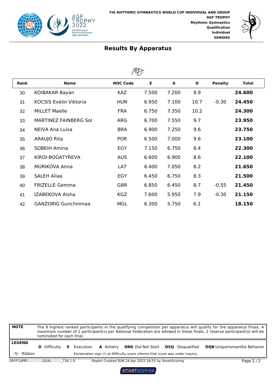



| Rank | <b>Name</b>                   | <b>NOC Code</b> | Е     | A     | D    | <b>Penalty</b> | <b>Total</b> |  |  |  |  |  |
|------|-------------------------------|-----------------|-------|-------|------|----------------|--------------|--|--|--|--|--|
| 30   | KOIBAKAR Bayan                | <b>KAZ</b>      | 7.500 | 7.200 | 9.9  |                | 24.600       |  |  |  |  |  |
| 31   | <b>KOCSIS Evelin Viktoria</b> | <b>HUN</b>      | 6.950 | 7.100 | 10.7 | $-0.30$        | 24.450       |  |  |  |  |  |
| 32   | <b>MILLET Maelle</b>          | <b>FRA</b>      | 6.750 | 7.350 | 10.2 |                | 24.300       |  |  |  |  |  |
| 33   | <b>MARTINEZ FAINBERG Sol</b>  | ARG             | 6.700 | 7.550 | 9.7  |                | 23.950       |  |  |  |  |  |
| 34   | NEIVA Ana Luisa               | <b>BRA</b>      | 6.900 | 7.250 | 9.6  |                | 23.750       |  |  |  |  |  |
| 35   | ARAUJO Rita                   | <b>POR</b>      | 6.500 | 7.000 | 9.6  |                | 23.100       |  |  |  |  |  |
| 36   | SOBEIH Amina                  | EGY             | 7.150 | 6.750 | 8.4  |                | 22.300       |  |  |  |  |  |
| 37   | KIROI-BOGATYREVA              | <b>AUS</b>      | 6.600 | 6.900 | 8.6  |                | 22.100       |  |  |  |  |  |
| 38   | <b>MURIKOVA Anna</b>          | LAT             | 6.400 | 7.050 | 8.2  |                | 21.650       |  |  |  |  |  |
| 39   | <b>SALEH Aliaa</b>            | <b>EGY</b>      | 6.450 | 6.750 | 8.3  |                | 21.500       |  |  |  |  |  |
| 40   | <b>FRIZELLE Gemma</b>         | <b>GBR</b>      | 6.850 | 6.450 | 8.7  | $-0.55$        | 21.450       |  |  |  |  |  |
| 41   | IZABEKOVA Aisha               | <b>KGZ</b>      | 7.600 | 5.950 | 7.9  | $-0.30$        | 21.150       |  |  |  |  |  |
| 42   | <b>GANZORIG Gunchinmaa</b>    | <b>MGL</b>      | 6.300 | 5.750 | 6.1  |                | 18.150       |  |  |  |  |  |

| <b>NOTE</b>                                                                                                    | The 8 highest ranked participants in the qualifying competition per apparatus will qualify for the apparatus finals. A<br>maximum number of 2 participant(s) per National Federation are allowed in these finals. 2 reserve participant(s) will be<br>nominated for each final. |  |  |  |  |                                                      |  |  |          |
|----------------------------------------------------------------------------------------------------------------|---------------------------------------------------------------------------------------------------------------------------------------------------------------------------------------------------------------------------------------------------------------------------------|--|--|--|--|------------------------------------------------------|--|--|----------|
| <b>LEGEND</b>                                                                                                  | <b>DQB</b> Unsportsmanlike Behavior<br><b>DNS</b> Did Not Start<br><b>DSO</b> Disqualified<br><b>A</b> Artistry<br><b>E</b> Execution<br><b>D</b> Difficulty                                                                                                                    |  |  |  |  |                                                      |  |  |          |
| <i>l</i> <sup>n</sup> Ribbon<br>Exclamation sign (!) at Difficulty score informs that score was under inguiry. |                                                                                                                                                                                                                                                                                 |  |  |  |  |                                                      |  |  |          |
|                                                                                                                | GRYF1APRI--------------QUAL-------- 73A 1.0                                                                                                                                                                                                                                     |  |  |  |  | Report Created SUN 24 Apr 2022 16:55 by SmartScoring |  |  | Page 2/2 |

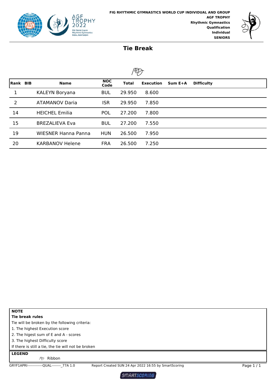



#### **Tie Break**

 $\sim$ 

|          | $1^{\circ}$ |                            |                    |              |                  |         |                   |  |  |  |  |  |
|----------|-------------|----------------------------|--------------------|--------------|------------------|---------|-------------------|--|--|--|--|--|
| Rank BIB |             | <b>Name</b>                | <b>NOC</b><br>Code | <b>Total</b> | <b>Execution</b> | Sum E+A | <b>Difficulty</b> |  |  |  |  |  |
| 1        |             | KALEYN Boryana             | <b>BUL</b>         | 29.950       | 8.600            |         |                   |  |  |  |  |  |
| 2        |             | <b>ATAMANOV Daria</b>      | ISR                | 29.950       | 7.850            |         |                   |  |  |  |  |  |
| 14       |             | <b>HEICHEL Emilia</b>      | <b>POL</b>         | 27.200       | 7.800            |         |                   |  |  |  |  |  |
| 15       |             | <b>BREZALIEVA Eva</b>      | <b>BUL</b>         | 27.200       | 7.550            |         |                   |  |  |  |  |  |
| 19       |             | <b>WIESNER Hanna Panna</b> | <b>HUN</b>         | 26,500       | 7.950            |         |                   |  |  |  |  |  |
| 20       |             | <b>KARBANOV Helene</b>     | <b>FRA</b>         | 26.500       | 7.250            |         |                   |  |  |  |  |  |

**NOTE Tie break rules**

Tie will be broken by the following criteria:

1. The highest Execution score

2. The higest sum of E and A - scores

3. The highest Difficulty score

If there is still a tie, the tie will not be broken

#### **LEGEND**

Ribbon

GRYF1APRI-------------QUAL---------\_77A 1.0 Report Created SUN 24 Apr 2022 16:55 by SmartScoring Page 1 / 1

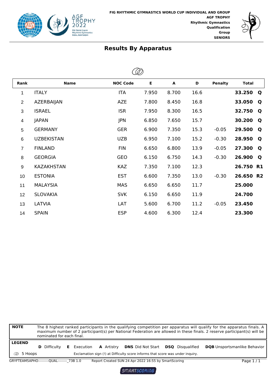



| <b>Rank</b>     | <b>Name</b>       | <b>NOC Code</b> | E     | A     | D    | <b>Penalty</b> | <b>Total</b> |
|-----------------|-------------------|-----------------|-------|-------|------|----------------|--------------|
| 1               | <b>ITALY</b>      | <b>ITA</b>      | 7.950 | 8.700 | 16.6 |                | 33.250<br>Q  |
| $\overline{2}$  | AZERBAIJAN        | <b>AZE</b>      | 7.800 | 8.450 | 16.8 |                | 33.050<br>Q  |
| 3               | <b>ISRAEL</b>     | <b>ISR</b>      | 7.950 | 8.300 | 16.5 |                | 32.750<br>Q  |
| 4               | <b>JAPAN</b>      | <b>JPN</b>      | 6.850 | 7.650 | 15.7 |                | 30.200<br>Q  |
| 5               | <b>GERMANY</b>    | <b>GER</b>      | 6.900 | 7.350 | 15.3 | $-0.05$        | 29.500<br>Q  |
| $6\phantom{1}6$ | <b>UZBEKISTAN</b> | <b>UZB</b>      | 6.950 | 7.100 | 15.2 | $-0.30$        | 28.950<br>Q  |
| $\overline{7}$  | <b>FINLAND</b>    | <b>FIN</b>      | 6.650 | 6.800 | 13.9 | $-0.05$        | 27.300<br>Q  |
| 8               | <b>GEORGIA</b>    | <b>GEO</b>      | 6.150 | 6.750 | 14.3 | $-0.30$        | 26.900<br>Q  |
| 9               | <b>KAZAKHSTAN</b> | <b>KAZ</b>      | 7.350 | 7.100 | 12.3 |                | 26.750 R1    |
| 10              | <b>ESTONIA</b>    | <b>EST</b>      | 6.600 | 7.350 | 13.0 | $-0.30$        | 26.650 R2    |
| 11              | <b>MALAYSIA</b>   | <b>MAS</b>      | 6.650 | 6.650 | 11.7 |                | 25.000       |
| 12              | <b>SLOVAKIA</b>   | <b>SVK</b>      | 6.150 | 6.650 | 11.9 |                | 24.700       |
| 13              | LATVIA            | LAT             | 5.600 | 6.700 | 11.2 | $-0.05$        | 23.450       |
| 14              | <b>SPAIN</b>      | <b>ESP</b>      | 4.600 | 6.300 | 12.4 |                | 23.300       |

| <b>NOTE</b>                       | The 8 highest ranked participants in the qualifying competition per apparatus will qualify for the apparatus finals. A<br>maximum number of 2 participant(s) per National Federation are allowed in these finals. 2 reserve participant(s) will be<br>nominated for each final. |  |                    |                   |                                                                                                            |                         |                                     |  |
|-----------------------------------|---------------------------------------------------------------------------------------------------------------------------------------------------------------------------------------------------------------------------------------------------------------------------------|--|--------------------|-------------------|------------------------------------------------------------------------------------------------------------|-------------------------|-------------------------------------|--|
| <b>LEGEND</b><br><b>2</b> 5 Hoops | <b>D</b> Difficulty                                                                                                                                                                                                                                                             |  | <b>E</b> Execution | <b>A</b> Artistry | <b>DNS</b> Did Not Start<br>Exclamation sign (!) at Difficulty score informs that score was under inguiry. | <b>DSO</b> Disqualified | <b>DQB</b> Unsportsmanlike Behavior |  |
|                                   | GRYFTEAM5APHO---------QUAL-------- 73B 1.0                                                                                                                                                                                                                                      |  |                    |                   | Report Created SUN 24 Apr 2022 16:55 by SmartScoring                                                       |                         | Page $1/1$                          |  |

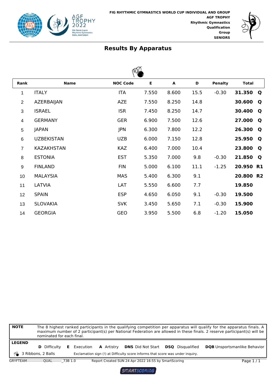



| Rank           | <b>Name</b>       | <b>NOC Code</b> | E     | A     | D    | <b>Penalty</b> | <b>Total</b>          |
|----------------|-------------------|-----------------|-------|-------|------|----------------|-----------------------|
| 1              | <b>ITALY</b>      | <b>ITA</b>      | 7.550 | 8.600 | 15.5 | $-0.30$        | 31.350<br>$\mathbf Q$ |
| $\overline{2}$ | AZERBAIJAN        | <b>AZE</b>      | 7.550 | 8.250 | 14.8 |                | 30.600<br>Q           |
| 3              | <b>ISRAEL</b>     | <b>ISR</b>      | 7.450 | 8.250 | 14.7 |                | 30.400<br>Q           |
| 4              | <b>GERMANY</b>    | <b>GER</b>      | 6.900 | 7.500 | 12.6 |                | 27.000<br>Q           |
| 5              | <b>JAPAN</b>      | JPN             | 6.300 | 7.800 | 12.2 |                | 26.300<br>Q           |
| 6              | <b>UZBEKISTAN</b> | <b>UZB</b>      | 6.000 | 7.150 | 12.8 |                | 25.950<br>Q           |
| $\overline{7}$ | <b>KAZAKHSTAN</b> | <b>KAZ</b>      | 6.400 | 7.000 | 10.4 |                | 23.800<br>Q           |
| 8              | <b>ESTONIA</b>    | <b>EST</b>      | 5.350 | 7.000 | 9.8  | $-0.30$        | 21.850<br>Q           |
| 9              | <b>FINLAND</b>    | <b>FIN</b>      | 5.000 | 6.100 | 11.1 | $-1.25$        | 20.950 R1             |
| 10             | <b>MALAYSIA</b>   | <b>MAS</b>      | 5.400 | 6.300 | 9.1  |                | 20.800 R2             |
| 11             | LATVIA            | LAT             | 5.550 | 6.600 | 7.7  |                | 19.850                |
| 12             | <b>SPAIN</b>      | <b>ESP</b>      | 4.650 | 6.050 | 9.1  | $-0.30$        | 19.500                |
| 13             | <b>SLOVAKIA</b>   | <b>SVK</b>      | 3.450 | 5.650 | 7.1  | $-0.30$        | 15.900                |
| 14             | <b>GEORGIA</b>    | <b>GEO</b>      | 3.950 | 5.500 | 6.8  | $-1.20$        | 15.050                |

| <b>NOTE</b>                           | nominated for each final.                   |                    |                   |                                                                                                            |                         | The 8 highest ranked participants in the qualifying competition per apparatus will qualify for the apparatus finals. A<br>maximum number of 2 participant(s) per National Federation are allowed in these finals. 2 reserve participant(s) will be |            |
|---------------------------------------|---------------------------------------------|--------------------|-------------------|------------------------------------------------------------------------------------------------------------|-------------------------|----------------------------------------------------------------------------------------------------------------------------------------------------------------------------------------------------------------------------------------------------|------------|
| <b>LEGEND</b><br>◎ 3 Ribbons, 2 Balls | <b>D</b> Difficulty                         | <b>E</b> Execution | <b>A</b> Artistry | <b>DNS</b> Did Not Start<br>Exclamation sign (!) at Difficulty score informs that score was under inquiry. | <b>DSO</b> Disqualified | <b>DQB</b> Unsportsmanlike Behavior                                                                                                                                                                                                                |            |
|                                       | GRYFTEAM---------------QUAL-------- 73B 1.0 |                    |                   | Report Created SUN 24 Apr 2022 16:55 by SmartScoring                                                       |                         |                                                                                                                                                                                                                                                    | Page $1/1$ |

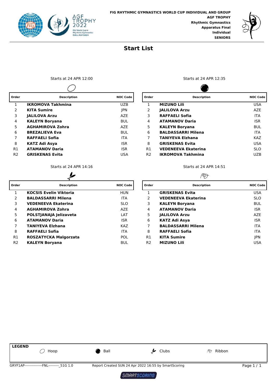



#### **Start List**

Starts at 24 APR 12:00 Starts at 24 APR 12:35  $\overline{\phantom{0}}$ 

| Order          | <b>Description</b>       | <b>NOC Code</b> | Order          | <b>Description</b>         | <b>NOC Code</b> |  |
|----------------|--------------------------|-----------------|----------------|----------------------------|-----------------|--|
|                | <b>IKROMOVA Takhmina</b> | <b>UZB</b>      |                | <b>MIZUNO Lili</b>         | <b>USA</b>      |  |
| 2              | <b>KITA Sumire</b>       | <b>JPN</b>      | 2              | <b>JALILOVA Arzu</b>       | AZE             |  |
| 3              | <b>JALILOVA Arzu</b>     | <b>AZE</b>      | 3              | <b>RAFFAELI Sofia</b>      | <b>ITA</b>      |  |
| 4              | <b>KALEYN Borvana</b>    | <b>BUL</b>      | 4              | <b>ATAMANOV Daria</b>      | <b>ISR</b>      |  |
| 5.             | <b>AGHAMIROVA Zohra</b>  | <b>AZE</b>      | 5              | <b>KALEYN Borvana</b>      | BUL             |  |
| 6              | <b>BREZALIEVA Eva</b>    | <b>BUL</b>      | 6              | <b>BALDASSARRI Milena</b>  | <b>ITA</b>      |  |
|                | <b>RAFFAELI Sofia</b>    | <b>ITA</b>      |                | <b>TANIYEVA Elzhana</b>    | <b>KAZ</b>      |  |
| 8              | <b>KATZ Adi Asya</b>     | <b>ISR</b>      | 8              | <b>GRISKENAS Evita</b>     | <b>USA</b>      |  |
| R1             | <b>ATAMANOV Daria</b>    | <b>ISR</b>      | R1             | <b>VEDENEEVA Ekaterina</b> | <b>SLO</b>      |  |
| R <sub>2</sub> | <b>GRISKENAS Evita</b>   | USA             | R <sub>2</sub> | <b>IKROMOVA Takhmina</b>   | <b>UZB</b>      |  |
|                |                          |                 |                |                            |                 |  |

| ۳, |  |
|----|--|

| Order          | <b>Description</b>            | <b>NOC Code</b> | Order          | <b>Description</b>         | <b>NOC Code</b> |
|----------------|-------------------------------|-----------------|----------------|----------------------------|-----------------|
|                | <b>KOCSIS Evelin Viktoria</b> | <b>HUN</b>      |                | <b>GRISKENAS Evita</b>     | <b>USA</b>      |
| 2              | <b>BALDASSARRI Milena</b>     | <b>ITA</b>      | 2              | <b>VEDENEEVA Ekaterina</b> | <b>SLO</b>      |
| 3              | <b>VEDENEEVA Ekaterina</b>    | <b>SLO</b>      | 3              | <b>KALEYN Boryana</b>      | <b>BUL</b>      |
| 4              | <b>AGHAMIROVA Zohra</b>       | <b>AZE</b>      | 4              | <b>ATAMANOV Daria</b>      | <b>ISR</b>      |
| 5.             | POLSTJANAJA Jelizaveta        | LAT             | 5              | <b>JALILOVA Arzu</b>       | AZE             |
| 6              | <b>ATAMANOV Daria</b>         | <b>ISR</b>      | 6              | KATZ Adi Asya              | <b>ISR</b>      |
|                | <b>TANIYEVA Elzhana</b>       | <b>KAZ</b>      |                | <b>BALDASSARRI Milena</b>  | <b>ITA</b>      |
| 8              | <b>RAFFAELI Sofia</b>         | <b>ITA</b>      | 8              | <b>RAFFAELI Sofia</b>      | <b>ITA</b>      |
| R <sub>1</sub> | ROSZATYCKA Malgorzata         | <b>POL</b>      | R1             | <b>KITA Sumire</b>         | <b>IPN</b>      |
| R <sub>2</sub> | <b>KALEYN Boryana</b>         | <b>BUL</b>      | R <sub>2</sub> | <b>MIZUNO Lili</b>         | USA             |

☎

| Order          | <b>Description</b>         | <b>NOC Code</b> |
|----------------|----------------------------|-----------------|
| 1              | <b>MIZUNO Lili</b>         | <b>USA</b>      |
| 2              | <b>JALILOVA Arzu</b>       | A7F             |
| 3              | RAFFAELI Sofia             | <b>ITA</b>      |
| 4              | <b>ATAMANOV Daria</b>      | <b>ISR</b>      |
| 5              | <b>KALEYN Boryana</b>      | BUL             |
| 6              | <b>BALDASSARRI Milena</b>  | <b>ITA</b>      |
| 7              | <b>TANIYEVA Elzhana</b>    | KA7             |
| 8              | <b>GRISKENAS Evita</b>     | <b>USA</b>      |
| R1             | <b>VEDENEEVA Ekaterina</b> | <b>SLO</b>      |
| R <sub>2</sub> | <b>IKROMOVA Takhmina</b>   | UZB             |

Starts at 24 APR 14:16 Starts at 24 APR 14:51

#### PD

| Order          | <b>Description</b>         | <b>NOC Code</b> |
|----------------|----------------------------|-----------------|
| 1              | <b>GRISKENAS Evita</b>     | USA             |
| $\mathcal{P}$  | <b>VEDENEEVA Ekaterina</b> | <b>SLO</b>      |
| 3              | <b>KALEYN Boryana</b>      | BUL             |
| 4              | <b>ATAMANOV Daria</b>      | <b>ISR</b>      |
| 5              | <b>JALILOVA Arzu</b>       | A7F             |
| 6              | KATZ Adi Asya              | <b>ISR</b>      |
| 7              | <b>BALDASSARRI Milena</b>  | <b>ITA</b>      |
| 8              | RAFFAELI Sofia             | <b>ITA</b>      |
| R1             | <b>KITA Sumire</b>         | <b>IPN</b>      |
| R <sub>2</sub> | <b>MIZUNO Lili</b>         | USA             |

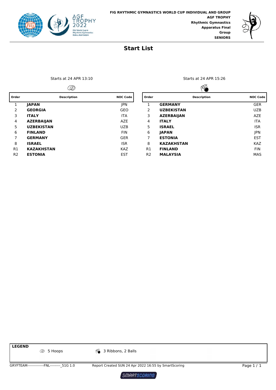



#### **Start List**

|     | <b>Description</b> |  |
|-----|--------------------|--|
|     |                    |  |
| GIA |                    |  |

| 3        | <b>ITALY</b>      | <b>ITA</b> |
|----------|-------------------|------------|
| 4        | <b>AZERBAIJAN</b> | <b>AZE</b> |
| 5        | <b>UZBEKISTAN</b> | <b>UZB</b> |
| 6        | <b>FINLAND</b>    | <b>FIN</b> |
| 7        | <b>GERMANY</b>    | <b>GER</b> |
| 8        | <b>ISRAEL</b>     | <b>ISR</b> |
| R1       | <b>KAZAKHSTAN</b> | <b>KAZ</b> |
| <b>D</b> | <b>ESTONIA</b>    | FST        |

Starts at 24 APR 13:10 Starts at 24 APR 15:26

|                | D                  |                 |                | ØÃ                 |                 |
|----------------|--------------------|-----------------|----------------|--------------------|-----------------|
| Order          | <b>Description</b> | <b>NOC Code</b> | Order          | <b>Description</b> | <b>NOC Code</b> |
| 1              | <b>IAPAN</b>       | <b>IPN</b>      |                | <b>GERMANY</b>     | <b>GER</b>      |
| $\overline{2}$ | <b>GEORGIA</b>     | <b>GEO</b>      | 2              | <b>UZBEKISTAN</b>  | <b>UZB</b>      |
| 3              | <b>ITALY</b>       | <b>ITA</b>      | 3              | <b>AZERBAIJAN</b>  | <b>AZE</b>      |
| 4              | <b>AZERBAIJAN</b>  | <b>AZE</b>      | 4              | <b>ITALY</b>       | <b>ITA</b>      |
| 5              | <b>UZBEKISTAN</b>  | <b>UZB</b>      | 5              | <b>ISRAEL</b>      | <b>ISR</b>      |
| 6              | <b>FINLAND</b>     | <b>FIN</b>      | 6              | <b>IAPAN</b>       | JPN             |
|                | <b>GERMANY</b>     | <b>GER</b>      | 7              | <b>ESTONIA</b>     | <b>EST</b>      |
| 8              | <b>ISRAEL</b>      | <b>ISR</b>      | 8              | <b>KAZAKHSTAN</b>  | <b>KAZ</b>      |
| R1             | <b>KAZAKHSTAN</b>  | <b>KAZ</b>      | R1             | <b>FINLAND</b>     | <b>FIN</b>      |
| R <sub>2</sub> | <b>ESTONIA</b>     | <b>EST</b>      | R <sub>2</sub> | <b>MALAYSIA</b>    | <b>MAS</b>      |

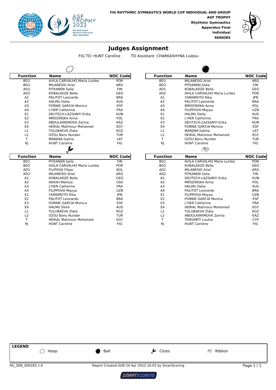



#### **Judges Assignment**

FIG TD: HUNT Caroline TD Assistant: CHARKASHYNA Liubou

| <b>Function</b>  | Name                               | <b>NOC Codel</b> | <b>Function</b>  | <b>Name</b>                    | <b>NOC C</b>    |
|------------------|------------------------------------|------------------|------------------|--------------------------------|-----------------|
| BD1              | <b>AVILA CARVALHO Maria Lurdes</b> | <b>POR</b>       | B <sub>D</sub> 1 | <b>MILANESIO Ariel</b>         | <b>ARC</b>      |
| B <sub>D</sub> 2 | <b>MILANESIO Ariel</b>             | ARG              | B <sub>D</sub> 2 | <b>PITKANEN Saila</b>          | <b>FIN</b>      |
| AD1              | PITKANEN Saila                     | <b>FIN</b>       | AD1              | KOBALADZE Bella                | GE <sub>C</sub> |
| AD <sub>2</sub>  | KOBALADZE Bella                    | <b>GEO</b>       | AD <sub>2</sub>  | AVILA CARVALHO Maria Lurdes    | <b>POF</b>      |
| A1               | PALITOT Leonardo                   | <b>BRA</b>       | A1               | YAMAMOTO Rika                  | <b>JPN</b>      |
| A <sub>2</sub>   | <b>HALMU Delia</b>                 | <b>AUS</b>       | A <sub>2</sub>   | PALITOT Leonardo               | BR/             |
| A <sub>3</sub>   | <b>FORNIE GARCIA Monica</b>        | <b>ESP</b>       | A <sub>3</sub>   | MROZINSKA Anna                 | POL             |
| A <sub>4</sub>   | L'HER Catherine                    | <b>FRA</b>       | A <sub>4</sub>   | FILIPPOVA Mayya                | <b>UZE</b>      |
| E <sub>1</sub>   | DEUTSCH-LAZSANYI Erika             | <b>HUN</b>       | E <sub>1</sub>   | <b>HALMU Delia</b>             | AUS             |
| E <sub>2</sub>   | <b>MROZINSKA Anna</b>              | <b>POL</b>       | E <sub>2</sub>   | L'HER Catherine                | <b>FRA</b>      |
| E <sub>3</sub>   | ABDULKARIMOVA Zarina               | <b>KAZ</b>       | E <sub>3</sub>   | DEUTSCH-LAZSANYI Erika         | HUN             |
| E <sub>4</sub>   | <b>HEIKAL Mahinour Mohamed</b>     | EGY              | E4               | <b>FORNIE GARCIA Monica</b>    | ESF             |
| L1               | <b>TULUBAEVA Zlata</b>             | <b>KGZ</b>       | L1               | MARJINA Galina                 | LAT             |
| L2               | OZSU Banu Nurdan                   | <b>TUR</b>       | L2               | <b>HEIKAL Mahinour Mohamed</b> | EG)             |
|                  | <b>MARJINA Galina</b>              | LAT              |                  | OZSU Banu Nurdan               | TUF             |
| RJ               | <b>HUNT Caroline</b>               | <b>FIG</b>       | RJ               | <b>HUNT Caroline</b>           | <b>FIG</b>      |
|                  |                                    |                  |                  | דרשיו                          |                 |

| Function         | Name                               | <b>NOC Code</b> | <b>Function</b>  | Name                           | <b>NOC Code</b> |
|------------------|------------------------------------|-----------------|------------------|--------------------------------|-----------------|
| BD1              | <b>AVILA CARVALHO Maria Lurdes</b> | <b>POR</b>      | B <sub>D</sub> 1 | MILANESIO Ariel                | ARG             |
| B <sub>D</sub> 2 | <b>MILANESIO Ariel</b>             | ARG             | B <sub>D</sub> 2 | <b>PITKANEN Saila</b>          | <b>FIN</b>      |
| AD1              | PITKANEN Saila                     | <b>FIN</b>      | AD1              | KOBALADZE Bella                | GEO             |
| AD <sub>2</sub>  | KOBALADZE Bella                    | <b>GEO</b>      | AD <sub>2</sub>  | AVILA CARVALHO Maria Lurdes    | <b>POR</b>      |
| A <sub>1</sub>   | PALITOT Leonardo                   | <b>BRA</b>      | A1               | YAMAMOTO Rika                  | <b>JPN</b>      |
| A2               | <b>HALMU Delia</b>                 | <b>AUS</b>      | A <sub>2</sub>   | PALITOT Leonardo               | <b>BRA</b>      |
| A <sub>3</sub>   | <b>FORNIE GARCIA Monica</b>        | <b>ESP</b>      | A <sub>3</sub>   | <b>MROZINSKA Anna</b>          | <b>POL</b>      |
| A <sub>4</sub>   | <b>L'HER Catherine</b>             | <b>FRA</b>      | A <sub>4</sub>   | FILIPPOVA Mayya                | <b>UZB</b>      |
| E <sub>1</sub>   | DEUTSCH-LAZSANYI Erika             | <b>HUN</b>      | E1               | <b>HALMU Delia</b>             | <b>AUS</b>      |
| E <sub>2</sub>   | MROZINSKA Anna                     | <b>POL</b>      | E <sub>2</sub>   | L'HER Catherine                | <b>FRA</b>      |
| E <sub>3</sub>   | ABDULKARIMOVA Zarina               | <b>KAZ</b>      | E <sub>3</sub>   | DEUTSCH-LAZSANYI Erika         | <b>HUN</b>      |
| E <sub>4</sub>   | <b>HEIKAL Mahinour Mohamed</b>     | EGY             | E4               | <b>FORNIE GARCIA Monica</b>    | <b>ESP</b>      |
| L1               | TULUBAEVA Zlata                    | KGZ             | L1               | MARJINA Galina                 | LAT             |
| L <sub>2</sub>   | OZSU Banu Nurdan                   | TUR             | L2               | <b>HEIKAL Mahinour Mohamed</b> | EGY             |
|                  | MARJINA Galina                     | LAT             |                  | OZSU Banu Nurdan               | TUR             |
| RJ               | <b>HUNT Caroline</b>               | <b>FIG</b>      | RI               | <b>HUNT Caroline</b>           | FIG             |

|                  | 4                              |                 |                  | $\sim$                             |                 |
|------------------|--------------------------------|-----------------|------------------|------------------------------------|-----------------|
| <b>Function</b>  | <b>Name</b>                    | <b>NOC Code</b> | <b>Function</b>  | <b>Name</b>                        | <b>NOC Code</b> |
| B <sub>D</sub> 1 | <b>PITKANEN Saila</b>          | <b>FIN</b>      | B <sub>D</sub> 1 | <b>AVILA CARVALHO Maria Lurdes</b> | <b>POR</b>      |
| B <sub>D</sub> 2 | AVILA CARVALHO Maria Lurdes    | <b>POR</b>      | B <sub>D</sub> 2 | KOBALADZE Bella                    | <b>GEO</b>      |
| AD1              | <b>FILIPOVA Filipa</b>         | <b>BUL</b>      | AD1              | MILANESIO Ariel                    | ARG             |
| AD <sub>2</sub>  | <b>MILANESIO Ariel</b>         | ARG             | AD <sub>2</sub>  | PITKANEN Saila                     | <b>FIN</b>      |
| A1               | KOBALADZE Bella                | <b>GEO</b>      | A <sub>1</sub>   | DEUTSCH-LAZSANYI Erika             | <b>HUN</b>      |
| A <sub>2</sub>   | <b>AKASH Melissa</b>           | <b>USA</b>      | A <sub>2</sub>   | MROZINSKA Anna                     | <b>POL</b>      |
| A <sub>3</sub>   | <b>L'HER Catherine</b>         | <b>FRA</b>      | A <sub>3</sub>   | <b>HALMU Delia</b>                 | <b>AUS</b>      |
| A <sub>4</sub>   | <b>FILIPPOVA Mayya</b>         | <b>UZB</b>      | A <sub>4</sub>   | PALITOT Leonardo                   | <b>BRA</b>      |
| E1               | YAMAMOTO Rika                  | <b>JPN</b>      | E <sub>1</sub>   | FILIPPOVA Mayya                    | <b>UZB</b>      |
| E <sub>2</sub>   | PALITOT Leonardo               | <b>BRA</b>      | E <sub>2</sub>   | <b>FORNIE GARCIA Monica</b>        | <b>ESP</b>      |
| E <sub>3</sub>   | <b>FORNIE GARCIA Monica</b>    | <b>ESP</b>      | E <sub>3</sub>   | L'HER Catherine                    | <b>FRA</b>      |
| E4               | <b>HALMU Delia</b>             | <b>AUS</b>      | E <sub>4</sub>   | <b>HEIKAL Mahinour Mohamed</b>     | EGY             |
| L1               | TULUBAEVA Zlata                | <b>KGZ</b>      | L1               | TULUBAEVA Zlata                    | <b>KGZ</b>      |
| L <sub>2</sub>   | OZSU Banu Nurdan               | TUR             | L2               | ABDULKARIMOVA Zarina               | <b>KAZ</b>      |
| $\mathbf \tau$   | <b>HEIKAL Mahinour Mohamed</b> | EGY             |                  | <b>TRIKOMITI Loukia</b>            | <b>CYP</b>      |
| RJ               | <b>HUNT Caroline</b>           | <b>FIG</b>      | RJ               | <b>HUNT Caroline</b>               | <b>FIG</b>      |
|                  |                                |                 |                  |                                    |                 |



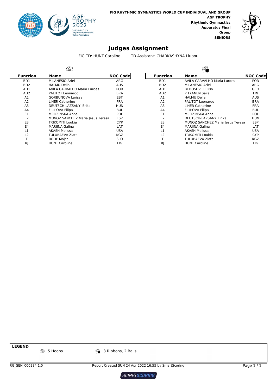

Γ



#### **Judges Assignment**

FIG TD: HUNT Caroline TD Assistant: CHARKASHYNA Liubou

| <b>Name</b>                        | <b>NOC Codel</b> |                                  | <b>Function</b>  | <b>Name</b>                        | <b>NOC C</b>                     |
|------------------------------------|------------------|----------------------------------|------------------|------------------------------------|----------------------------------|
| MILANESIO Ariel                    | ARG              |                                  | BD1              | <b>AVILA CARVALHO Maria Lurdes</b> | <b>POF</b>                       |
| <b>HALMU Delia</b>                 | <b>AUS</b>       |                                  | B <sub>D</sub> 2 | <b>MILANESIO Ariel</b>             | <b>ARC</b>                       |
| <b>AVILA CARVALHO Maria Lurdes</b> | <b>POR</b>       |                                  | AD1              | <b>BEDOSHVILI Eliso</b>            | <b>GEC</b>                       |
| PALITOT Leonardo                   | <b>BRA</b>       |                                  | AD <sub>2</sub>  | PITKANEN Saila                     | <b>FIN</b>                       |
| <b>GORBUNOVA Larissa</b>           | <b>EST</b>       |                                  | A1               | <b>HALMU Delia</b>                 | <b>AUS</b>                       |
| L'HER Catherine                    | <b>FRA</b>       |                                  | A <sub>2</sub>   | PALITOT Leonardo                   | BR/                              |
| DEUTSCH-LAZSANYI Erika             | <b>HUN</b>       |                                  | A <sub>3</sub>   | L'HER Catherine                    | <b>FRA</b>                       |
| <b>FILIPOVA Filipa</b>             | <b>BUL</b>       |                                  | A4               | <b>FILIPOVA Filipa</b>             | <b>BUL</b>                       |
| MROZINSKA Anna                     | POL              |                                  | E1               | <b>MROZINSKA Anna</b>              | POL                              |
|                                    | <b>ESP</b>       |                                  | E <sub>2</sub>   | DEUTSCH-LAZSANYI Erika             | HUN                              |
| <b>TRIKOMITI Loukia</b>            | <b>CYP</b>       |                                  | E <sub>3</sub>   |                                    | <b>ESF</b>                       |
| <b>MARJINA Galina</b>              | LAT              |                                  | E <sub>4</sub>   | MARJINA Galina                     | LAT                              |
| <b>AKASH Melissa</b>               | <b>USA</b>       |                                  | L1               | <b>AKASH Melissa</b>               | US/                              |
| <b>TULUBAEVA Zlata</b>             | <b>KGZ</b>       |                                  | L2               | <b>TRIKOMITI Loukia</b>            | <b>CYF</b>                       |
| <b>RODE Moica</b>                  | <b>SLO</b>       |                                  |                  | <b>TULUBAEVA Zlata</b>             | KG <sub>2</sub>                  |
| <b>HUNT Caroline</b>               | <b>FIG</b>       |                                  | RJ               | <b>HUNT Caroline</b>               | <b>FIG</b>                       |
|                                    |                  | MUNOZ SANCHEZ Maria Jesus Teresa |                  |                                    | MUNOZ SANCHEZ Maria Jesus Teresa |

|                  | $\varnothing$                      |                 | 00A              |                                    |                 |  |  |  |  |
|------------------|------------------------------------|-----------------|------------------|------------------------------------|-----------------|--|--|--|--|
| Function         | Name                               | <b>NOC Code</b> | <b>Function</b>  | <b>Name</b>                        | <b>NOC Code</b> |  |  |  |  |
| BD1              | <b>MILANESIO Ariel</b>             | ARG             | BD1              | <b>AVILA CARVALHO Maria Lurdes</b> | <b>POR</b>      |  |  |  |  |
| B <sub>D</sub> 2 | <b>HALMU Delia</b>                 | <b>AUS</b>      | B <sub>D</sub> 2 | MILANESIO Ariel                    | ARG             |  |  |  |  |
| AD1              | <b>AVILA CARVALHO Maria Lurdes</b> | <b>POR</b>      | AD1              | <b>BEDOSHVILI Eliso</b>            | <b>GEO</b>      |  |  |  |  |
| AD <sub>2</sub>  | PALITOT Leonardo                   | <b>BRA</b>      | AD <sub>2</sub>  | <b>PITKANEN Saila</b>              | <b>FIN</b>      |  |  |  |  |
| A <sub>1</sub>   | <b>GORBUNOVA Larissa</b>           | <b>EST</b>      | A1               | <b>HALMU Delia</b>                 | <b>AUS</b>      |  |  |  |  |
| A2               | L'HER Catherine                    | <b>FRA</b>      | A2               | PALITOT Leonardo                   | <b>BRA</b>      |  |  |  |  |
| A <sub>3</sub>   | DEUTSCH-LAZSANYI Erika             | <b>HUN</b>      | A3               | L'HER Catherine                    | <b>FRA</b>      |  |  |  |  |
| A <sub>4</sub>   | FILIPOVA Filipa                    | BUL             | A4               | <b>FILIPOVA Filipa</b>             | <b>BUL</b>      |  |  |  |  |
| E <sub>1</sub>   | MROZINSKA Anna                     | <b>POL</b>      | E1               | MROZINSKA Anna                     | POL             |  |  |  |  |
| E <sub>2</sub>   | MUNOZ SANCHEZ Maria Jesus Teresa   | <b>ESP</b>      | E <sub>2</sub>   | DEUTSCH-LAZSANYI Erika             | <b>HUN</b>      |  |  |  |  |
| E <sub>3</sub>   | TRIKOMITI Loukia                   | <b>CYP</b>      | E <sub>3</sub>   | MUNOZ SANCHEZ Maria Jesus Teresa   | <b>ESP</b>      |  |  |  |  |
| E <sub>4</sub>   | MARJINA Galina                     | LAT             | E4               | MARJINA Galina                     | LAT             |  |  |  |  |
| L1               | AKASH Melissa                      | <b>USA</b>      | L1               | <b>AKASH Melissa</b>               | <b>USA</b>      |  |  |  |  |
| L <sub>2</sub>   | TULUBAEVA Zlata                    | <b>KGZ</b>      | L <sub>2</sub>   | TRIKOMITI Loukia                   | <b>CYP</b>      |  |  |  |  |
| $\mathbf{\tau}$  | <b>RODE Moica</b>                  | <b>SLO</b>      |                  | TULUBAEVA Zlata                    | <b>KGZ</b>      |  |  |  |  |
| RI               | <b>HUNT Caroline</b>               | <b>FIG</b>      | R <sub>I</sub>   | <b>HUNT Caroline</b>               | <b>FIG</b>      |  |  |  |  |

**LEGEND**

**25 S** Hoops **3 Ribbons, 2 Balls** 

RG\_SEN\_000284 1.0 Report Created SUN 24 Apr 2022 16:55 by SmartScoring Page 1 / 1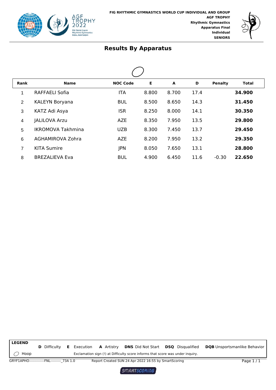



| <b>Rank</b>    | <b>Name</b>              | <b>NOC Code</b> | Е     | A     | D    | <b>Penalty</b> | Total  |  |
|----------------|--------------------------|-----------------|-------|-------|------|----------------|--------|--|
| 1              | <b>RAFFAELI Sofia</b>    | <b>ITA</b>      | 8.800 | 8.700 | 17.4 |                | 34.900 |  |
| $\overline{2}$ | <b>KALEYN Boryana</b>    | <b>BUL</b>      | 8.500 | 8.650 | 14.3 |                | 31.450 |  |
| 3              | KATZ Adi Asya            | <b>ISR</b>      | 8.250 | 8.000 | 14.1 |                | 30.350 |  |
| 4              | <b>JALILOVA Arzu</b>     | <b>AZE</b>      | 8.350 | 7.950 | 13.5 |                | 29.800 |  |
| 5              | <b>IKROMOVA Takhmina</b> | <b>UZB</b>      | 8.300 | 7.450 | 13.7 |                | 29.450 |  |
| 6              | AGHAMIROVA Zohra         | <b>AZE</b>      | 8.200 | 7.950 | 13.2 |                | 29.350 |  |
| 7              | <b>KITA Sumire</b>       | <b>JPN</b>      | 8.050 | 7.650 | 13.1 |                | 28,800 |  |
| 8              | <b>BREZALIEVA Eva</b>    | <b>BUL</b>      | 4.900 | 6.450 | 11.6 | $-0.30$        | 22.650 |  |

Hoop **LEGEND D** Difficulty **E** Execution Exclamation sign (!) at Difficulty score informs that score was under inquiry. **A** Artistry **DNS** Did Not Start **DSQ** Disqualified **DQB** Unsportsmanlike Behavior GRYF1APHO--------------FNL-------------73A 1.0 Report Created SUN 24 Apr 2022 16:55 by SmartScoring Page 1 / 1

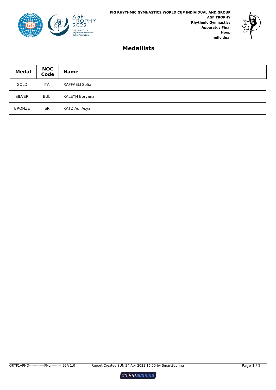



#### **Medallists**

| <b>Medal</b>  | NOC<br>Code | <b>Name</b>    |
|---------------|-------------|----------------|
| <b>GOLD</b>   | <b>ITA</b>  | RAFFAELI Sofia |
| <b>SILVER</b> | <b>BUL</b>  | KALEYN Boryana |
| <b>BRONZE</b> | <b>ISR</b>  | KATZ Adi Asya  |

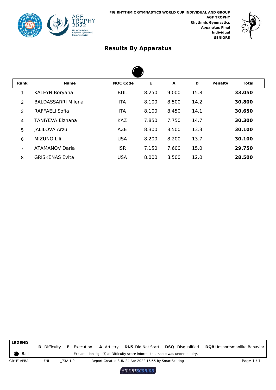



 $\blacktriangle$ 

| Rank           | <b>Name</b>               | <b>NOC Code</b> | Е     | A     | D    | <b>Penalty</b> | Total  |  |
|----------------|---------------------------|-----------------|-------|-------|------|----------------|--------|--|
| 1              | <b>KALEYN Boryana</b>     | <b>BUL</b>      | 8.250 | 9.000 | 15.8 |                | 33.050 |  |
| 2              | <b>BALDASSARRI Milena</b> | <b>ITA</b>      | 8.100 | 8.500 | 14.2 |                | 30.800 |  |
| 3              | <b>RAFFAELI Sofia</b>     | <b>ITA</b>      | 8.100 | 8.450 | 14.1 |                | 30.650 |  |
| 4              | <b>TANIYEVA Elzhana</b>   | <b>KAZ</b>      | 7.850 | 7.750 | 14.7 |                | 30.300 |  |
| 5              | <b>JALILOVA Arzu</b>      | <b>AZE</b>      | 8.300 | 8.500 | 13.3 |                | 30.100 |  |
| 6              | <b>MIZUNO Lili</b>        | <b>USA</b>      | 8.200 | 8.200 | 13.7 |                | 30.100 |  |
| $\overline{7}$ | <b>ATAMANOV Daria</b>     | <b>ISR</b>      | 7.150 | 7.600 | 15.0 |                | 29.750 |  |
| 8              | <b>GRISKENAS Evita</b>    | <b>USA</b>      | 8.000 | 8.500 | 12.0 |                | 28.500 |  |

Ball **LEGEND D** Difficulty **E** Execution Exclamation sign (!) at Difficulty score informs that score was under inquiry. **A** Artistry **DNS** Did Not Start **DSQ** Disqualified **DQB** Unsportsmanlike Behavior GRYF1APBA--------------FNL-----------<sub></sub>73A 1.0 Report Created SUN 24 Apr 2022 16:55 by SmartScoring Page 1 / 1

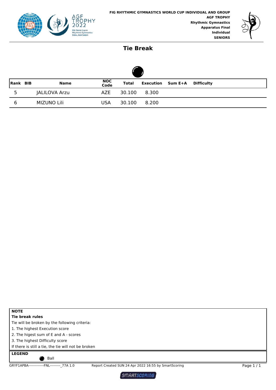



#### **Tie Break**

| Rank BIB |  | <b>Name</b>   | NOC<br>Code | Total  |       | <b>Execution</b> Sum E+A | Difficulty |  |  |  |
|----------|--|---------------|-------------|--------|-------|--------------------------|------------|--|--|--|
| 5        |  | JALILOVA Arzu | AZE         | 30.100 | 8.300 |                          |            |  |  |  |
| 6        |  | MIZUNO Lili   | <b>USA</b>  | 30.100 | 8.200 |                          |            |  |  |  |

| <b>NOTE</b>                                         |                                                      |            |
|-----------------------------------------------------|------------------------------------------------------|------------|
| Tie break rules                                     |                                                      |            |
| Tie will be broken by the following criteria:       |                                                      |            |
| 1. The highest Execution score                      |                                                      |            |
| 2. The higest sum of E and A - scores               |                                                      |            |
| 3. The highest Difficulty score                     |                                                      |            |
| If there is still a tie, the tie will not be broken |                                                      |            |
| <b>LEGEND</b>                                       |                                                      |            |
| Ball                                                |                                                      |            |
| GRYF1APBA-------------FNL--------- 77A 1.0          | Report Created SUN 24 Apr 2022 16:55 by SmartScoring | Page $1/1$ |

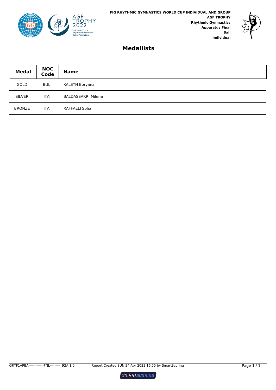



#### **Medallists**

| <b>Medal</b>  | <b>NOC</b><br>Code | <b>Name</b>               |
|---------------|--------------------|---------------------------|
| GOLD          | <b>BUL</b>         | KALEYN Boryana            |
| <b>SILVER</b> | <b>ITA</b>         | <b>BALDASSARRI Milena</b> |
| <b>BRONZE</b> | <b>ITA</b>         | RAFFAELI Sofia            |

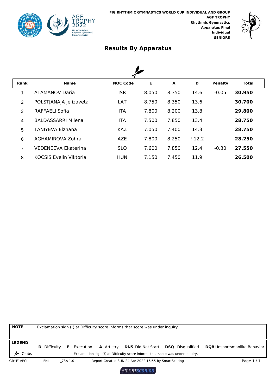



| <b>Rank</b>    | <b>Name</b>                   | <b>NOC Code</b> | Е     | A     | D     | <b>Penalty</b> | <b>Total</b> |
|----------------|-------------------------------|-----------------|-------|-------|-------|----------------|--------------|
| 1              | <b>ATAMANOV Daria</b>         | <b>ISR</b>      | 8.050 | 8.350 | 14.6  | $-0.05$        | 30.950       |
| $\overline{2}$ | POLSTJANAJA Jelizaveta        | LAT             | 8.750 | 8.350 | 13.6  |                | 30.700       |
| 3              | <b>RAFFAELI Sofia</b>         | <b>ITA</b>      | 7.800 | 8.200 | 13.8  |                | 29.800       |
| $\overline{4}$ | <b>BALDASSARRI Milena</b>     | <b>ITA</b>      | 7.500 | 7.850 | 13.4  |                | 28.750       |
| 5              | TANIYEVA Elzhana              | <b>KAZ</b>      | 7.050 | 7.400 | 14.3  |                | 28.750       |
| 6              | AGHAMIROVA Zohra              | <b>AZE</b>      | 7.800 | 8.250 | !12.2 |                | 28.250       |
| $\overline{7}$ | <b>VEDENEEVA Ekaterina</b>    | <b>SLO</b>      | 7.600 | 7.850 | 12.4  | $-0.30$        | 27.550       |
| 8              | <b>KOCSIS Evelin Viktoria</b> | HUN             | 7.150 | 7.450 | 11.9  |                | 26.500       |

| <b>NOTE</b>                                | Exclamation sign (!) at Difficulty score informs that score was under inquiry. |    |           |                   |                                                                                |  |                         |                                     |
|--------------------------------------------|--------------------------------------------------------------------------------|----|-----------|-------------------|--------------------------------------------------------------------------------|--|-------------------------|-------------------------------------|
|                                            |                                                                                |    |           |                   |                                                                                |  |                         |                                     |
| <b>LEGEND</b>                              |                                                                                |    |           |                   |                                                                                |  |                         |                                     |
|                                            | <b>D</b> Difficulty                                                            | E. | Execution | <b>A</b> Artistry | <b>DNS</b> Did Not Start                                                       |  | <b>DSQ</b> Disgualified | <b>DQB</b> Unsportsmanlike Behavior |
| $\frac{1}{2}$ Clubs                        |                                                                                |    |           |                   | Exclamation sign (!) at Difficulty score informs that score was under inquiry. |  |                         |                                     |
| GRYF1APCL-------------FNL--------- 73A 1.0 |                                                                                |    |           |                   | Report Created SUN 24 Apr 2022 16:55 by SmartScoring                           |  |                         | Page $1/1$                          |

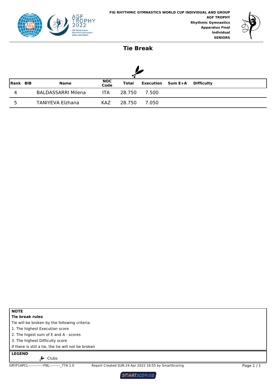



## **Tie Break**

| Rank BIB | <b>Name</b>               | NOC<br>Code | <b>Total</b> |       | <b>Execution</b> Sum E+A | Difficulty |
|----------|---------------------------|-------------|--------------|-------|--------------------------|------------|
| 4        | <b>BALDASSARRI Milena</b> | ITA         | 28.750       | 7.500 |                          |            |
|          | <b>TANIYEVA Elzhana</b>   | <b>KAZ</b>  | 28.750       | 7.050 |                          |            |

| <b>NOTE</b>                                         |                                                      |            |
|-----------------------------------------------------|------------------------------------------------------|------------|
| Tie break rules                                     |                                                      |            |
| Tie will be broken by the following criteria:       |                                                      |            |
| 1. The highest Execution score                      |                                                      |            |
| 2. The higest sum of E and A - scores               |                                                      |            |
| 3. The highest Difficulty score                     |                                                      |            |
| If there is still a tie, the tie will not be broken |                                                      |            |
| <b>LEGEND</b>                                       |                                                      |            |
| Clubs                                               |                                                      |            |
| GRYF1APCL-------------FNL--------- 77A 1.0          | Report Created SUN 24 Apr 2022 16:55 by SmartScoring | Page $1/1$ |

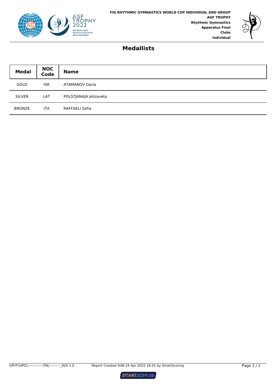



#### **Medallists**

| <b>Medal</b>  | <b>NOC</b><br>Code | <b>Name</b>            |
|---------------|--------------------|------------------------|
| <b>GOLD</b>   | <b>ISR</b>         | <b>ATAMANOV Daria</b>  |
| <b>SILVER</b> | LAT                | POLSTJANAJA Jelizaveta |
| <b>BRONZE</b> | <b>ITA</b>         | RAFFAELI Sofia         |



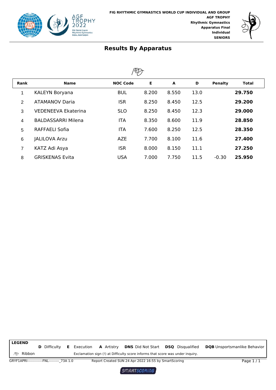



| <b>Rank</b>    | <b>Name</b>                | <b>NOC Code</b> | E     | A     | D    | <b>Penalty</b> | Total  |
|----------------|----------------------------|-----------------|-------|-------|------|----------------|--------|
| 1              | <b>KALEYN Boryana</b>      | <b>BUL</b>      | 8.200 | 8.550 | 13.0 |                | 29.750 |
| $\overline{2}$ | <b>ATAMANOV Daria</b>      | <b>ISR</b>      | 8.250 | 8.450 | 12.5 |                | 29.200 |
| 3              | <b>VEDENEEVA Ekaterina</b> | <b>SLO</b>      | 8.250 | 8.450 | 12.3 |                | 29,000 |
| 4              | <b>BALDASSARRI Milena</b>  | <b>ITA</b>      | 8.350 | 8.600 | 11.9 |                | 28.850 |
| 5              | <b>RAFFAELI Sofia</b>      | <b>ITA</b>      | 7.600 | 8.250 | 12.5 |                | 28.350 |
| 6              | <b>JALILOVA Arzu</b>       | <b>AZE</b>      | 7.700 | 8.100 | 11.6 |                | 27.400 |
| 7              | KATZ Adi Asya              | <b>ISR</b>      | 8.000 | 8.150 | 11.1 |                | 27.250 |
| 8              | <b>GRISKENAS Evita</b>     | <b>USA</b>      | 7.000 | 7.750 | 11.5 | $-0.30$        | 25.950 |

**P** Ribbon **LEGEND D** Difficulty **E** Execution Exclamation sign (!) at Difficulty score informs that score was under inquiry. **A** Artistry **DNS** Did Not Start **DSQ** Disqualified **DQB** Unsportsmanlike Behavior GRYF1APRI--------------FNL-----------<sub>-</sub>73A 1.0 Report Created SUN 24 Apr 2022 16:55 by SmartScoring Page 1 / 1

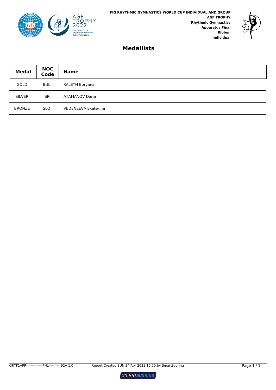



#### **Medallists**

| <b>Medal</b>  | <b>NOC</b><br>Code | <b>Name</b>                |
|---------------|--------------------|----------------------------|
| GOLD          | <b>BUL</b>         | KALEYN Boryana             |
| <b>SILVER</b> | <b>ISR</b>         | <b>ATAMANOV Daria</b>      |
| <b>BRONZE</b> | <b>SLO</b>         | <b>VEDENEEVA Ekaterina</b> |



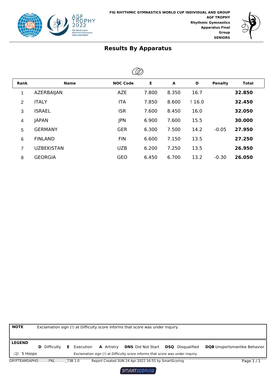



 $\oslash$ 

| رىپ            |                   |                 |       |       |       |                |              |
|----------------|-------------------|-----------------|-------|-------|-------|----------------|--------------|
| <b>Rank</b>    | <b>Name</b>       | <b>NOC Code</b> | Е     | A     | D     | <b>Penalty</b> | <b>Total</b> |
| 1              | <b>AZERBAIJAN</b> | <b>AZE</b>      | 7.800 | 8.350 | 16.7  |                | 32.850       |
| 2              | <b>ITALY</b>      | <b>ITA</b>      | 7.850 | 8.600 | !16.0 |                | 32.450       |
| 3              | <b>ISRAEL</b>     | <b>ISR</b>      | 7.600 | 8.450 | 16.0  |                | 32.050       |
| 4              | <b>JAPAN</b>      | <b>JPN</b>      | 6.900 | 7.600 | 15.5  |                | 30.000       |
| 5              | <b>GERMANY</b>    | <b>GER</b>      | 6.300 | 7.500 | 14.2  | $-0.05$        | 27.950       |
| 6              | <b>FINLAND</b>    | <b>FIN</b>      | 6.600 | 7.150 | 13.5  |                | 27.250       |
| $\overline{7}$ | <b>UZBEKISTAN</b> | <b>UZB</b>      | 6.200 | 7.250 | 13.5  |                | 26.950       |
| 8              | <b>GEORGIA</b>    | <b>GEO</b>      | 6.450 | 6.700 | 13.2  | $-0.30$        | 26.050       |



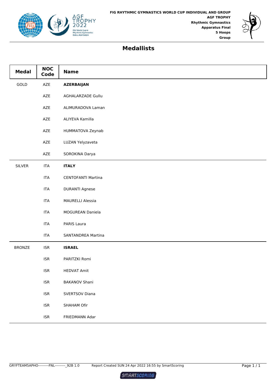



## **Medallists**

| <b>Medal</b>  | <b>NOC</b><br>Code          | <b>Name</b>               |
|---------------|-----------------------------|---------------------------|
| GOLD          | AZE                         | <b>AZERBAIJAN</b>         |
|               | AZE                         | AGHALARZADE Gullu         |
|               | AZE                         | ALIMURADOVA Laman         |
|               | AZE                         | ALIYEVA Kamilla           |
|               | AZE                         | HUMMATOVA Zeynab          |
|               | AZE                         | LUZAN Yelyzaveta          |
|               | AZE                         | SOROKINA Darya            |
| <b>SILVER</b> | <b>ITA</b>                  | <b>ITALY</b>              |
|               | <b>ITA</b>                  | <b>CENTOFANTI Martina</b> |
|               | <b>ITA</b>                  | <b>DURANTI Agnese</b>     |
|               | <b>ITA</b>                  | <b>MAURELLI Alessia</b>   |
|               | <b>ITA</b>                  | MOGUREAN Daniela          |
|               | <b>ITA</b>                  | PARIS Laura               |
|               | <b>ITA</b>                  | SANTANDREA Martina        |
| <b>BRONZE</b> | <b>ISR</b>                  | <b>ISRAEL</b>             |
|               | <b>ISR</b>                  | PARITZKI Romi             |
|               | <b>ISR</b>                  | <b>HEDVAT Amit</b>        |
|               | $\ensuremath{\mathsf{ISR}}$ | <b>BAKANOV Shani</b>      |
|               | $\ensuremath{\mathsf{ISR}}$ | SVERTSOV Diana            |
|               | $\ensuremath{\mathsf{ISR}}$ | SHAHAM Ofir               |
|               | $\ensuremath{\mathsf{ISR}}$ | FRIEDMANN Adar            |

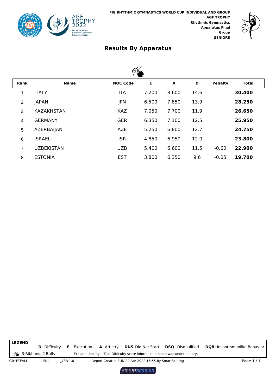



| VU/            |                   |                 |       |       |      |                |        |
|----------------|-------------------|-----------------|-------|-------|------|----------------|--------|
| Rank           | <b>Name</b>       | <b>NOC Code</b> | E     | A     | D    | <b>Penalty</b> | Total  |
| 1              | <b>ITALY</b>      | <b>ITA</b>      | 7.200 | 8.600 | 14.6 |                | 30.400 |
| $\overline{2}$ | <b>JAPAN</b>      | <b>JPN</b>      | 6.500 | 7.850 | 13.9 |                | 28.250 |
| 3              | <b>KAZAKHSTAN</b> | <b>KAZ</b>      | 7.050 | 7.700 | 11.9 |                | 26.650 |
| 4              | <b>GERMANY</b>    | <b>GER</b>      | 6.350 | 7.100 | 12.5 |                | 25.950 |
| 5              | AZERBAIJAN        | <b>AZE</b>      | 5.250 | 6.800 | 12.7 |                | 24.750 |
| 6              | <b>ISRAEL</b>     | <b>ISR</b>      | 4.850 | 6.950 | 12.0 |                | 23.800 |
| 7              | <b>UZBEKISTAN</b> | <b>UZB</b>      | 5.400 | 6.600 | 11.5 | $-0.60$        | 22.900 |
| 8              | <b>ESTONIA</b>    | <b>EST</b>      | 3.800 | 6.350 | 9.6  | $-0.05$        | 19.700 |

3 Ribbons, 2 Balls **LEGEND D** Difficulty **E** Execution Exclamation sign (!) at Difficulty score informs that score was under inquiry. **A** Artistry **DNS** Did Not Start **DSQ** Disqualified **DQB** Unsportsmanlike Behavior GRYFTEAM--------------FNL----------\_73B 1.0 Report Created SUN 24 Apr 2022 16:55 by SmartScoring Page 1 / 1